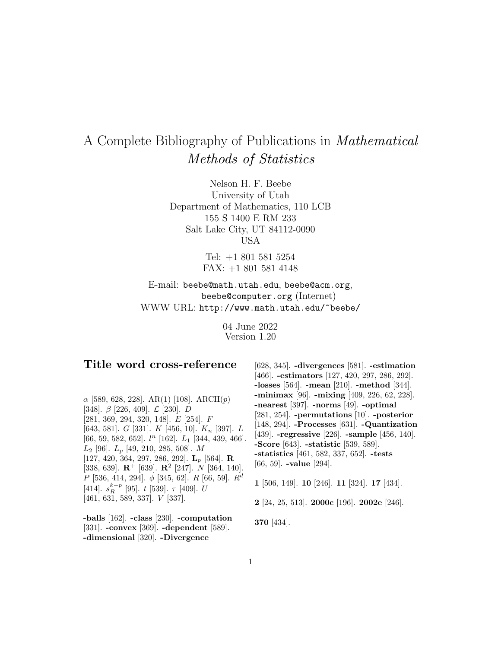# A Complete Bibliography of Publications in Mathematical Methods of Statistics

Nelson H. F. Beebe University of Utah Department of Mathematics, 110 LCB 155 S 1400 E RM 233 Salt Lake City, UT 84112-0090 USA

> Tel: +1 801 581 5254 FAX: +1 801 581 4148

E-mail: beebe@math.utah.edu, beebe@acm.org, beebe@computer.org (Internet) WWW URL: http://www.math.utah.edu/~beebe/

> 04 June 2022 Version 1.20

# **Title word cross-reference**

 $\alpha$  [589, 628, 228]. AR(1) [108]. ARCH(p) [348].  $\beta$  [226, 409].  $\mathcal{L}$  [230].  $D$ [281, 369, 294, 320, 148]. E [254]. F [643, 581]. G [331]. K [456, 10].  $K_n$  [397]. L [66, 59, 582, 652].  $l^n$  [162].  $L_1$  [344, 439, 466].  $L_2$  [96].  $L_p$  [49, 210, 285, 508]. M [127, 420, 364, 297, 286, 292]. **L**<sup>p</sup> [564]. **R** [338, 639]. **R**<sup>+</sup> [639]. **R**<sup>2</sup> [247]. N [364, 140].  $P$  [536, 414, 294].  $\phi$  [345, 62].  $R$  [66, 59].  $R^d$ [414].  $s_R^{k-p}$  [95]. t [539].  $\tau$  [409]. U [461, 631, 589, 337]. V [337].

**-balls** [162]. **-class** [230]. **-computation** [331]. **-convex** [369]. **-dependent** [589]. **-dimensional** [320]. **-Divergence**

[628, 345]. **-divergences** [581]. **-estimation** [466]. **-estimators** [127, 420, 297, 286, 292]. **-losses** [564]. **-mean** [210]. **-method** [344]. **-minimax** [96]. **-mixing** [409, 226, 62, 228]. **-nearest** [397]. **-norms** [49]. **-optimal** [281, 254]. **-permutations** [10]. **-posterior** [148, 294]. **-Processes** [631]. **-Quantization** [439]. **-regressive** [226]. **-sample** [456, 140]. **-Score** [643]. **-statistic** [539, 589]. **-statistics** [461, 582, 337, 652]. **-tests** [66, 59]. **-value** [294].

**1** [506, 149]. **10** [246]. **11** [324]. **17** [434].

**2** [24, 25, 513]. **2000c** [196]. **2002e** [246].

**370** [434].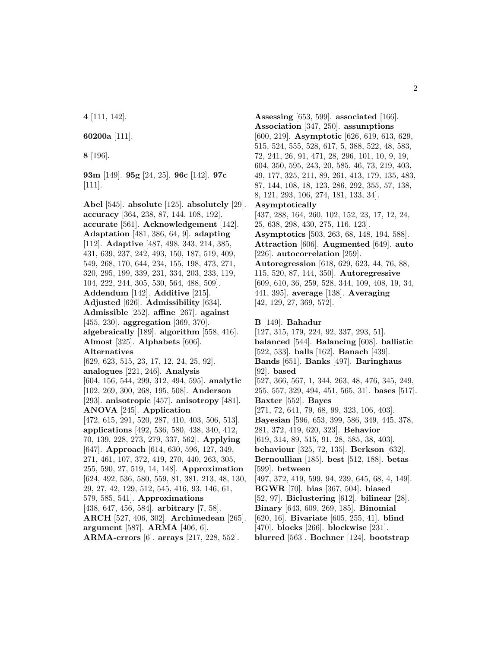**4** [111, 142].

**60200a** [111].

**8** [196].

**93m** [149]. **95g** [24, 25]. **96c** [142]. **97c** [111].

**Abel** [545]. **absolute** [125]. **absolutely** [29]. **accuracy** [364, 238, 87, 144, 108, 192]. **accurate** [561]. **Acknowledgement** [142]. **Adaptation** [481, 386, 64, 9]. **adapting** [112]. **Adaptive** [487, 498, 343, 214, 385, 431, 639, 237, 242, 493, 150, 187, 519, 409, 549, 268, 170, 644, 234, 155, 198, 473, 271, 320, 295, 199, 339, 231, 334, 203, 233, 119, 104, 222, 244, 305, 530, 564, 488, 509]. **Addendum** [142]. **Additive** [215]. **Adjusted** [626]. **Admissibility** [634]. **Admissible** [252]. **affine** [267]. **against** [455, 230]. **aggregation** [369, 370]. **algebraically** [189]. **algorithm** [558, 416]. **Almost** [325]. **Alphabets** [606]. **Alternatives** [629, 623, 515, 23, 17, 12, 24, 25, 92]. **analogues** [221, 246]. **Analysis** [604, 156, 544, 299, 312, 494, 595]. **analytic** [102, 269, 300, 268, 195, 508]. **Anderson** [293]. **anisotropic** [457]. **anisotropy** [481]. **ANOVA** [245]. **Application** [472, 615, 291, 520, 287, 410, 403, 506, 513]. **applications** [492, 536, 580, 438, 340, 412, 70, 139, 228, 273, 279, 337, 562]. **Applying** [647]. **Approach** [614, 630, 596, 127, 349, 271, 461, 107, 372, 419, 270, 440, 263, 305, 255, 590, 27, 519, 14, 148]. **Approximation** [624, 492, 536, 580, 559, 81, 381, 213, 48, 130, 29, 27, 42, 129, 512, 545, 416, 93, 146, 61, 579, 585, 541]. **Approximations** [438, 647, 456, 584]. **arbitrary** [7, 58]. **ARCH** [527, 406, 302]. **Archimedean** [265]. **argument** [587]. **ARMA** [406, 6].

**ARMA-errors** [6]. **arrays** [217, 228, 552].

**Assessing** [653, 599]. **associated** [166]. **Association** [347, 250]. **assumptions** [600, 219]. **Asymptotic** [626, 619, 613, 629, 515, 524, 555, 528, 617, 5, 388, 522, 48, 583, 72, 241, 26, 91, 471, 28, 296, 101, 10, 9, 19, 604, 350, 595, 243, 20, 585, 46, 73, 219, 403, 49, 177, 325, 211, 89, 261, 413, 179, 135, 483, 87, 144, 108, 18, 123, 286, 292, 355, 57, 138, 8, 121, 293, 106, 274, 181, 133, 34]. **Asymptotically** [437, 288, 164, 260, 102, 152, 23, 17, 12, 24, 25, 638, 298, 430, 275, 116, 123]. **Asymptotics** [503, 263, 68, 148, 194, 588]. **Attraction** [606]. **Augmented** [649]. **auto** [226]. **autocorrelation** [259]. **Autoregression** [618, 629, 623, 44, 76, 88, 115, 520, 87, 144, 350]. **Autoregressive** [609, 610, 36, 259, 528, 344, 109, 408, 19, 34, 441, 395]. **average** [138]. **Averaging** [42, 129, 27, 369, 572]. **B** [149]. **Bahadur**

[127, 315, 179, 224, 92, 337, 293, 51]. **balanced** [544]. **Balancing** [608]. **ballistic** [522, 533]. **balls** [162]. **Banach** [439]. **Bands** [651]. **Banks** [497]. **Baringhaus** [92]. **based** [527, 366, 567, 1, 344, 263, 48, 476, 345, 249, 255, 557, 329, 494, 451, 565, 31]. **bases** [517]. **Baxter** [552]. **Bayes** [271, 72, 641, 79, 68, 99, 323, 106, 403]. **Bayesian** [596, 653, 399, 586, 349, 445, 378, 281, 372, 419, 620, 323]. **Behavior** [619, 314, 89, 515, 91, 28, 585, 38, 403]. **behaviour** [325, 72, 135]. **Berkson** [632]. **Bernoullian** [185]. **best** [512, 188]. **betas** [599]. **between** [497, 372, 419, 599, 94, 239, 645, 68, 4, 149]. **BGWR** [70]. **bias** [367, 504]. **biased** [52, 97]. **Biclustering** [612]. **bilinear** [28]. **Binary** [643, 609, 269, 185]. **Binomial** [620, 16]. **Bivariate** [605, 255, 41]. **blind** [470]. **blocks** [266]. **blockwise** [231]. **blurred** [563]. **Bochner** [124]. **bootstrap**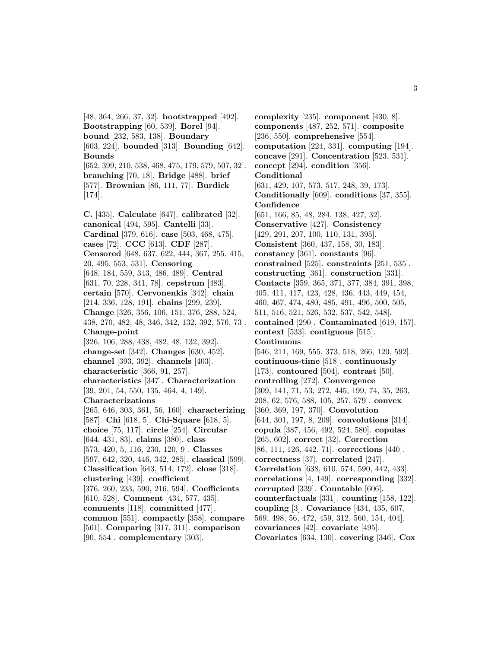[48, 364, 266, 37, 32]. **bootstrapped** [492]. **Bootstrapping** [60, 539]. **Borel** [94]. **bound** [232, 583, 138]. **Boundary** [603, 224]. **bounded** [313]. **Bounding** [642]. **Bounds** [652, 399, 210, 538, 468, 475, 179, 579, 507, 32]. **branching** [70, 18]. **Bridge** [488]. **brief** [577]. **Brownian** [86, 111, 77]. **Burdick** [174]. **C.** [435]. **Calculate** [647]. **calibrated** [32]. **canonical** [494, 595]. **Cantelli** [33]. **Cardinal** [379, 616]. **case** [503, 468, 475]. **cases** [72]. **CCC** [613]. **CDF** [287]. **Censored** [648, 637, 622, 444, 367, 255, 415, 20, 495, 553, 531]. **Censoring** [648, 184, 559, 343, 486, 489]. **Central** [631, 70, 228, 341, 78]. **cepstrum** [483]. **certain** [570]. **Cervonenkis** [342]. **chain** [214, 336, 128, 191]. **chains** [299, 239]. **Change** [326, 356, 106, 151, 376, 288, 524, 438, 270, 482, 48, 346, 342, 132, 392, 576, 73]. **Change-point** [326, 106, 288, 438, 482, 48, 132, 392]. **change-set** [342]. **Changes** [630, 452]. **channel** [393, 392]. **channels** [403]. **characteristic** [366, 91, 257]. **characteristics** [347]. **Characterization** [39, 201, 54, 550, 135, 464, 4, 149]. **Characterizations** [265, 646, 303, 361, 56, 160]. **characterizing** [587]. **Chi** [618, 5]. **Chi-Square** [618, 5]. **choice** [75, 117]. **circle** [254]. **Circular** [644, 431, 83]. **claims** [380]. **class** [573, 420, 5, 116, 230, 120, 9]. **Classes** [597, 642, 320, 446, 342, 285]. **classical** [599]. **Classification** [643, 514, 172]. **close** [318]. **clustering** [439]. **coefficient** [376, 260, 233, 590, 216, 594]. **Coefficients** [610, 528]. **Comment** [434, 577, 435]. **comments** [118]. **committed** [477]. **common** [551]. **compactly** [358]. **compare** [561]. **Comparing** [317, 311]. **comparison** [90, 554]. **complementary** [303].

**complexity** [235]. **component** [430, 8]. **components** [487, 252, 571]. **composite** [236, 550]. **comprehensive** [554]. **computation** [224, 331]. **computing** [194]. **concave** [291]. **Concentration** [523, 531]. **concept** [294]. **condition** [356]. **Conditional** [631, 429, 107, 573, 517, 248, 39, 173]. **Conditionally** [609]. **conditions** [37, 355]. **Confidence** [651, 166, 85, 48, 284, 138, 427, 32]. **Conservative** [427]. **Consistency** [429, 291, 207, 100, 110, 131, 395]. **Consistent** [360, 437, 158, 30, 183]. **constancy** [361]. **constants** [96]. **constrained** [525]. **constraints** [251, 535]. **constructing** [361]. **construction** [331]. **Contacts** [359, 365, 371, 377, 384, 391, 398, 405, 411, 417, 423, 428, 436, 443, 449, 454, 460, 467, 474, 480, 485, 491, 496, 500, 505, 511, 516, 521, 526, 532, 537, 542, 548]. **contained** [290]. **Contaminated** [619, 157]. **context** [533]. **contiguous** [515]. **Continuous** [546, 211, 169, 555, 373, 518, 266, 120, 592]. **continuous-time** [518]. **continuously** [173]. **contoured** [504]. **contrast** [50]. **controlling** [272]. **Convergence** [309, 141, 71, 53, 272, 445, 199, 74, 35, 263, 208, 62, 576, 588, 105, 257, 579]. **convex** [360, 369, 197, 370]. **Convolution** [644, 301, 197, 8, 209]. **convolutions** [314]. **copula** [387, 456, 492, 524, 580]. **copulas** [265, 602]. **correct** [32]. **Correction** [86, 111, 126, 442, 71]. **corrections** [440]. **correctness** [37]. **correlated** [247]. **Correlation** [638, 610, 574, 590, 442, 433]. **correlations** [4, 149]. **corresponding** [332]. **corrupted** [339]. **Countable** [606]. **counterfactuals** [331]. **counting** [158, 122]. **coupling** [3]. **Covariance** [434, 435, 607, 569, 498, 56, 472, 459, 312, 560, 154, 404]. **covariances** [42]. **covariate** [495]. **Covariates** [634, 130]. **covering** [346]. **Cox**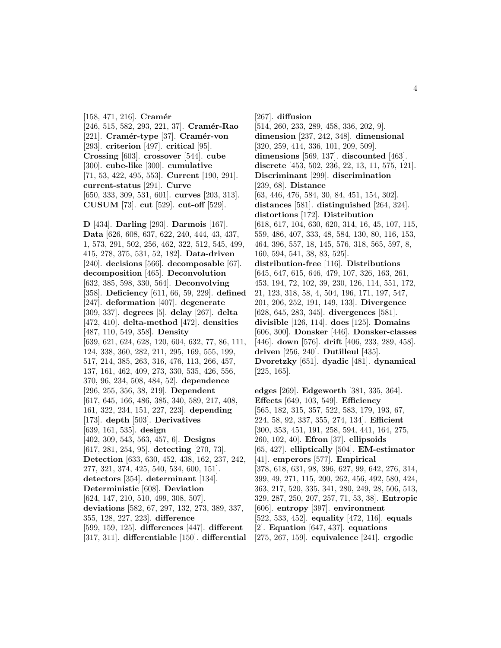[158, 471, 216]. **Cramér** [246, 515, 582, 293, 221, 37]. **Cram´er-Rao** [221]. **Cramér-type** [37]. **Cramér-von** [293]. **criterion** [497]. **critical** [95]. **Crossing** [603]. **crossover** [544]. **cube** [300]. **cube-like** [300]. **cumulative** [71, 53, 422, 495, 553]. **Current** [190, 291]. **current-status** [291]. **Curve** [650, 333, 309, 531, 601]. **curves** [203, 313]. **CUSUM** [73]. **cut** [529]. **cut-off** [529].

**D** [434]. **Darling** [293]. **Darmois** [167]. **Data** [626, 608, 637, 622, 240, 444, 43, 437, 1, 573, 291, 502, 256, 462, 322, 512, 545, 499, 415, 278, 375, 531, 52, 182]. **Data-driven** [240]. **decisions** [566]. **decomposable** [67]. **decomposition** [465]. **Deconvolution** [632, 385, 598, 330, 564]. **Deconvolving** [358]. **Deficiency** [611, 66, 59, 229]. **defined** [247]. **deformation** [407]. **degenerate** [309, 337]. **degrees** [5]. **delay** [267]. **delta** [472, 410]. **delta-method** [472]. **densities** [487, 110, 549, 358]. **Density** [639, 621, 624, 628, 120, 604, 632, 77, 86, 111, 124, 338, 360, 282, 211, 295, 169, 555, 199, 517, 214, 385, 263, 316, 476, 113, 266, 457, 137, 161, 462, 409, 273, 330, 535, 426, 556, 370, 96, 234, 508, 484, 52]. **dependence** [296, 255, 356, 38, 219]. **Dependent** [617, 645, 166, 486, 385, 340, 589, 217, 408, 161, 322, 234, 151, 227, 223]. **depending** [173]. **depth** [503]. **Derivatives** [639, 161, 535]. **design** [402, 309, 543, 563, 457, 6]. **Designs** [617, 281, 254, 95]. **detecting** [270, 73]. **Detection** [633, 630, 452, 438, 162, 237, 242, 277, 321, 374, 425, 540, 534, 600, 151]. **detectors** [354]. **determinant** [134]. **Deterministic** [608]. **Deviation** [624, 147, 210, 510, 499, 308, 507]. **deviations** [582, 67, 297, 132, 273, 389, 337, 355, 128, 227, 223]. **difference** [599, 159, 125]. **differences** [447]. **different** [317, 311]. **differentiable** [150]. **differential**

[267]. **diffusion** [514, 260, 233, 289, 458, 336, 202, 9]. **dimension** [237, 242, 348]. **dimensional** [320, 259, 414, 336, 101, 209, 509]. **dimensions** [569, 137]. **discounted** [463]. **discrete** [453, 502, 236, 22, 13, 11, 575, 121]. **Discriminant** [299]. **discrimination** [239, 68]. **Distance** [63, 446, 476, 584, 30, 84, 451, 154, 302]. **distances** [581]. **distinguished** [264, 324]. **distortions** [172]. **Distribution** [618, 617, 104, 630, 620, 314, 16, 45, 107, 115, 559, 486, 407, 333, 48, 584, 130, 80, 116, 153, 464, 396, 557, 18, 145, 576, 318, 565, 597, 8, 160, 594, 541, 38, 83, 525]. **distribution-free** [116]. **Distributions** [645, 647, 615, 646, 479, 107, 326, 163, 261, 453, 194, 72, 102, 39, 230, 126, 114, 551, 172, 21, 123, 318, 58, 4, 504, 196, 171, 197, 547, 201, 206, 252, 191, 149, 133]. **Divergence** [628, 645, 283, 345]. **divergences** [581]. **divisible** [126, 114]. **does** [125]. **Domains** [606, 300]. **Donsker** [446]. **Donsker-classes** [446]. **down** [576]. **drift** [406, 233, 289, 458]. **driven** [256, 240]. **Dutilleul** [435]. **Dvoretzky** [651]. **dyadic** [481]. **dynamical** [225, 165].

**edges** [269]. **Edgeworth** [381, 335, 364]. **Effects** [649, 103, 549]. **Efficiency** [565, 182, 315, 357, 522, 583, 179, 193, 67, 224, 58, 92, 337, 355, 274, 134]. **Efficient** [300, 353, 451, 191, 258, 594, 441, 164, 275, 260, 102, 40]. **Efron** [37]. **ellipsoids** [65, 427]. **elliptically** [504]. **EM-estimator** [41]. **emperors** [577]. **Empirical** [378, 618, 631, 98, 396, 627, 99, 642, 276, 314, 399, 49, 271, 115, 200, 262, 456, 492, 580, 424, 363, 217, 520, 335, 341, 280, 249, 28, 506, 513, 329, 287, 250, 207, 257, 71, 53, 38]. **Entropic** [606]. **entropy** [397]. **environment** [522, 533, 452]. **equality** [472, 116]. **equals** [2]. **Equation** [647, 437]. **equations** [275, 267, 159]. **equivalence** [241]. **ergodic**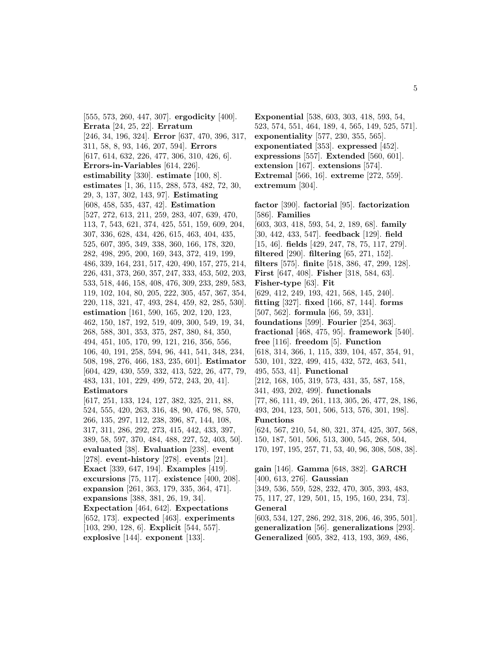[555, 573, 260, 447, 307]. **ergodicity** [400]. **Errata** [24, 25, 22]. **Erratum** [246, 34, 196, 324]. **Error** [637, 470, 396, 317, 311, 58, 8, 93, 146, 207, 594]. **Errors** [617, 614, 632, 226, 477, 306, 310, 426, 6]. **Errors-in-Variables** [614, 226]. **estimability** [330]. **estimate** [100, 8]. **estimates** [1, 36, 115, 288, 573, 482, 72, 30, 29, 3, 137, 302, 143, 97]. **Estimating** [608, 458, 535, 437, 42]. **Estimation** [527, 272, 613, 211, 259, 283, 407, 639, 470, 113, 7, 543, 621, 374, 425, 551, 159, 609, 204, 307, 336, 628, 434, 426, 615, 463, 404, 435, 525, 607, 395, 349, 338, 360, 166, 178, 320, 282, 498, 295, 200, 169, 343, 372, 419, 199, 486, 339, 164, 231, 517, 420, 490, 157, 275, 214, 226, 431, 373, 260, 357, 247, 333, 453, 502, 203, 533, 518, 446, 158, 408, 476, 309, 233, 289, 583, 119, 102, 104, 80, 205, 222, 305, 457, 367, 354, 220, 118, 321, 47, 493, 284, 459, 82, 285, 530]. **estimation** [161, 590, 165, 202, 120, 123, 462, 150, 187, 192, 519, 409, 300, 549, 19, 34, 268, 588, 301, 353, 375, 287, 380, 84, 350, 494, 451, 105, 170, 99, 121, 216, 356, 556, 106, 40, 191, 258, 594, 96, 441, 541, 348, 234, 508, 198, 276, 466, 183, 235, 601]. **Estimator** [604, 429, 430, 559, 332, 413, 522, 26, 477, 79, 483, 131, 101, 229, 499, 572, 243, 20, 41]. **Estimators** [617, 251, 133, 124, 127, 382, 325, 211, 88, 524, 555, 420, 263, 316, 48, 90, 476, 98, 570, 266, 135, 297, 112, 238, 396, 87, 144, 108, 317, 311, 286, 292, 273, 415, 442, 433, 397, 389, 58, 597, 370, 484, 488, 227, 52, 403, 50]. **evaluated** [38]. **Evaluation** [238]. **event** [278]. **event-history** [278]. **events** [21]. **Exact** [339, 647, 194]. **Examples** [419]. **excursions** [75, 117]. **existence** [400, 208]. **expansion** [261, 363, 179, 335, 364, 471]. **expansions** [388, 381, 26, 19, 34]. **Expectation** [464, 642]. **Expectations** [652, 173]. **expected** [463]. **experiments**

[103, 290, 128, 6]. **Explicit** [544, 557]. **explosive** [144]. **exponent** [133].

**Exponential** [538, 603, 303, 418, 593, 54, 523, 574, 551, 464, 189, 4, 565, 149, 525, 571]. **exponentiality** [577, 230, 355, 565]. **exponentiated** [353]. **expressed** [452]. **expressions** [557]. **Extended** [560, 601]. **extension** [167]. **extensions** [574]. **Extremal** [566, 16]. **extreme** [272, 559]. **extremum** [304].

**factor** [390]. **factorial** [95]. **factorization** [586]. **Families** [603, 303, 418, 593, 54, 2, 189, 68]. **family** [30, 442, 433, 547]. **feedback** [129]. **field** [15, 46]. **fields** [429, 247, 78, 75, 117, 279]. **filtered** [290]. **filtering** [65, 271, 152]. **filters** [575]. **finite** [518, 386, 47, 299, 128]. **First** [647, 408]. **Fisher** [318, 584, 63]. **Fisher-type** [63]. **Fit** [629, 412, 249, 193, 421, 568, 145, 240]. **fitting** [327]. **fixed** [166, 87, 144]. **forms** [507, 562]. **formula** [66, 59, 331]. **foundations** [599]. **Fourier** [254, 363]. **fractional** [468, 475, 95]. **framework** [540]. **free** [116]. **freedom** [5]. **Function** [618, 314, 366, 1, 115, 339, 104, 457, 354, 91, 530, 101, 322, 499, 415, 432, 572, 463, 541, 495, 553, 41]. **Functional** [212, 168, 105, 319, 573, 431, 35, 587, 158, 341, 493, 202, 499]. **functionals** [77, 86, 111, 49, 261, 113, 305, 26, 477, 28, 186, 493, 204, 123, 501, 506, 513, 576, 301, 198]. **Functions** [624, 567, 210, 54, 80, 321, 374, 425, 307, 568, 150, 187, 501, 506, 513, 300, 545, 268, 504, 170, 197, 195, 257, 71, 53, 40, 96, 308, 508, 38]. **gain** [146]. **Gamma** [648, 382]. **GARCH** [400, 613, 276]. **Gaussian** [349, 536, 559, 528, 232, 470, 305, 393, 483, 75, 117, 27, 129, 501, 15, 195, 160, 234, 73]. **General** [603, 534, 127, 286, 292, 318, 206, 46, 395, 501]. **generalization** [56]. **generalizations** [293]. **Generalized** [605, 382, 413, 193, 369, 486,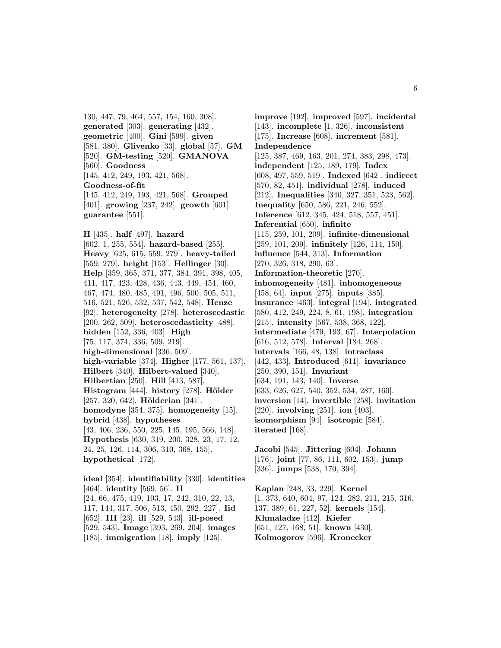130, 447, 79, 464, 557, 154, 160, 308]. **generated** [303]. **generating** [432]. **geometric** [400]. **Gini** [599]. **given** [581, 380]. **Glivenko** [33]. **global** [57]. **GM** [520]. **GM-testing** [520]. **GMANOVA** [560]. **Goodness** [145, 412, 249, 193, 421, 568]. **Goodness-of-fit** [145, 412, 249, 193, 421, 568]. **Grouped** [401]. **growing** [237, 242]. **growth** [601]. **guarantee** [551].

**H** [435]. **half** [497]. **hazard** [602, 1, 255, 554]. **hazard-based** [255]. **Heavy** [625, 615, 559, 279]. **heavy-tailed** [559, 279]. **height** [153]. **Hellinger** [30]. **Help** [359, 365, 371, 377, 384, 391, 398, 405, 411, 417, 423, 428, 436, 443, 449, 454, 460, 467, 474, 480, 485, 491, 496, 500, 505, 511, 516, 521, 526, 532, 537, 542, 548]. **Henze** [92]. **heterogeneity** [278]. **heteroscedastic** [200, 262, 509]. **heteroscedasticity** [488]. **hidden** [152, 336, 403]. **High** [75, 117, 374, 336, 509, 219]. **high-dimensional** [336, 509]. **high-variable** [374]. **Higher** [177, 561, 137]. **Hilbert** [340]. **Hilbert-valued** [340]. **Hilbertian** [250]. **Hill** [413, 587]. **Histogram** [444]. **history** [278]. **Hölder** [257, 320, 642]. **Hölderian** [341]. **homodyne** [354, 375]. **homogeneity** [15]. **hybrid** [438]. **hypotheses** [43, 406, 236, 550, 225, 145, 195, 566, 148]. **Hypothesis** [630, 319, 200, 328, 23, 17, 12, 24, 25, 126, 114, 306, 310, 368, 155]. **hypothetical** [172].

**ideal** [354]. **identifiability** [330]. **identities** [464]. **identity** [569, 56]. **II** [24, 66, 475, 419, 103, 17, 242, 310, 22, 13, 117, 144, 317, 506, 513, 450, 292, 227]. **Iid** [652]. **III** [23]. **ill** [529, 543]. **ill-posed** [529, 543]. **Image** [393, 269, 204]. **images** [185]. **immigration** [18]. **imply** [125].

**improve** [192]. **improved** [597]. **incidental** [143]. **incomplete** [1, 326]. **inconsistent** [175]. **Increase** [608]. **increment** [581]. **Independence** [125, 387, 469, 163, 201, 274, 383, 298, 473]. **independent** [125, 189, 179]. **Index** [608, 497, 559, 519]. **Indexed** [642]. **indirect** [570, 82, 451]. **individual** [278]. **induced** [212]. **Inequalities** [340, 327, 351, 523, 562]. **Inequality** [650, 586, 221, 246, 552]. **Inference** [612, 345, 424, 518, 557, 451]. **Inferential** [650]. **infinite** [115, 259, 101, 209]. **infinite-dimensional** [259, 101, 209]. **infinitely** [126, 114, 150]. **influence** [544, 313]. **Information** [270, 326, 318, 290, 63]. **Information-theoretic** [270]. **inhomogeneity** [481]. **inhomogeneous** [458, 64]. **input** [275]. **inputs** [385]. **insurance** [463]. **integral** [194]. **integrated** [580, 412, 249, 224, 8, 61, 198]. **integration** [215]. **intensity** [567, 538, 368, 122]. **intermediate** [479, 193, 67]. **Interpolation** [616, 512, 578]. **Interval** [184, 268]. **intervals** [166, 48, 138]. **intraclass** [442, 433]. **Introduced** [611]. **invariance** [250, 390, 151]. **Invariant** [634, 191, 143, 140]. **Inverse** [633, 626, 627, 540, 352, 534, 287, 160]. **inversion** [14]. **invertible** [258]. **invitation** [220]. **involving** [251]. **ion** [403]. **isomorphism** [94]. **isotropic** [584]. **iterated** [168].

**Jacobi** [545]. **Jittering** [604]. **Johann** [176]. **joint** [77, 86, 111, 602, 153]. **jump** [336]. **jumps** [538, 170, 394].

**Kaplan** [248, 33, 229]. **Kernel** [1, 373, 640, 604, 97, 124, 282, 211, 215, 316, 137, 389, 61, 227, 52]. **kernels** [154]. **Khmaladze** [412]. **Kiefer** [651, 127, 168, 51]. **known** [430]. **Kolmogorov** [596]. **Kronecker**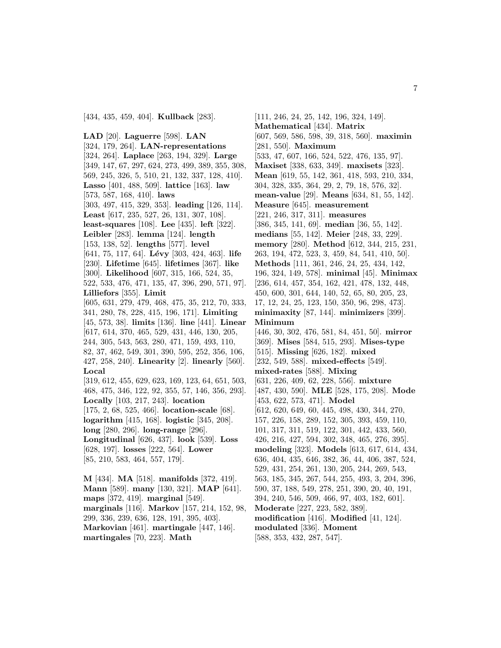**LAD** [20]. **Laguerre** [598]. **LAN** [324, 179, 264]. **LAN-representations** [324, 264]. **Laplace** [263, 194, 329]. **Large** [349, 147, 67, 297, 624, 273, 499, 389, 355, 308, 569, 245, 326, 5, 510, 21, 132, 337, 128, 410]. **Lasso** [401, 488, 509]. **lattice** [163]. **law** [573, 587, 168, 410]. **laws** [303, 497, 415, 329, 353]. **leading** [126, 114]. **Least** [617, 235, 527, 26, 131, 307, 108]. **least-squares** [108]. **Lee** [435]. **left** [322]. **Leibler** [283]. **lemma** [124]. **length** [153, 138, 52]. **lengths** [577]. **level** [641, 75, 117, 64]. **Lévy** [303, 424, 463]. **life** [230]. **Lifetime** [645]. **lifetimes** [367]. **like** [300]. **Likelihood** [607, 315, 166, 524, 35, 522, 533, 476, 471, 135, 47, 396, 290, 571, 97]. **Lilliefors** [355]. **Limit** [605, 631, 279, 479, 468, 475, 35, 212, 70, 333, 341, 280, 78, 228, 415, 196, 171]. **Limiting** [45, 573, 38]. **limits** [136]. **line** [441]. **Linear** [617, 614, 370, 465, 529, 431, 446, 130, 205, 244, 305, 543, 563, 280, 471, 159, 493, 110, 82, 37, 462, 549, 301, 390, 595, 252, 356, 106, 427, 258, 240]. **Linearity** [2]. **linearly** [560]. **Local** [319, 612, 455, 629, 623, 169, 123, 64, 651, 503, 468, 475, 346, 122, 92, 355, 57, 146, 356, 293]. **Locally** [103, 217, 243]. **location** [175, 2, 68, 525, 466]. **location-scale** [68]. **logarithm** [415, 168]. **logistic** [345, 208]. **long** [280, 296]. **long-range** [296]. **Longitudinal** [626, 437]. **look** [539]. **Loss** [628, 197]. **losses** [222, 564]. **Lower** [85, 210, 583, 464, 557, 179]. **M** [434]. **MA** [518]. **manifolds** [372, 419]. **Mann** [589]. **many** [130, 321]. **MAP** [641].

**maps** [372, 419]. **marginal** [549]. **marginals** [116]. **Markov** [157, 214, 152, 98, 299, 336, 239, 636, 128, 191, 395, 403]. **Markovian** [461]. **martingale** [447, 146]. **martingales** [70, 223]. **Math**

[111, 246, 24, 25, 142, 196, 324, 149]. **Mathematical** [434]. **Matrix** [607, 569, 586, 598, 39, 318, 560]. **maximin** [281, 550]. **Maximum** [533, 47, 607, 166, 524, 522, 476, 135, 97]. **Maxiset** [338, 633, 349]. **maxisets** [323]. **Mean** [619, 55, 142, 361, 418, 593, 210, 334, 304, 328, 335, 364, 29, 2, 79, 18, 576, 32]. **mean-value** [29]. **Means** [634, 81, 55, 142]. **Measure** [645]. **measurement** [221, 246, 317, 311]. **measures** [386, 345, 141, 69]. **median** [36, 55, 142]. **medians** [55, 142]. **Meier** [248, 33, 229]. **memory** [280]. **Method** [612, 344, 215, 231, 263, 194, 472, 523, 3, 459, 84, 541, 410, 50]. **Methods** [111, 361, 246, 24, 25, 434, 142, 196, 324, 149, 578]. **minimal** [45]. **Minimax** [236, 614, 457, 354, 162, 421, 478, 132, 448, 450, 600, 301, 644, 140, 52, 65, 80, 205, 23, 17, 12, 24, 25, 123, 150, 350, 96, 298, 473]. **minimaxity** [87, 144]. **minimizers** [399]. **Minimum** [446, 30, 302, 476, 581, 84, 451, 50]. **mirror** [369]. **Mises** [584, 515, 293]. **Mises-type** [515]. **Missing** [626, 182]. **mixed** [232, 549, 588]. **mixed-effects** [549]. **mixed-rates** [588]. **Mixing** [631, 226, 409, 62, 228, 556]. **mixture** [487, 430, 590]. **MLE** [528, 175, 208]. **Mode** [453, 622, 573, 471]. **Model** [612, 620, 649, 60, 445, 498, 430, 344, 270, 157, 226, 158, 289, 152, 305, 393, 459, 110, 101, 317, 311, 519, 122, 301, 442, 433, 560, 426, 216, 427, 594, 302, 348, 465, 276, 395]. **modeling** [323]. **Models** [613, 617, 614, 434, 636, 404, 435, 646, 382, 36, 44, 406, 387, 524, 529, 431, 254, 261, 130, 205, 244, 269, 543, 563, 185, 345, 267, 544, 255, 493, 3, 204, 396, 590, 37, 188, 549, 278, 251, 390, 20, 40, 191, 394, 240, 546, 509, 466, 97, 403, 182, 601]. **Moderate** [227, 223, 582, 389]. **modification** [416]. **Modified** [41, 124]. **modulated** [336]. **Moment** [588, 353, 432, 287, 547].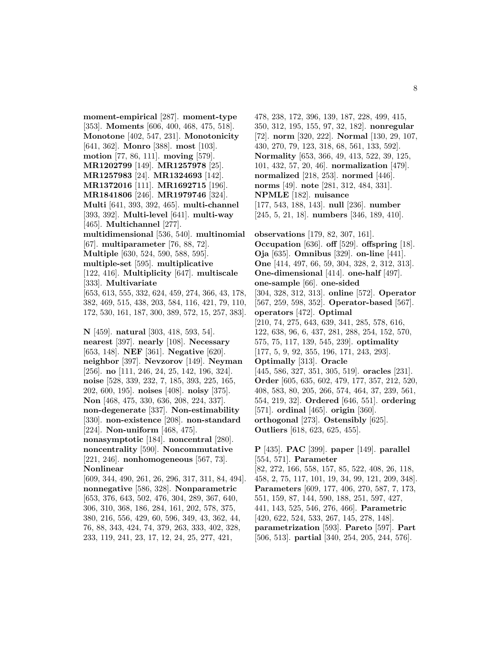**moment-empirical** [287]. **moment-type** [353]. **Moments** [606, 400, 468, 475, 518]. **Monotone** [402, 547, 231]. **Monotonicity** [641, 362]. **Monro** [388]. **most** [103]. **motion** [77, 86, 111]. **moving** [579]. **MR1202799** [149]. **MR1257978** [25]. **MR1257983** [24]. **MR1324693** [142]. **MR1372016** [111]. **MR1692715** [196]. **MR1841806** [246]. **MR1979746** [324]. **Multi** [641, 393, 392, 465]. **multi-channel** [393, 392]. **Multi-level** [641]. **multi-way** [465]. **Multichannel** [277]. **multidimensional** [536, 540]. **multinomial** [67]. **multiparameter** [76, 88, 72]. **Multiple** [630, 524, 590, 588, 595]. **multiple-set** [595]. **multiplicative** [122, 416]. **Multiplicity** [647]. **multiscale** [333]. **Multivariate** [653, 613, 555, 332, 624, 459, 274, 366, 43, 178, 382, 469, 515, 438, 203, 584, 116, 421, 79, 110, 172, 530, 161, 187, 300, 389, 572, 15, 257, 383]. **N** [459]. **natural** [303, 418, 593, 54]. **nearest** [397]. **nearly** [108]. **Necessary** [653, 148]. **NEF** [361]. **Negative** [620]. **neighbor** [397]. **Nevzorov** [149]. **Neyman** [256]. **no** [111, 246, 24, 25, 142, 196, 324]. **noise** [528, 339, 232, 7, 185, 393, 225, 165, 202, 600, 195]. **noises** [408]. **noisy** [375]. **Non** [468, 475, 330, 636, 208, 224, 337]. **non-degenerate** [337]. **Non-estimability** [330]. **non-existence** [208]. **non-standard** [224]. **Non-uniform** [468, 475]. **nonasymptotic** [184]. **noncentral** [280]. **noncentrality** [590]. **Noncommutative** [221, 246]. **nonhomogeneous** [567, 73]. **Nonlinear** [609, 344, 490, 261, 26, 296, 317, 311, 84, 494]. **nonnegative** [586, 328]. **Nonparametric** [653, 376, 643, 502, 476, 304, 289, 367, 640, 306, 310, 368, 186, 284, 161, 202, 578, 375, 380, 216, 556, 429, 60, 596, 349, 43, 362, 44, 76, 88, 343, 424, 74, 379, 263, 333, 402, 328,

233, 119, 241, 23, 17, 12, 24, 25, 277, 421,

478, 238, 172, 396, 139, 187, 228, 499, 415, 350, 312, 195, 155, 97, 32, 182]. **nonregular** [72]. **norm** [320, 222]. **Normal** [130, 29, 107, 430, 270, 79, 123, 318, 68, 561, 133, 592]. **Normality** [653, 366, 49, 413, 522, 39, 125, 101, 432, 57, 20, 46]. **normalization** [479]. **normalized** [218, 253]. **normed** [446]. **norms** [49]. **note** [281, 312, 484, 331]. **NPMLE** [182]. **nuisance** [177, 543, 188, 143]. **null** [236]. **number** [245, 5, 21, 18]. **numbers** [346, 189, 410].

**observations** [179, 82, 307, 161]. **Occupation** [636]. **off** [529]. **offspring** [18]. **Oja** [635]. **Omnibus** [329]. **on-line** [441]. **One** [414, 497, 66, 59, 304, 328, 2, 312, 313]. **One-dimensional** [414]. **one-half** [497]. **one-sample** [66]. **one-sided** [304, 328, 312, 313]. **online** [572]. **Operator** [567, 259, 598, 352]. **Operator-based** [567]. **operators** [472]. **Optimal** [210, 74, 275, 643, 639, 341, 285, 578, 616, 122, 638, 96, 6, 437, 281, 288, 254, 152, 570, 575, 75, 117, 139, 545, 239]. **optimality** [177, 5, 9, 92, 355, 196, 171, 243, 293]. **Optimally** [313]. **Oracle** [445, 586, 327, 351, 305, 519]. **oracles** [231]. **Order** [605, 635, 602, 479, 177, 357, 212, 520, 408, 583, 80, 205, 266, 574, 464, 37, 239, 561, 554, 219, 32]. **Ordered** [646, 551]. **ordering** [571]. **ordinal** [465]. **origin** [360]. **orthogonal** [273]. **Ostensibly** [625]. **Outliers** [618, 623, 625, 455].

**P** [435]. **PAC** [399]. **paper** [149]. **parallel** [554, 571]. **Parameter** [82, 272, 166, 558, 157, 85, 522, 408, 26, 118, 458, 2, 75, 117, 101, 19, 34, 99, 121, 209, 348]. **Parameters** [609, 177, 406, 270, 587, 7, 173, 551, 159, 87, 144, 590, 188, 251, 597, 427, 441, 143, 525, 546, 276, 466]. **Parametric** [420, 622, 524, 533, 267, 145, 278, 148]. **parametrization** [593]. **Pareto** [597]. **Part** [506, 513]. **partial** [340, 254, 205, 244, 576].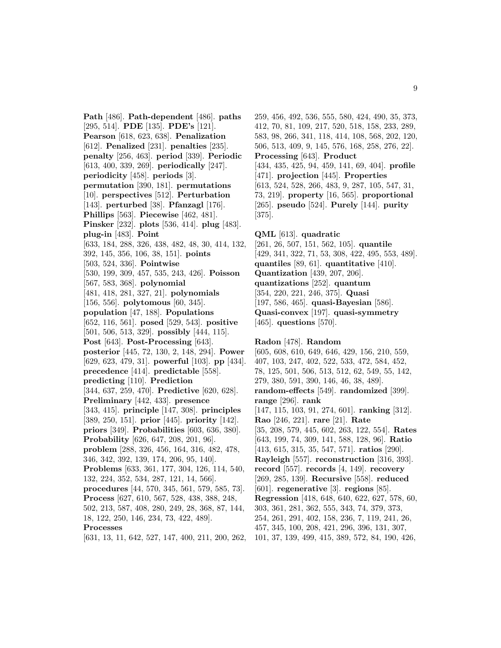**Path** [486]. **Path-dependent** [486]. **paths** [295, 514]. **PDE** [135]. **PDE's** [121]. **Pearson** [618, 623, 638]. **Penalization** [612]. **Penalized** [231]. **penalties** [235]. **penalty** [256, 463]. **period** [339]. **Periodic** [613, 400, 339, 269]. **periodically** [247]. **periodicity** [458]. **periods** [3]. **permutation** [390, 181]. **permutations** [10]. **perspectives** [512]. **Perturbation** [143]. **perturbed** [38]. **Pfanzagl** [176]. **Phillips** [563]. **Piecewise** [462, 481]. **Pinsker** [232]. **plots** [536, 414]. **plug** [483]. **plug-in** [483]. **Point** [633, 184, 288, 326, 438, 482, 48, 30, 414, 132, 392, 145, 356, 106, 38, 151]. **points** [503, 524, 336]. **Pointwise** [530, 199, 309, 457, 535, 243, 426]. **Poisson** [567, 583, 368]. **polynomial** [481, 418, 281, 327, 21]. **polynomials** [156, 556]. **polytomous** [60, 345]. **population** [47, 188]. **Populations** [652, 116, 561]. **posed** [529, 543]. **positive** [501, 506, 513, 329]. **possibly** [444, 115]. **Post** [643]. **Post-Processing** [643]. **posterior** [445, 72, 130, 2, 148, 294]. **Power** [629, 623, 479, 31]. **powerful** [103]. **pp** [434]. **precedence** [414]. **predictable** [558]. **predicting** [110]. **Prediction** [344, 637, 259, 470]. **Predictive** [620, 628]. **Preliminary** [442, 433]. **presence** [343, 415]. **principle** [147, 308]. **principles** [389, 250, 151]. **prior** [445]. **priority** [142]. **priors** [349]. **Probabilities** [603, 636, 380]. **Probability** [626, 647, 208, 201, 96]. **problem** [288, 326, 456, 164, 316, 482, 478, 346, 342, 392, 139, 174, 206, 95, 140]. **Problems** [633, 361, 177, 304, 126, 114, 540, 132, 224, 352, 534, 287, 121, 14, 566]. **procedures** [44, 570, 345, 561, 579, 585, 73]. **Process** [627, 610, 567, 528, 438, 388, 248, 502, 213, 587, 408, 280, 249, 28, 368, 87, 144, 18, 122, 250, 146, 234, 73, 422, 489]. **Processes** [631, 13, 11, 642, 527, 147, 400, 211, 200, 262,

259, 456, 492, 536, 555, 580, 424, 490, 35, 373, 412, 70, 81, 109, 217, 520, 518, 158, 233, 289, 583, 98, 266, 341, 118, 414, 108, 568, 202, 120, 506, 513, 409, 9, 145, 576, 168, 258, 276, 22]. **Processing** [643]. **Product** [434, 435, 425, 94, 459, 141, 69, 404]. **profile** [471]. **projection** [445]. **Properties** [613, 524, 528, 266, 483, 9, 287, 105, 547, 31, 73, 219]. **property** [16, 565]. **proportional** [265]. **pseudo** [524]. **Purely** [144]. **purity** [375]. **QML** [613]. **quadratic**

[261, 26, 507, 151, 562, 105]. **quantile** [429, 341, 322, 71, 53, 308, 422, 495, 553, 489]. **quantiles** [89, 61]. **quantitative** [410]. **Quantization** [439, 207, 206]. **quantizations** [252]. **quantum** [354, 220, 221, 246, 375]. **Quasi** [197, 586, 465]. **quasi-Bayesian** [586]. **Quasi-convex** [197]. **quasi-symmetry** [465]. **questions** [570].

# **Radon** [478]. **Random** [605, 608, 610, 649, 646, 429, 156, 210, 559, 407, 103, 247, 402, 522, 533, 472, 584, 452, 78, 125, 501, 506, 513, 512, 62, 549, 55, 142, 279, 380, 591, 390, 146, 46, 38, 489]. **random-effects** [549]. **randomized** [399]. **range** [296]. **rank** [147, 115, 103, 91, 274, 601]. **ranking** [312]. **Rao** [246, 221]. **rare** [21]. **Rate** [35, 208, 579, 445, 602, 263, 122, 554]. **Rates** [643, 199, 74, 309, 141, 588, 128, 96]. **Ratio** [413, 615, 315, 35, 547, 571]. **ratios** [290]. **Rayleigh** [557]. **reconstruction** [316, 393]. **record** [557]. **records** [4, 149]. **recovery** [269, 285, 139]. **Recursive** [558]. **reduced** [601]. **regenerative** [3]. **regions** [85]. **Regression** [418, 648, 640, 622, 627, 578, 60, 303, 361, 281, 362, 555, 343, 74, 379, 373, 254, 261, 291, 402, 158, 236, 7, 119, 241, 26, 457, 345, 100, 208, 421, 296, 396, 131, 307, 101, 37, 139, 499, 415, 389, 572, 84, 190, 426,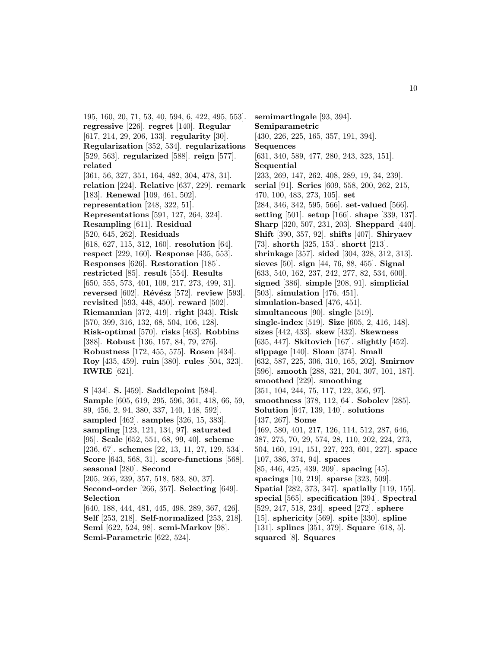195, 160, 20, 71, 53, 40, 594, 6, 422, 495, 553]. **regressive** [226]. **regret** [140]. **Regular** [617, 214, 29, 206, 133]. **regularity** [30]. **Regularization** [352, 534]. **regularizations** [529, 563]. **regularized** [588]. **reign** [577]. **related** [361, 56, 327, 351, 164, 482, 304, 478, 31]. **relation** [224]. **Relative** [637, 229]. **remark** [183]. **Renewal** [109, 461, 502]. **representation** [248, 322, 51]. **Representations** [591, 127, 264, 324]. **Resampling** [611]. **Residual** [520, 645, 262]. **Residuals** [618, 627, 115, 312, 160]. **resolution** [64]. **respect** [229, 160]. **Response** [435, 553]. **Responses** [626]. **Restoration** [185]. **restricted** [85]. **result** [554]. **Results** [650, 555, 573, 401, 109, 217, 273, 499, 31]. **reversed** [602]. **Révész** [572]. **review** [593]. **revisited** [593, 448, 450]. **reward** [502]. **Riemannian** [372, 419]. **right** [343]. **Risk** [570, 399, 316, 132, 68, 504, 106, 128]. **Risk-optimal** [570]. **risks** [463]. **Robbins** [388]. **Robust** [136, 157, 84, 79, 276]. **Robustness** [172, 455, 575]. **Rosen** [434]. **Roy** [435, 459]. **ruin** [380]. **rules** [504, 323]. **RWRE** [621].

**S** [434]. **S.** [459]. **Saddlepoint** [584]. **Sample** [605, 619, 295, 596, 361, 418, 66, 59, 89, 456, 2, 94, 380, 337, 140, 148, 592]. **sampled** [462]. **samples** [326, 15, 383]. **sampling** [123, 121, 134, 97]. **saturated** [95]. **Scale** [652, 551, 68, 99, 40]. **scheme** [236, 67]. **schemes** [22, 13, 11, 27, 129, 534]. **Score** [643, 568, 31]. **score-functions** [568]. **seasonal** [280]. **Second** [205, 266, 239, 357, 518, 583, 80, 37]. **Second-order** [266, 357]. **Selecting** [649]. **Selection** [640, 188, 444, 481, 445, 498, 289, 367, 426]. **Self** [253, 218]. **Self-normalized** [253, 218]. **Semi** [622, 524, 98]. **semi-Markov** [98]. **Semi-Parametric** [622, 524].

**semimartingale** [93, 394]. **Semiparametric** [430, 226, 225, 165, 357, 191, 394]. **Sequences** [631, 340, 589, 477, 280, 243, 323, 151]. **Sequential** [233, 269, 147, 262, 408, 289, 19, 34, 239]. **serial** [91]. **Series** [609, 558, 200, 262, 215, 470, 100, 483, 273, 105]. **set** [284, 346, 342, 595, 566]. **set-valued** [566]. **setting** [501]. **setup** [166]. **shape** [339, 137]. **Sharp** [320, 507, 231, 203]. **Sheppard** [440]. **Shift** [390, 357, 92]. **shifts** [407]. **Shiryaev** [73]. **shorth** [325, 153]. **shortt** [213]. **shrinkage** [357]. **sided** [304, 328, 312, 313]. **sieves** [50]. **sign** [44, 76, 88, 455]. **Signal** [633, 540, 162, 237, 242, 277, 82, 534, 600]. **signed** [386]. **simple** [208, 91]. **simplicial** [503]. **simulation** [476, 451]. **simulation-based** [476, 451]. **simultaneous** [90]. **single** [519]. **single-index** [519]. **Size** [605, 2, 416, 148]. **sizes** [442, 433]. **skew** [432]. **Skewness** [635, 447]. **Skitovich** [167]. **slightly** [452]. **slippage** [140]. **Sloan** [374]. **Small** [632, 587, 225, 306, 310, 165, 202]. **Smirnov** [596]. **smooth** [288, 321, 204, 307, 101, 187]. **smoothed** [229]. **smoothing** [351, 104, 244, 75, 117, 122, 356, 97]. **smoothness** [378, 112, 64]. **Sobolev** [285]. **Solution** [647, 139, 140]. **solutions** [437, 267]. **Some** [469, 580, 401, 217, 126, 114, 512, 287, 646, 387, 275, 70, 29, 574, 28, 110, 202, 224, 273, 504, 160, 191, 151, 227, 223, 601, 227]. **space** [107, 386, 374, 94]. **spaces** [85, 446, 425, 439, 209]. **spacing** [45]. **spacings** [10, 219]. **sparse** [323, 509]. **Spatial** [282, 373, 347]. **spatially** [119, 155]. **special** [565]. **specification** [394]. **Spectral** [529, 247, 518, 234]. **speed** [272]. **sphere** [15]. **sphericity** [569]. **spite** [330]. **spline** [131]. **splines** [351, 379]. **Square** [618, 5]. **squared** [8]. **Squares**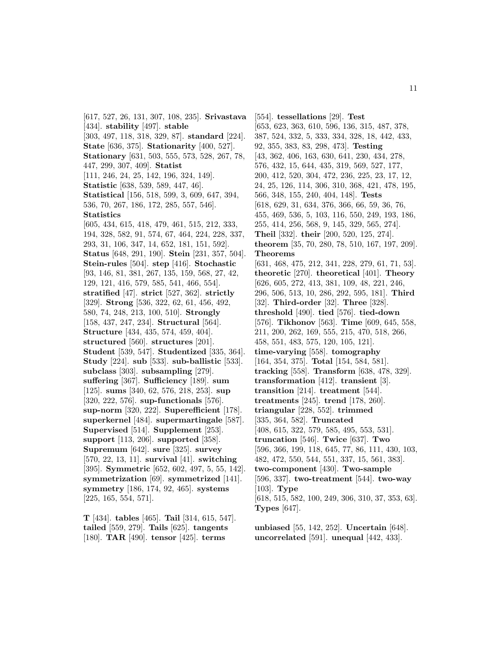[617, 527, 26, 131, 307, 108, 235]. **Srivastava** [434]. **stability** [497]. **stable** [303, 497, 118, 318, 329, 87]. **standard** [224]. **State** [636, 375]. **Stationarity** [400, 527]. **Stationary** [631, 503, 555, 573, 528, 267, 78, 447, 299, 307, 409]. **Statist** [111, 246, 24, 25, 142, 196, 324, 149]. **Statistic** [638, 539, 589, 447, 46]. **Statistical** [156, 518, 599, 3, 609, 647, 394, 536, 70, 267, 186, 172, 285, 557, 546]. **Statistics** [605, 434, 615, 418, 479, 461, 515, 212, 333, 194, 328, 582, 91, 574, 67, 464, 224, 228, 337, 293, 31, 106, 347, 14, 652, 181, 151, 592]. **Status** [648, 291, 190]. **Stein** [231, 357, 504]. **Stein-rules** [504]. **step** [416]. **Stochastic** [93, 146, 81, 381, 267, 135, 159, 568, 27, 42, 129, 121, 416, 579, 585, 541, 466, 554]. **stratified** [47]. **strict** [527, 362]. **strictly** [329]. **Strong** [536, 322, 62, 61, 456, 492, 580, 74, 248, 213, 100, 510]. **Strongly** [158, 437, 247, 234]. **Structural** [564]. **Structure** [434, 435, 574, 459, 404]. **structured** [560]. **structures** [201]. **Student** [539, 547]. **Studentized** [335, 364]. **Study** [224]. **sub** [533]. **sub-ballistic** [533]. **subclass** [303]. **subsampling** [279]. **suffering** [367]. **Sufficiency** [189]. **sum** [125]. **sums** [340, 62, 576, 218, 253]. **sup** [320, 222, 576]. **sup-functionals** [576]. **sup-norm** [320, 222]. **Superefficient** [178]. **superkernel** [484]. **supermartingale** [587]. **Supervised** [514]. **Supplement** [253]. **support** [113, 206]. **supported** [358]. **Supremum** [642]. **sure** [325]. **survey** [570, 22, 13, 11]. **survival** [41]. **switching** [395]. **Symmetric** [652, 602, 497, 5, 55, 142]. **symmetrization** [69]. **symmetrized** [141]. **symmetry** [186, 174, 92, 465]. **systems** [225, 165, 554, 571].

**T** [434]. **tables** [465]. **Tail** [314, 615, 547]. **tailed** [559, 279]. **Tails** [625]. **tangents** [180]. **TAR** [490]. **tensor** [425]. **terms**

[554]. **tessellations** [29]. **Test** [653, 623, 363, 610, 596, 136, 315, 487, 378, 387, 524, 332, 5, 333, 334, 328, 18, 442, 433, 92, 355, 383, 83, 298, 473]. **Testing** [43, 362, 406, 163, 630, 641, 230, 434, 278, 576, 432, 15, 644, 435, 319, 569, 527, 177, 200, 412, 520, 304, 472, 236, 225, 23, 17, 12, 24, 25, 126, 114, 306, 310, 368, 421, 478, 195, 566, 348, 155, 240, 404, 148]. **Tests** [618, 629, 31, 634, 376, 366, 66, 59, 36, 76, 455, 469, 536, 5, 103, 116, 550, 249, 193, 186, 255, 414, 256, 568, 9, 145, 329, 565, 274]. **Theil** [332]. **their** [200, 520, 125, 274]. **theorem** [35, 70, 280, 78, 510, 167, 197, 209]. **Theorems** [631, 468, 475, 212, 341, 228, 279, 61, 71, 53]. **theoretic** [270]. **theoretical** [401]. **Theory** [626, 605, 272, 413, 381, 109, 48, 221, 246, 296, 506, 513, 10, 286, 292, 595, 181]. **Third** [32]. **Third-order** [32]. **Three** [328]. **threshold** [490]. **tied** [576]. **tied-down** [576]. **Tikhonov** [563]. **Time** [609, 645, 558, 211, 200, 262, 169, 555, 215, 470, 518, 266, 458, 551, 483, 575, 120, 105, 121]. **time-varying** [558]. **tomography** [164, 354, 375]. **Total** [154, 584, 581]. **tracking** [558]. **Transform** [638, 478, 329]. **transformation** [412]. **transient** [3]. **transition** [214]. **treatment** [544]. **treatments** [245]. **trend** [178, 260]. **triangular** [228, 552]. **trimmed** [335, 364, 582]. **Truncated** [408, 615, 322, 579, 585, 495, 553, 531]. **truncation** [546]. **Twice** [637]. **Two** [596, 366, 199, 118, 645, 77, 86, 111, 430, 103, 482, 472, 550, 544, 551, 337, 15, 561, 383]. **two-component** [430]. **Two-sample** [596, 337]. **two-treatment** [544]. **two-way** [103]. **Type** [618, 515, 582, 100, 249, 306, 310, 37, 353, 63]. **Types** [647].

**unbiased** [55, 142, 252]. **Uncertain** [648]. **uncorrelated** [591]. **unequal** [442, 433].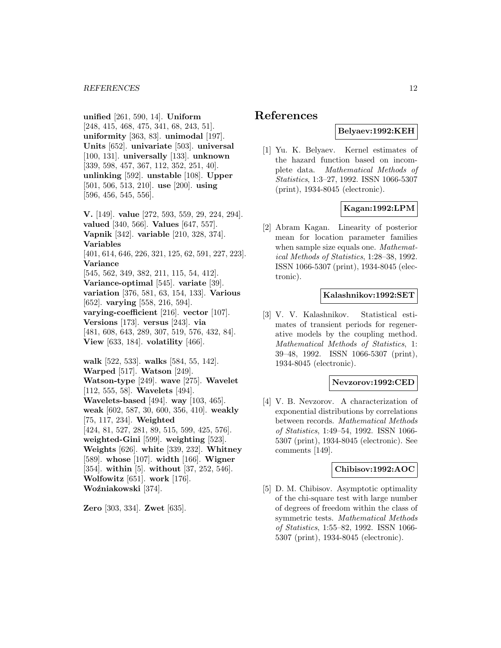**unified** [261, 590, 14]. **Uniform** [248, 415, 468, 475, 341, 68, 243, 51]. **uniformity** [363, 83]. **unimodal** [197]. **Units** [652]. **univariate** [503]. **universal** [100, 131]. **universally** [133]. **unknown** [339, 598, 457, 367, 112, 352, 251, 40]. **unlinking** [592]. **unstable** [108]. **Upper** [501, 506, 513, 210]. **use** [200]. **using** [596, 456, 545, 556].

**V.** [149]. **value** [272, 593, 559, 29, 224, 294]. **valued** [340, 566]. **Values** [647, 557]. **Vapnik** [342]. **variable** [210, 328, 374]. **Variables** [401, 614, 646, 226, 321, 125, 62, 591, 227, 223]. **Variance** [545, 562, 349, 382, 211, 115, 54, 412]. **Variance-optimal** [545]. **variate** [39]. **variation** [376, 581, 63, 154, 133]. **Various** [652]. **varying** [558, 216, 594]. **varying-coefficient** [216]. **vector** [107]. **Versions** [173]. **versus** [243]. **via** [481, 608, 643, 289, 307, 519, 576, 432, 84]. **View** [633, 184]. **volatility** [466]. **walk** [522, 533]. **walks** [584, 55, 142]. **Warped** [517]. **Watson** [249]. **Watson-type** [249]. **wave** [275]. **Wavelet**

[112, 555, 58]. **Wavelets** [494].

**Wavelets-based** [494]. **way** [103, 465]. **weak** [602, 587, 30, 600, 356, 410]. **weakly**

[75, 117, 234]. **Weighted**

[424, 81, 527, 281, 89, 515, 599, 425, 576].

**weighted-Gini** [599]. **weighting** [523].

**Weights** [626]. **white** [339, 232]. **Whitney**

[589]. **whose** [107]. **width** [166]. **Wigner**

[354]. **within** [5]. **without** [37, 252, 546]. **Wolfowitz** [651]. **work** [176].

**Woźniakowski** [374].

**Zero** [303, 334]. **Zwet** [635].

# **References**

# **Belyaev:1992:KEH**

[1] Yu. K. Belyaev. Kernel estimates of the hazard function based on incomplete data. Mathematical Methods of Statistics, 1:3–27, 1992. ISSN 1066-5307 (print), 1934-8045 (electronic).

# **Kagan:1992:LPM**

[2] Abram Kagan. Linearity of posterior mean for location parameter families when sample size equals one. Mathematical Methods of Statistics, 1:28–38, 1992. ISSN 1066-5307 (print), 1934-8045 (electronic).

# **Kalashnikov:1992:SET**

[3] V. V. Kalashnikov. Statistical estimates of transient periods for regenerative models by the coupling method. Mathematical Methods of Statistics, 1: 39–48, 1992. ISSN 1066-5307 (print), 1934-8045 (electronic).

#### **Nevzorov:1992:CED**

[4] V. B. Nevzorov. A characterization of exponential distributions by correlations between records. Mathematical Methods of Statistics, 1:49–54, 1992. ISSN 1066- 5307 (print), 1934-8045 (electronic). See comments [149].

#### **Chibisov:1992:AOC**

[5] D. M. Chibisov. Asymptotic optimality of the chi-square test with large number of degrees of freedom within the class of symmetric tests. Mathematical Methods of Statistics, 1:55–82, 1992. ISSN 1066- 5307 (print), 1934-8045 (electronic).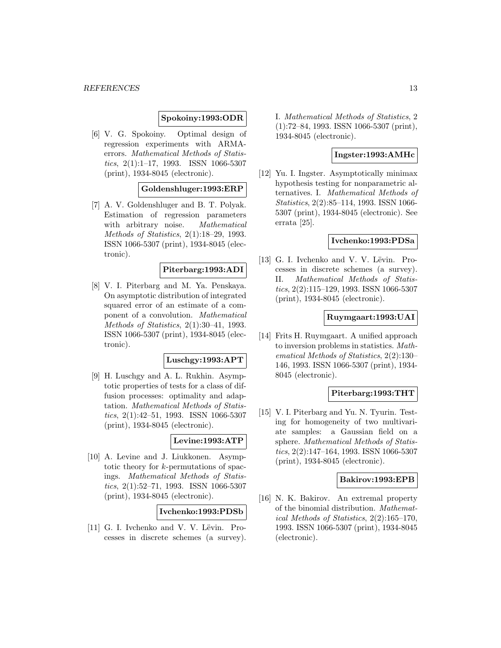# **Spokoiny:1993:ODR**

[6] V. G. Spokoiny. Optimal design of regression experiments with ARMAerrors. Mathematical Methods of Statistics,  $2(1):1-17$ , 1993. ISSN 1066-5307 (print), 1934-8045 (electronic).

# **Goldenshluger:1993:ERP**

[7] A. V. Goldenshluger and B. T. Polyak. Estimation of regression parameters with arbitrary noise. Mathematical Methods of Statistics, 2(1):18–29, 1993. ISSN 1066-5307 (print), 1934-8045 (electronic).

### **Piterbarg:1993:ADI**

[8] V. I. Piterbarg and M. Ya. Penskaya. On asymptotic distribution of integrated squared error of an estimate of a component of a convolution. Mathematical Methods of Statistics, 2(1):30–41, 1993. ISSN 1066-5307 (print), 1934-8045 (electronic).

#### **Luschgy:1993:APT**

[9] H. Luschgy and A. L. Rukhin. Asymptotic properties of tests for a class of diffusion processes: optimality and adaptation. Mathematical Methods of Statistics, 2(1):42–51, 1993. ISSN 1066-5307 (print), 1934-8045 (electronic).

# **Levine:1993:ATP**

[10] A. Levine and J. Liukkonen. Asymptotic theory for k-permutations of spacings. Mathematical Methods of Statistics,  $2(1):52-71$ , 1993. ISSN 1066-5307 (print), 1934-8045 (electronic).

# **Ivchenko:1993:PDSb**

 $[11]$  G. I. Ivchenko and V. V. Lëvin. Processes in discrete schemes (a survey). I. Mathematical Methods of Statistics, 2 (1):72–84, 1993. ISSN 1066-5307 (print), 1934-8045 (electronic).

# **Ingster:1993:AMHc**

[12] Yu. I. Ingster. Asymptotically minimax hypothesis testing for nonparametric alternatives. I. Mathematical Methods of Statistics, 2(2):85–114, 1993. ISSN 1066- 5307 (print), 1934-8045 (electronic). See errata [25].

### **Ivchenko:1993:PDSa**

[13] G. I. Ivchenko and V. V. Lëvin. Processes in discrete schemes (a survey). II. Mathematical Methods of Statistics, 2(2):115–129, 1993. ISSN 1066-5307 (print), 1934-8045 (electronic).

### **Ruymgaart:1993:UAI**

[14] Frits H. Ruymgaart. A unified approach to inversion problems in statistics. Mathematical Methods of Statistics, 2(2):130– 146, 1993. ISSN 1066-5307 (print), 1934- 8045 (electronic).

### **Piterbarg:1993:THT**

[15] V. I. Piterbarg and Yu. N. Tyurin. Testing for homogeneity of two multivariate samples: a Gaussian field on a sphere. Mathematical Methods of Statistics, 2(2):147–164, 1993. ISSN 1066-5307 (print), 1934-8045 (electronic).

# **Bakirov:1993:EPB**

[16] N. K. Bakirov. An extremal property of the binomial distribution. Mathematical Methods of Statistics, 2(2):165–170, 1993. ISSN 1066-5307 (print), 1934-8045 (electronic).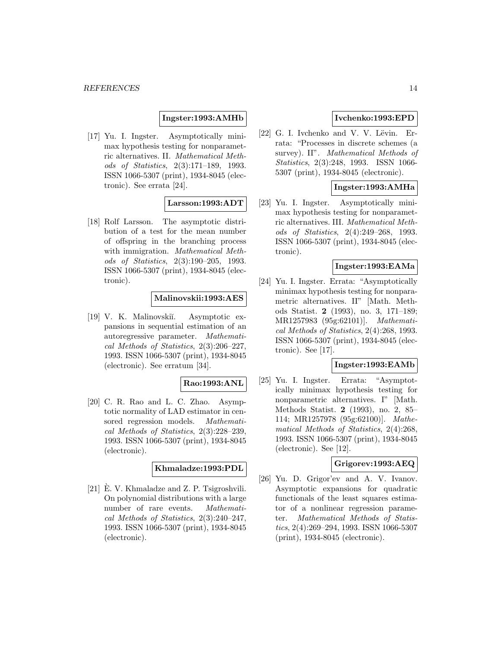# **Ingster:1993:AMHb**

[17] Yu. I. Ingster. Asymptotically minimax hypothesis testing for nonparametric alternatives. II. Mathematical Methods of Statistics, 2(3):171–189, 1993. ISSN 1066-5307 (print), 1934-8045 (electronic). See errata [24].

# **Larsson:1993:ADT**

[18] Rolf Larsson. The asymptotic distribution of a test for the mean number of offspring in the branching process with immigration. Mathematical Methods of Statistics, 2(3):190–205, 1993. ISSN 1066-5307 (print), 1934-8045 (electronic).

# **Malinovskii:1993:AES**

[19] V. K. Malinovskiı̆. Asymptotic expansions in sequential estimation of an autoregressive parameter. Mathematical Methods of Statistics, 2(3):206–227, 1993. ISSN 1066-5307 (print), 1934-8045 (electronic). See erratum [34].

# **Rao:1993:ANL**

[20] C. R. Rao and L. C. Zhao. Asymptotic normality of LAD estimator in censored regression models. Mathematical Methods of Statistics, 2(3):228–239, 1993. ISSN 1066-5307 (print), 1934-8045 (electronic).

# **Khmaladze:1993:PDL**

[21]  $\hat{E}$ . V. Khmaladze and Z. P. Tsigroshvili. On polynomial distributions with a large number of rare events. Mathematical Methods of Statistics, 2(3):240–247, 1993. ISSN 1066-5307 (print), 1934-8045 (electronic).

# **Ivchenko:1993:EPD**

 $[22]$  G. I. Ivchenko and V. V. Lëvin. Errata: "Processes in discrete schemes (a survey). II". Mathematical Methods of Statistics, 2(3):248, 1993. ISSN 1066- 5307 (print), 1934-8045 (electronic).

### **Ingster:1993:AMHa**

[23] Yu. I. Ingster. Asymptotically minimax hypothesis testing for nonparametric alternatives. III. Mathematical Methods of Statistics, 2(4):249–268, 1993. ISSN 1066-5307 (print), 1934-8045 (electronic).

# **Ingster:1993:EAMa**

[24] Yu. I. Ingster. Errata: "Asymptotically minimax hypothesis testing for nonparametric alternatives. II" [Math. Methods Statist. **2** (1993), no. 3, 171–189; MR1257983 (95g:62101)]. Mathematical Methods of Statistics, 2(4):268, 1993. ISSN 1066-5307 (print), 1934-8045 (electronic). See [17].

# **Ingster:1993:EAMb**

[25] Yu. I. Ingster. Errata: "Asymptotically minimax hypothesis testing for nonparametric alternatives. I" [Math. Methods Statist. **2** (1993), no. 2, 85– 114; MR1257978 (95g:62100)]. Mathematical Methods of Statistics, 2(4):268, 1993. ISSN 1066-5307 (print), 1934-8045 (electronic). See [12].

# **Grigorev:1993:AEQ**

[26] Yu. D. Grigor'ev and A. V. Ivanov. Asymptotic expansions for quadratic functionals of the least squares estimator of a nonlinear regression parameter. Mathematical Methods of Statistics, 2(4):269–294, 1993. ISSN 1066-5307 (print), 1934-8045 (electronic).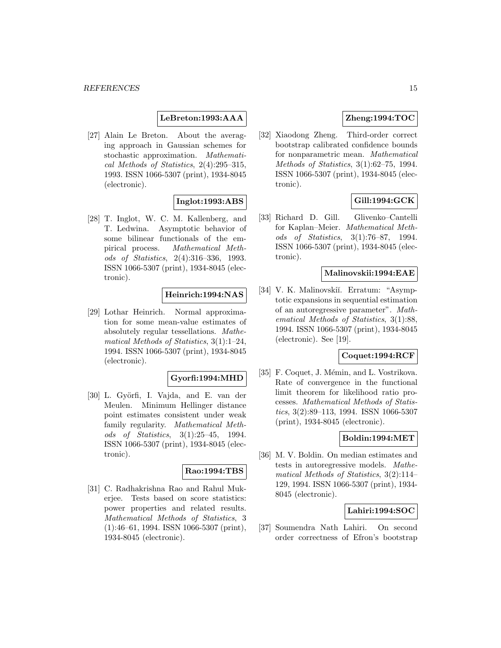# **LeBreton:1993:AAA**

[27] Alain Le Breton. About the averaging approach in Gaussian schemes for stochastic approximation. Mathematical Methods of Statistics, 2(4):295–315, 1993. ISSN 1066-5307 (print), 1934-8045 (electronic).

# **Inglot:1993:ABS**

[28] T. Inglot, W. C. M. Kallenberg, and T. Ledwina. Asymptotic behavior of some bilinear functionals of the empirical process. Mathematical Methods of Statistics, 2(4):316–336, 1993. ISSN 1066-5307 (print), 1934-8045 (electronic).

# **Heinrich:1994:NAS**

[29] Lothar Heinrich. Normal approximation for some mean-value estimates of absolutely regular tessellations. Mathematical Methods of Statistics, 3(1):1–24, 1994. ISSN 1066-5307 (print), 1934-8045 (electronic).

### **Gyorfi:1994:MHD**

[30] L. Györfi, I. Vajda, and E. van der Meulen. Minimum Hellinger distance point estimates consistent under weak family regularity. Mathematical Methods of Statistics, 3(1):25–45, 1994. ISSN 1066-5307 (print), 1934-8045 (electronic).

# **Rao:1994:TBS**

[31] C. Radhakrishna Rao and Rahul Mukerjee. Tests based on score statistics: power properties and related results. Mathematical Methods of Statistics, 3 (1):46–61, 1994. ISSN 1066-5307 (print), 1934-8045 (electronic).

# **Zheng:1994:TOC**

[32] Xiaodong Zheng. Third-order correct bootstrap calibrated confidence bounds for nonparametric mean. Mathematical Methods of Statistics, 3(1):62–75, 1994. ISSN 1066-5307 (print), 1934-8045 (electronic).

# **Gill:1994:GCK**

[33] Richard D. Gill. Glivenko–Cantelli for Kaplan–Meier. Mathematical Methods of Statistics, 3(1):76–87, 1994. ISSN 1066-5307 (print), 1934-8045 (electronic).

# **Malinovskii:1994:EAE**

[34] V. K. Malinovskiı̆. Erratum: "Asymptotic expansions in sequential estimation of an autoregressive parameter". Mathematical Methods of Statistics, 3(1):88, 1994. ISSN 1066-5307 (print), 1934-8045 (electronic). See [19].

#### **Coquet:1994:RCF**

[35] F. Coquet, J. Mémin, and L. Vostrikova. Rate of convergence in the functional limit theorem for likelihood ratio processes. Mathematical Methods of Statistics, 3(2):89–113, 1994. ISSN 1066-5307 (print), 1934-8045 (electronic).

# **Boldin:1994:MET**

[36] M. V. Boldin. On median estimates and tests in autoregressive models. Mathematical Methods of Statistics, 3(2):114– 129, 1994. ISSN 1066-5307 (print), 1934- 8045 (electronic).

# **Lahiri:1994:SOC**

[37] Soumendra Nath Lahiri. On second order correctness of Efron's bootstrap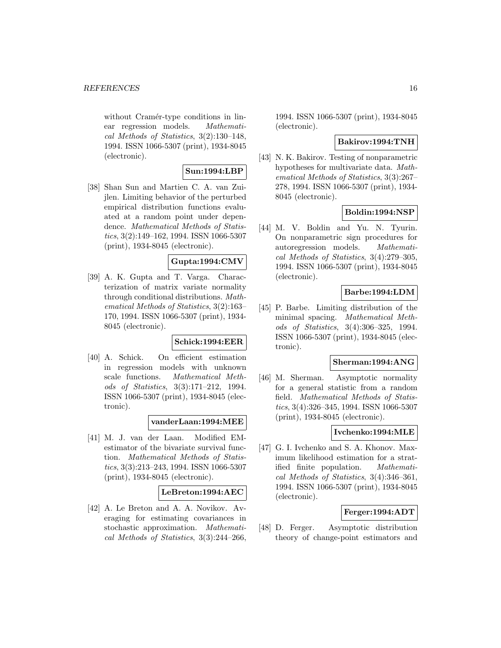without Cramér-type conditions in linear regression models. Mathematical Methods of Statistics, 3(2):130–148, 1994. ISSN 1066-5307 (print), 1934-8045 (electronic).

# **Sun:1994:LBP**

[38] Shan Sun and Martien C. A. van Zuijlen. Limiting behavior of the perturbed empirical distribution functions evaluated at a random point under dependence. Mathematical Methods of Statistics, 3(2):149–162, 1994. ISSN 1066-5307 (print), 1934-8045 (electronic).

# **Gupta:1994:CMV**

[39] A. K. Gupta and T. Varga. Characterization of matrix variate normality through conditional distributions. Mathematical Methods of Statistics, 3(2):163– 170, 1994. ISSN 1066-5307 (print), 1934- 8045 (electronic).

# **Schick:1994:EER**

[40] A. Schick. On efficient estimation in regression models with unknown scale functions. Mathematical Methods of Statistics, 3(3):171–212, 1994. ISSN 1066-5307 (print), 1934-8045 (electronic).

**vanderLaan:1994:MEE**

[41] M. J. van der Laan. Modified EMestimator of the bivariate survival function. Mathematical Methods of Statistics, 3(3):213–243, 1994. ISSN 1066-5307 (print), 1934-8045 (electronic).

# **LeBreton:1994:AEC**

[42] A. Le Breton and A. A. Novikov. Averaging for estimating covariances in stochastic approximation. Mathematical Methods of Statistics, 3(3):244–266,

1994. ISSN 1066-5307 (print), 1934-8045 (electronic).

### **Bakirov:1994:TNH**

[43] N. K. Bakirov. Testing of nonparametric hypotheses for multivariate data. Mathematical Methods of Statistics, 3(3):267– 278, 1994. ISSN 1066-5307 (print), 1934- 8045 (electronic).

# **Boldin:1994:NSP**

[44] M. V. Boldin and Yu. N. Tyurin. On nonparametric sign procedures for autoregression models. Mathematical Methods of Statistics, 3(4):279–305, 1994. ISSN 1066-5307 (print), 1934-8045 (electronic).

# **Barbe:1994:LDM**

[45] P. Barbe. Limiting distribution of the minimal spacing. Mathematical Methods of Statistics, 3(4):306–325, 1994. ISSN 1066-5307 (print), 1934-8045 (electronic).

# **Sherman:1994:ANG**

[46] M. Sherman. Asymptotic normality for a general statistic from a random field. Mathematical Methods of Statistics, 3(4):326–345, 1994. ISSN 1066-5307 (print), 1934-8045 (electronic).

# **Ivchenko:1994:MLE**

[47] G. I. Ivchenko and S. A. Khonov. Maximum likelihood estimation for a stratified finite population. Mathematical Methods of Statistics, 3(4):346–361, 1994. ISSN 1066-5307 (print), 1934-8045 (electronic).

# **Ferger:1994:ADT**

[48] D. Ferger. Asymptotic distribution theory of change-point estimators and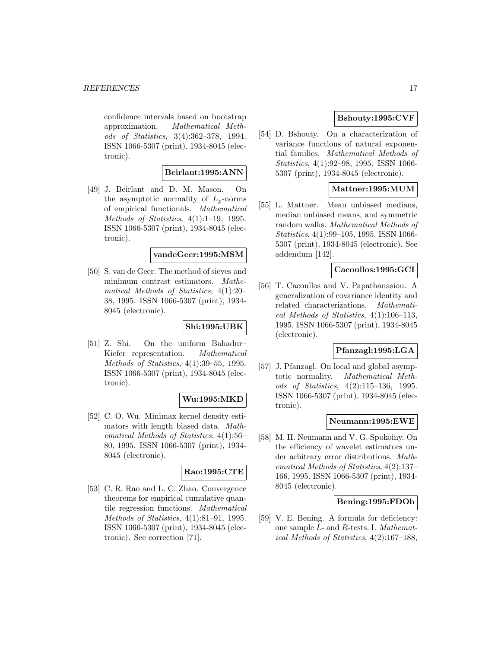confidence intervals based on bootstrap approximation. Mathematical Methods of Statistics, 3(4):362–378, 1994. ISSN 1066-5307 (print), 1934-8045 (electronic).

# **Beirlant:1995:ANN**

[49] J. Beirlant and D. M. Mason. On the asymptotic normality of  $L_p$ -norms of empirical functionals. Mathematical Methods of Statistics,  $4(1):1-19$ , 1995. ISSN 1066-5307 (print), 1934-8045 (electronic).

#### **vandeGeer:1995:MSM**

[50] S. van de Geer. The method of sieves and minimum contrast estimators. Mathematical Methods of Statistics, 4(1):20– 38, 1995. ISSN 1066-5307 (print), 1934- 8045 (electronic).

# **Shi:1995:UBK**

[51] Z. Shi. On the uniform Bahadur– Kiefer representation. Mathematical Methods of Statistics, 4(1):39–55, 1995. ISSN 1066-5307 (print), 1934-8045 (electronic).

# **Wu:1995:MKD**

[52] C. O. Wu. Minimax kernel density estimators with length biased data. Mathematical Methods of Statistics, 4(1):56– 80, 1995. ISSN 1066-5307 (print), 1934- 8045 (electronic).

# **Rao:1995:CTE**

[53] C. R. Rao and L. C. Zhao. Convergence theorems for empirical cumulative quantile regression functions. Mathematical Methods of Statistics, 4(1):81–91, 1995. ISSN 1066-5307 (print), 1934-8045 (electronic). See correction [71].

# **Bshouty:1995:CVF**

[54] D. Bshouty. On a characterization of variance functions of natural exponential families. Mathematical Methods of Statistics, 4(1):92–98, 1995. ISSN 1066- 5307 (print), 1934-8045 (electronic).

# **Mattner:1995:MUM**

[55] L. Mattner. Mean unbiased medians, median unbiased means, and symmetric random walks. Mathematical Methods of Statistics, 4(1):99–105, 1995. ISSN 1066- 5307 (print), 1934-8045 (electronic). See addendum [142].

### **Cacoullos:1995:GCI**

[56] T. Cacoullos and V. Papathanasiou. A generalization of covariance identity and related characterizations. Mathematical Methods of Statistics, 4(1):106–113, 1995. ISSN 1066-5307 (print), 1934-8045 (electronic).

# **Pfanzagl:1995:LGA**

[57] J. Pfanzagl. On local and global asymptotic normality. Mathematical Methods of Statistics, 4(2):115–136, 1995. ISSN 1066-5307 (print), 1934-8045 (electronic).

### **Neumann:1995:EWE**

[58] M. H. Neumann and V. G. Spokoiny. On the efficiency of wavelet estimators under arbitrary error distributions. Mathematical Methods of Statistics, 4(2):137– 166, 1995. ISSN 1066-5307 (print), 1934- 8045 (electronic).

# **Bening:1995:FDOb**

[59] V. E. Bening. A formula for deficiency: one sample L- and R-tests. I. Mathematical Methods of Statistics, 4(2):167–188,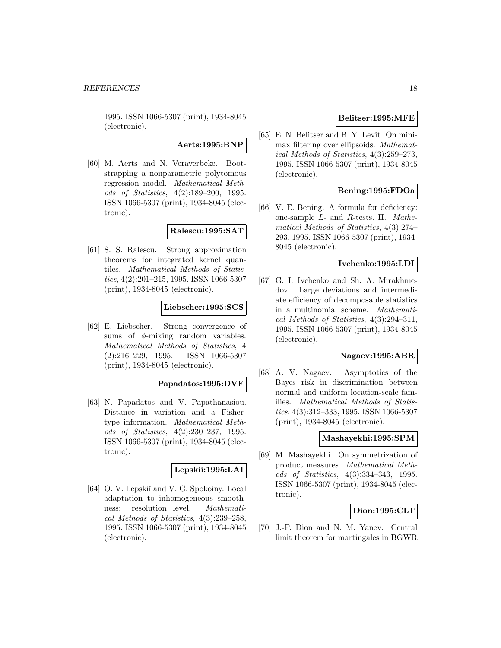1995. ISSN 1066-5307 (print), 1934-8045 (electronic).

**Aerts:1995:BNP**

[60] M. Aerts and N. Veraverbeke. Bootstrapping a nonparametric polytomous regression model. Mathematical Methods of Statistics, 4(2):189–200, 1995. ISSN 1066-5307 (print), 1934-8045 (electronic).

**Ralescu:1995:SAT**

[61] S. S. Ralescu. Strong approximation theorems for integrated kernel quantiles. Mathematical Methods of Statistics, 4(2):201–215, 1995. ISSN 1066-5307 (print), 1934-8045 (electronic).

#### **Liebscher:1995:SCS**

[62] E. Liebscher. Strong convergence of sums of  $\phi$ -mixing random variables. Mathematical Methods of Statistics, 4 (2):216–229, 1995. ISSN 1066-5307 (print), 1934-8045 (electronic).

#### **Papadatos:1995:DVF**

[63] N. Papadatos and V. Papathanasiou. Distance in variation and a Fishertype information. Mathematical Methods of Statistics, 4(2):230–237, 1995. ISSN 1066-5307 (print), 1934-8045 (electronic).

# **Lepskii:1995:LAI**

[64] O. V. Lepskiĭ and V. G. Spokoiny. Local adaptation to inhomogeneous smoothness: resolution level. Mathematical Methods of Statistics, 4(3):239–258, 1995. ISSN 1066-5307 (print), 1934-8045 (electronic).

# **Belitser:1995:MFE**

[65] E. N. Belitser and B. Y. Levit. On minimax filtering over ellipsoids. Mathematical Methods of Statistics, 4(3):259–273, 1995. ISSN 1066-5307 (print), 1934-8045 (electronic).

# **Bening:1995:FDOa**

[66] V. E. Bening. A formula for deficiency: one-sample L- and R-tests. II. Mathematical Methods of Statistics, 4(3):274– 293, 1995. ISSN 1066-5307 (print), 1934- 8045 (electronic).

### **Ivchenko:1995:LDI**

[67] G. I. Ivchenko and Sh. A. Mirakhmedov. Large deviations and intermediate efficiency of decomposable statistics in a multinomial scheme. Mathematical Methods of Statistics, 4(3):294–311, 1995. ISSN 1066-5307 (print), 1934-8045 (electronic).

#### **Nagaev:1995:ABR**

[68] A. V. Nagaev. Asymptotics of the Bayes risk in discrimination between normal and uniform location-scale families. Mathematical Methods of Statistics, 4(3):312–333, 1995. ISSN 1066-5307 (print), 1934-8045 (electronic).

#### **Mashayekhi:1995:SPM**

[69] M. Mashayekhi. On symmetrization of product measures. Mathematical Methods of Statistics, 4(3):334–343, 1995. ISSN 1066-5307 (print), 1934-8045 (electronic).

# **Dion:1995:CLT**

[70] J.-P. Dion and N. M. Yanev. Central limit theorem for martingales in BGWR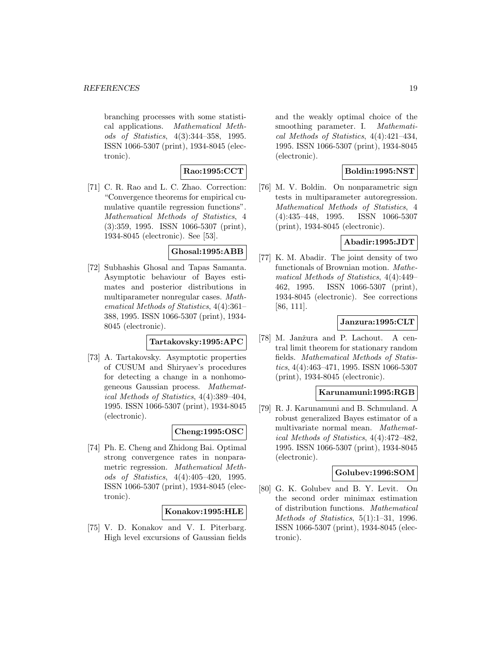branching processes with some statistical applications. Mathematical Methods of Statistics, 4(3):344–358, 1995. ISSN 1066-5307 (print), 1934-8045 (electronic).

# **Rao:1995:CCT**

[71] C. R. Rao and L. C. Zhao. Correction: "Convergence theorems for empirical cumulative quantile regression functions". Mathematical Methods of Statistics, 4 (3):359, 1995. ISSN 1066-5307 (print), 1934-8045 (electronic). See [53].

# **Ghosal:1995:ABB**

[72] Subhashis Ghosal and Tapas Samanta. Asymptotic behaviour of Bayes estimates and posterior distributions in multiparameter nonregular cases. Mathematical Methods of Statistics, 4(4):361– 388, 1995. ISSN 1066-5307 (print), 1934- 8045 (electronic).

# **Tartakovsky:1995:APC**

[73] A. Tartakovsky. Asymptotic properties of CUSUM and Shiryaev's procedures for detecting a change in a nonhomogeneous Gaussian process. Mathematical Methods of Statistics, 4(4):389–404, 1995. ISSN 1066-5307 (print), 1934-8045 (electronic).

# **Cheng:1995:OSC**

[74] Ph. E. Cheng and Zhidong Bai. Optimal strong convergence rates in nonparametric regression. Mathematical Methods of Statistics, 4(4):405–420, 1995. ISSN 1066-5307 (print), 1934-8045 (electronic).

### **Konakov:1995:HLE**

[75] V. D. Konakov and V. I. Piterbarg. High level excursions of Gaussian fields and the weakly optimal choice of the smoothing parameter. I. Mathematical Methods of Statistics, 4(4):421–434, 1995. ISSN 1066-5307 (print), 1934-8045 (electronic).

# **Boldin:1995:NST**

[76] M. V. Boldin. On nonparametric sign tests in multiparameter autoregression. Mathematical Methods of Statistics, 4 (4):435–448, 1995. ISSN 1066-5307 (print), 1934-8045 (electronic).

# **Abadir:1995:JDT**

[77] K. M. Abadir. The joint density of two functionals of Brownian motion. Mathematical Methods of Statistics, 4(4):449– 462, 1995. ISSN 1066-5307 (print), 1934-8045 (electronic). See corrections [86, 111].

# **Janzura:1995:CLT**

[78] M. Janžura and P. Lachout. A central limit theorem for stationary random fields. Mathematical Methods of Statistics, 4(4):463–471, 1995. ISSN 1066-5307 (print), 1934-8045 (electronic).

# **Karunamuni:1995:RGB**

[79] R. J. Karunamuni and B. Schmuland. A robust generalized Bayes estimator of a multivariate normal mean. Mathematical Methods of Statistics, 4(4):472–482, 1995. ISSN 1066-5307 (print), 1934-8045 (electronic).

### **Golubev:1996:SOM**

[80] G. K. Golubev and B. Y. Levit. On the second order minimax estimation of distribution functions. Mathematical Methods of Statistics, 5(1):1–31, 1996. ISSN 1066-5307 (print), 1934-8045 (electronic).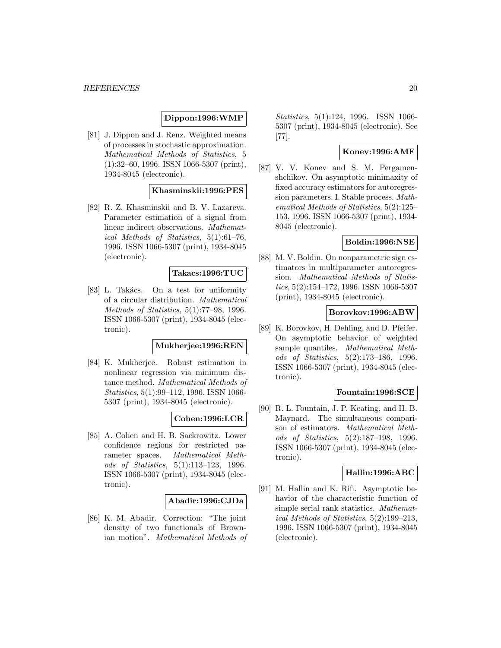# **Dippon:1996:WMP**

[81] J. Dippon and J. Renz. Weighted means of processes in stochastic approximation. Mathematical Methods of Statistics, 5 (1):32–60, 1996. ISSN 1066-5307 (print), 1934-8045 (electronic).

# **Khasminskii:1996:PES**

[82] R. Z. Khasminskii and B. V. Lazareva. Parameter estimation of a signal from linear indirect observations. Mathematical Methods of Statistics, 5(1):61–76, 1996. ISSN 1066-5307 (print), 1934-8045 (electronic).

### **Takacs:1996:TUC**

[83] L. Takács. On a test for uniformity of a circular distribution. Mathematical Methods of Statistics, 5(1):77–98, 1996. ISSN 1066-5307 (print), 1934-8045 (electronic).

# **Mukherjee:1996:REN**

[84] K. Mukherjee. Robust estimation in nonlinear regression via minimum distance method. Mathematical Methods of Statistics, 5(1):99–112, 1996. ISSN 1066- 5307 (print), 1934-8045 (electronic).

# **Cohen:1996:LCR**

[85] A. Cohen and H. B. Sackrowitz. Lower confidence regions for restricted parameter spaces. Mathematical Methods of Statistics, 5(1):113–123, 1996. ISSN 1066-5307 (print), 1934-8045 (electronic).

#### **Abadir:1996:CJDa**

[86] K. M. Abadir. Correction: "The joint density of two functionals of Brownian motion". Mathematical Methods of Statistics, 5(1):124, 1996. ISSN 1066- 5307 (print), 1934-8045 (electronic). See [77].

# **Konev:1996:AMF**

[87] V. V. Konev and S. M. Pergamenshchikov. On asymptotic minimaxity of fixed accuracy estimators for autoregression parameters. I. Stable process. Mathematical Methods of Statistics, 5(2):125– 153, 1996. ISSN 1066-5307 (print), 1934- 8045 (electronic).

### **Boldin:1996:NSE**

[88] M. V. Boldin. On nonparametric sign estimators in multiparameter autoregression. Mathematical Methods of Statistics, 5(2):154–172, 1996. ISSN 1066-5307 (print), 1934-8045 (electronic).

# **Borovkov:1996:ABW**

[89] K. Borovkov, H. Dehling, and D. Pfeifer. On asymptotic behavior of weighted sample quantiles. Mathematical Methods of Statistics, 5(2):173–186, 1996. ISSN 1066-5307 (print), 1934-8045 (electronic).

#### **Fountain:1996:SCE**

[90] R. L. Fountain, J. P. Keating, and H. B. Maynard. The simultaneous comparison of estimators. Mathematical Methods of Statistics, 5(2):187–198, 1996. ISSN 1066-5307 (print), 1934-8045 (electronic).

# **Hallin:1996:ABC**

[91] M. Hallin and K. Rifi. Asymptotic behavior of the characteristic function of simple serial rank statistics. Mathematical Methods of Statistics, 5(2):199–213, 1996. ISSN 1066-5307 (print), 1934-8045 (electronic).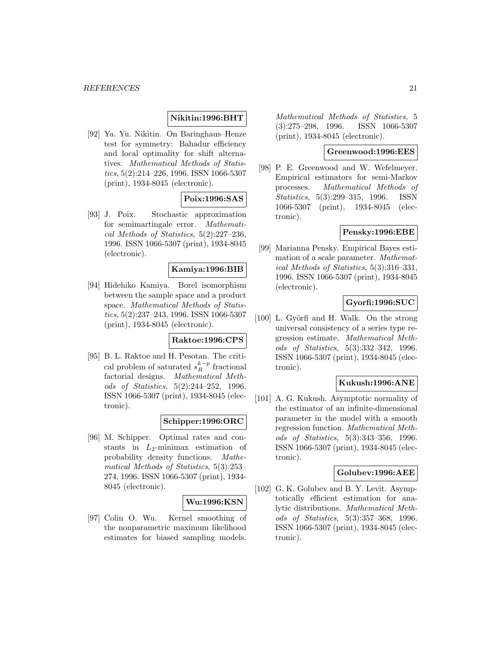# **Nikitin:1996:BHT**

[92] Ya. Yu. Nikitin. On Baringhaus–Henze test for symmetry: Bahadur efficiency and local optimality for shift alternatives. Mathematical Methods of Statistics, 5(2):214–226, 1996. ISSN 1066-5307 (print), 1934-8045 (electronic).

# **Poix:1996:SAS**

[93] J. Poix. Stochastic approximation for semimartingale error. Mathematical Methods of Statistics, 5(2):227–236, 1996. ISSN 1066-5307 (print), 1934-8045 (electronic).

# **Kamiya:1996:BIB**

[94] Hidehiko Kamiya. Borel isomorphism between the sample space and a product space. Mathematical Methods of Statistics, 5(2):237–243, 1996. ISSN 1066-5307 (print), 1934-8045 (electronic).

# **Raktoe:1996:CPS**

[95] B. L. Raktoe and H. Pesotan. The critical problem of saturated  $s_R^{k-p}$  fractional factorial designs. Mathematical Methods of Statistics, 5(2):244–252, 1996. ISSN 1066-5307 (print), 1934-8045 (electronic).

# **Schipper:1996:ORC**

[96] M. Schipper. Optimal rates and constants in  $L_2$ -minimax estimation of probability density functions. Mathematical Methods of Statistics, 5(3):253– 274, 1996. ISSN 1066-5307 (print), 1934- 8045 (electronic).

#### **Wu:1996:KSN**

[97] Colin O. Wu. Kernel smoothing of the nonparametric maximum likelihood estimates for biased sampling models.

Mathematical Methods of Statistics, 5 (3):275–298, 1996. ISSN 1066-5307 (print), 1934-8045 (electronic).

# **Greenwood:1996:EES**

[98] P. E. Greenwood and W. Wefelmeyer. Empirical estimators for semi-Markov processes. Mathematical Methods of Statistics, 5(3):299–315, 1996. ISSN 1066-5307 (print), 1934-8045 (electronic).

# **Pensky:1996:EBE**

[99] Marianna Pensky. Empirical Bayes estimation of a scale parameter. Mathematical Methods of Statistics, 5(3):316–331, 1996. ISSN 1066-5307 (print), 1934-8045 (electronic).

# **Gyorfi:1996:SUC**

[100] L. Györfi and H. Walk. On the strong universal consistency of a series type regression estimate. Mathematical Methods of Statistics, 5(3):332–342, 1996. ISSN 1066-5307 (print), 1934-8045 (electronic).

# **Kukush:1996:ANE**

[101] A. G. Kukush. Asymptotic normality of the estimator of an infinite-dimensional parameter in the model with a smooth regression function. Mathematical Methods of Statistics, 5(3):343–356, 1996. ISSN 1066-5307 (print), 1934-8045 (electronic).

# **Golubev:1996:AEE**

[102] G. K. Golubev and B. Y. Levit. Asymptotically efficient estimation for analytic distributions. Mathematical Methods of Statistics, 5(3):357–368, 1996. ISSN 1066-5307 (print), 1934-8045 (electronic).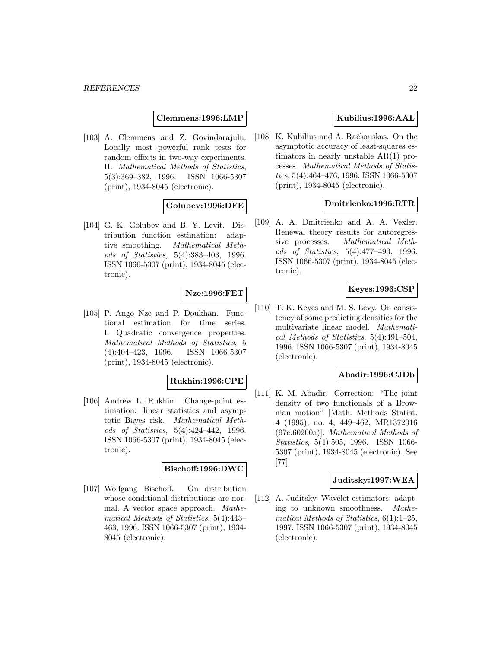**Clemmens:1996:LMP**

[103] A. Clemmens and Z. Govindarajulu. Locally most powerful rank tests for random effects in two-way experiments. II. Mathematical Methods of Statistics, 5(3):369–382, 1996. ISSN 1066-5307  $5(3):369-382$ , 1996. (print), 1934-8045 (electronic).

# **Golubev:1996:DFE**

[104] G. K. Golubev and B. Y. Levit. Distribution function estimation: adaptive smoothing. Mathematical Methods of Statistics, 5(4):383–403, 1996. ISSN 1066-5307 (print), 1934-8045 (electronic).

# **Nze:1996:FET**

[105] P. Ango Nze and P. Doukhan. Functional estimation for time series. I. Quadratic convergence properties. Mathematical Methods of Statistics, 5 (4):404–423, 1996. ISSN 1066-5307 (print), 1934-8045 (electronic).

# **Rukhin:1996:CPE**

[106] Andrew L. Rukhin. Change-point estimation: linear statistics and asymptotic Bayes risk. Mathematical Methods of Statistics, 5(4):424–442, 1996. ISSN 1066-5307 (print), 1934-8045 (electronic).

# **Bischoff:1996:DWC**

[107] Wolfgang Bischoff. On distribution whose conditional distributions are normal. A vector space approach. Mathematical Methods of Statistics, 5(4):443– 463, 1996. ISSN 1066-5307 (print), 1934- 8045 (electronic).

# **Kubilius:1996:AAL**

[108] K. Kubilius and A. Račkauskas. On the asymptotic accuracy of least-squares estimators in nearly unstable AR(1) processes. Mathematical Methods of Statistics, 5(4):464–476, 1996. ISSN 1066-5307 (print), 1934-8045 (electronic).

# **Dmitrienko:1996:RTR**

[109] A. A. Dmitrienko and A. A. Vexler. Renewal theory results for autoregressive processes. Mathematical Methods of Statistics, 5(4):477–490, 1996. ISSN 1066-5307 (print), 1934-8045 (electronic).

# **Keyes:1996:CSP**

[110] T. K. Keyes and M. S. Levy. On consistency of some predicting densities for the multivariate linear model. Mathematical Methods of Statistics, 5(4):491–504, 1996. ISSN 1066-5307 (print), 1934-8045 (electronic).

# **Abadir:1996:CJDb**

[111] K. M. Abadir. Correction: "The joint density of two functionals of a Brownian motion" [Math. Methods Statist. **4** (1995), no. 4, 449–462; MR1372016 (97c:60200a)]. Mathematical Methods of Statistics, 5(4):505, 1996. ISSN 1066- 5307 (print), 1934-8045 (electronic). See [77].

# **Juditsky:1997:WEA**

[112] A. Juditsky. Wavelet estimators: adapting to unknown smoothness. Mathematical Methods of Statistics,  $6(1)$ :1-25, 1997. ISSN 1066-5307 (print), 1934-8045 (electronic).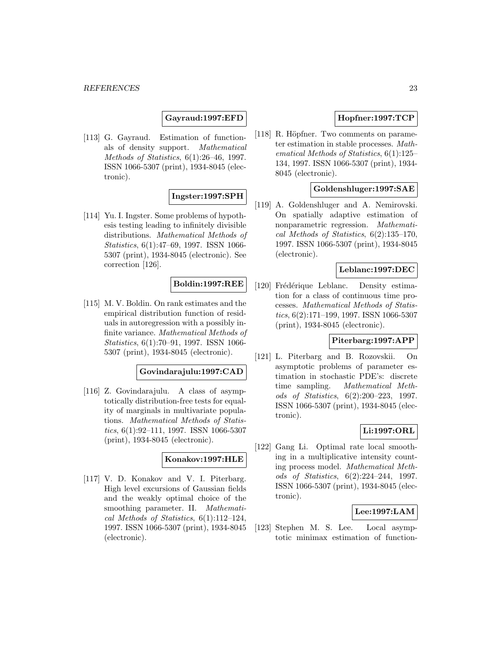# **Gayraud:1997:EFD**

[113] G. Gayraud. Estimation of functionals of density support. Mathematical Methods of Statistics, 6(1):26–46, 1997. ISSN 1066-5307 (print), 1934-8045 (electronic).

# **Ingster:1997:SPH**

[114] Yu. I. Ingster. Some problems of hypothesis testing leading to infinitely divisible distributions. Mathematical Methods of Statistics, 6(1):47–69, 1997. ISSN 1066- 5307 (print), 1934-8045 (electronic). See correction [126].

# **Boldin:1997:REE**

[115] M. V. Boldin. On rank estimates and the empirical distribution function of residuals in autoregression with a possibly infinite variance. Mathematical Methods of Statistics, 6(1):70–91, 1997. ISSN 1066- 5307 (print), 1934-8045 (electronic).

### **Govindarajulu:1997:CAD**

[116] Z. Govindarajulu. A class of asymptotically distribution-free tests for equality of marginals in multivariate populations. Mathematical Methods of Statistics, 6(1):92–111, 1997. ISSN 1066-5307 (print), 1934-8045 (electronic).

# **Konakov:1997:HLE**

[117] V. D. Konakov and V. I. Piterbarg. High level excursions of Gaussian fields and the weakly optimal choice of the smoothing parameter. II. Mathematical Methods of Statistics, 6(1):112–124, 1997. ISSN 1066-5307 (print), 1934-8045 (electronic).

# **Hopfner:1997:TCP**

[118] R. Höpfner. Two comments on parameter estimation in stable processes. Mathematical Methods of Statistics, 6(1):125– 134, 1997. ISSN 1066-5307 (print), 1934- 8045 (electronic).

# **Goldenshluger:1997:SAE**

[119] A. Goldenshluger and A. Nemirovski. On spatially adaptive estimation of nonparametric regression. Mathematical Methods of Statistics, 6(2):135–170, 1997. ISSN 1066-5307 (print), 1934-8045 (electronic).

### **Leblanc:1997:DEC**

[120] Frédérique Leblanc. Density estimation for a class of continuous time processes. Mathematical Methods of Statistics, 6(2):171–199, 1997. ISSN 1066-5307 (print), 1934-8045 (electronic).

# **Piterbarg:1997:APP**

[121] L. Piterbarg and B. Rozovskii. On asymptotic problems of parameter estimation in stochastic PDE's: discrete time sampling. Mathematical Methods of Statistics, 6(2):200–223, 1997. ISSN 1066-5307 (print), 1934-8045 (electronic).

# **Li:1997:ORL**

[122] Gang Li. Optimal rate local smoothing in a multiplicative intensity counting process model. Mathematical Methods of Statistics, 6(2):224–244, 1997. ISSN 1066-5307 (print), 1934-8045 (electronic).

# **Lee:1997:LAM**

[123] Stephen M. S. Lee. Local asymptotic minimax estimation of function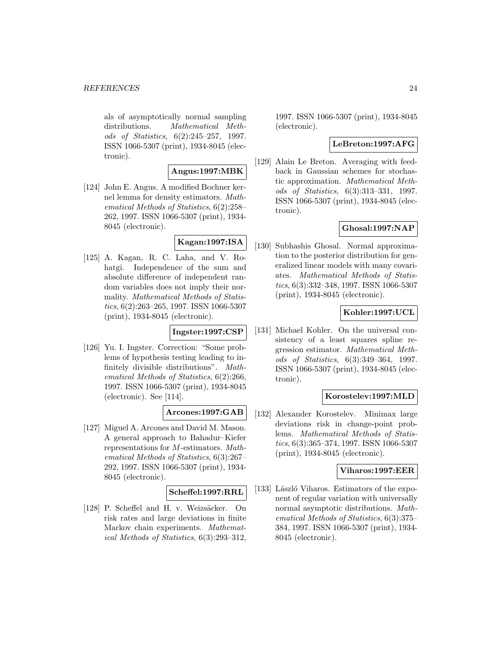als of asymptotically normal sampling distributions. Mathematical Methods of Statistics, 6(2):245–257, 1997. ISSN 1066-5307 (print), 1934-8045 (electronic).

# **Angus:1997:MBK**

[124] John E. Angus. A modified Bochner kernel lemma for density estimators. Mathematical Methods of Statistics, 6(2):258– 262, 1997. ISSN 1066-5307 (print), 1934- 8045 (electronic).

# **Kagan:1997:ISA**

[125] A. Kagan, R. C. Laha, and V. Rohatgi. Independence of the sum and absolute difference of independent random variables does not imply their normality. Mathematical Methods of Statistics, 6(2):263–265, 1997. ISSN 1066-5307 (print), 1934-8045 (electronic).

# **Ingster:1997:CSP**

[126] Yu. I. Ingster. Correction: "Some problems of hypothesis testing leading to infinitely divisible distributions". Mathematical Methods of Statistics, 6(2):266, 1997. ISSN 1066-5307 (print), 1934-8045 (electronic). See [114].

# **Arcones:1997:GAB**

[127] Miguel A. Arcones and David M. Mason. A general approach to Bahadur–Kiefer representations for M-estimators. Mathematical Methods of Statistics, 6(3):267– 292, 1997. ISSN 1066-5307 (print), 1934- 8045 (electronic).

# **Scheffel:1997:RRL**

[128] P. Scheffel and H. v. Weizsäcker. On risk rates and large deviations in finite Markov chain experiments. Mathematical Methods of Statistics, 6(3):293–312,

1997. ISSN 1066-5307 (print), 1934-8045 (electronic).

# **LeBreton:1997:AFG**

[129] Alain Le Breton. Averaging with feedback in Gaussian schemes for stochastic approximation. Mathematical Methods of Statistics, 6(3):313–331, 1997. ISSN 1066-5307 (print), 1934-8045 (electronic).

# **Ghosal:1997:NAP**

[130] Subhashis Ghosal. Normal approximation to the posterior distribution for generalized linear models with many covariates. Mathematical Methods of Statistics, 6(3):332–348, 1997. ISSN 1066-5307 (print), 1934-8045 (electronic).

# **Kohler:1997:UCL**

[131] Michael Kohler. On the universal consistency of a least squares spline regression estimator. Mathematical Methods of Statistics, 6(3):349–364, 1997. ISSN 1066-5307 (print), 1934-8045 (electronic).

# **Korostelev:1997:MLD**

[132] Alexander Korostelev. Minimax large deviations risk in change-point problems. Mathematical Methods of Statistics, 6(3):365–374, 1997. ISSN 1066-5307 (print), 1934-8045 (electronic).

#### **Viharos:1997:EER**

[133] László Viharos. Estimators of the exponent of regular variation with universally normal asymptotic distributions. Mathematical Methods of Statistics, 6(3):375– 384, 1997. ISSN 1066-5307 (print), 1934- 8045 (electronic).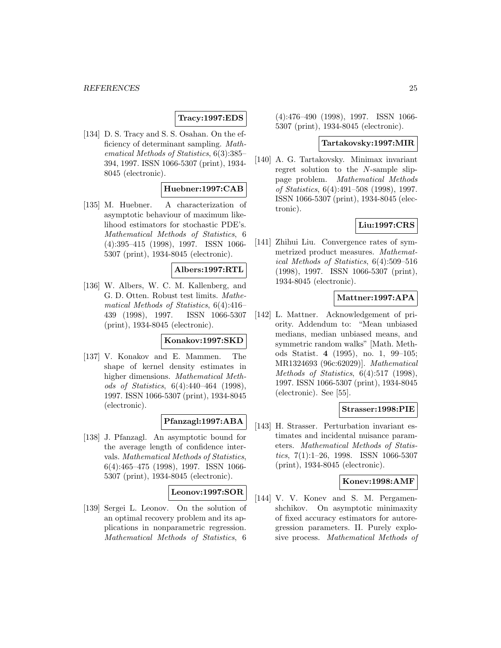# **Tracy:1997:EDS**

[134] D. S. Tracy and S. S. Osahan. On the efficiency of determinant sampling. Mathematical Methods of Statistics, 6(3):385– 394, 1997. ISSN 1066-5307 (print), 1934- 8045 (electronic).

# **Huebner:1997:CAB**

[135] M. Huebner. A characterization of asymptotic behaviour of maximum likelihood estimators for stochastic PDE's. Mathematical Methods of Statistics, 6 (4):395–415 (1998), 1997. ISSN 1066- 5307 (print), 1934-8045 (electronic).

# **Albers:1997:RTL**

[136] W. Albers, W. C. M. Kallenberg, and G. D. Otten. Robust test limits. Mathematical Methods of Statistics, 6(4):416– 439 (1998), 1997. ISSN 1066-5307 (print), 1934-8045 (electronic).

# **Konakov:1997:SKD**

[137] V. Konakov and E. Mammen. The shape of kernel density estimates in higher dimensions. Mathematical Methods of Statistics, 6(4):440–464 (1998), 1997. ISSN 1066-5307 (print), 1934-8045 (electronic).

# **Pfanzagl:1997:ABA**

[138] J. Pfanzagl. An asymptotic bound for the average length of confidence intervals. Mathematical Methods of Statistics, 6(4):465–475 (1998), 1997. ISSN 1066- 5307 (print), 1934-8045 (electronic).

#### **Leonov:1997:SOR**

[139] Sergei L. Leonov. On the solution of an optimal recovery problem and its applications in nonparametric regression. Mathematical Methods of Statistics, 6 (4):476–490 (1998), 1997. ISSN 1066- 5307 (print), 1934-8045 (electronic).

#### **Tartakovsky:1997:MIR**

[140] A. G. Tartakovsky. Minimax invariant regret solution to the N-sample slippage problem. Mathematical Methods of Statistics, 6(4):491–508 (1998), 1997. ISSN 1066-5307 (print), 1934-8045 (electronic).

# **Liu:1997:CRS**

[141] Zhihui Liu. Convergence rates of symmetrized product measures. Mathematical Methods of Statistics, 6(4):509–516 (1998), 1997. ISSN 1066-5307 (print), 1934-8045 (electronic).

# **Mattner:1997:APA**

[142] L. Mattner. Acknowledgement of priority. Addendum to: "Mean unbiased medians, median unbiased means, and symmetric random walks" [Math. Methods Statist. **4** (1995), no. 1, 99–105; MR1324693 (96c:62029)]. Mathematical Methods of Statistics, 6(4):517 (1998), 1997. ISSN 1066-5307 (print), 1934-8045 (electronic). See [55].

# **Strasser:1998:PIE**

[143] H. Strasser. Perturbation invariant estimates and incidental nuisance parameters. Mathematical Methods of Statistics, 7(1):1–26, 1998. ISSN 1066-5307 (print), 1934-8045 (electronic).

### **Konev:1998:AMF**

[144] V. V. Konev and S. M. Pergamenshchikov. On asymptotic minimaxity of fixed accuracy estimators for autoregression parameters. II. Purely explosive process. Mathematical Methods of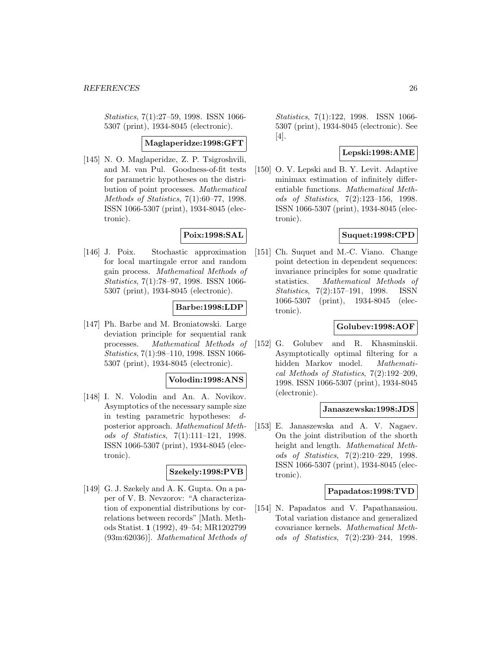Statistics, 7(1):27–59, 1998. ISSN 1066- 5307 (print), 1934-8045 (electronic).

### **Maglaperidze:1998:GFT**

[145] N. O. Maglaperidze, Z. P. Tsigroshvili, and M. van Pul. Goodness-of-fit tests for parametric hypotheses on the distribution of point processes. Mathematical Methods of Statistics, 7(1):60–77, 1998. ISSN 1066-5307 (print), 1934-8045 (electronic).

# **Poix:1998:SAL**

[146] J. Poix. Stochastic approximation for local martingale error and random gain process. Mathematical Methods of Statistics, 7(1):78–97, 1998. ISSN 1066- 5307 (print), 1934-8045 (electronic).

# **Barbe:1998:LDP**

[147] Ph. Barbe and M. Broniatowski. Large deviation principle for sequential rank processes. Mathematical Methods of Statistics, 7(1):98–110, 1998. ISSN 1066- 5307 (print), 1934-8045 (electronic).

#### **Volodin:1998:ANS**

[148] I. N. Volodin and An. A. Novikov. Asymptotics of the necessary sample size in testing parametric hypotheses: dposterior approach. Mathematical Methods of Statistics, 7(1):111–121, 1998. ISSN 1066-5307 (print), 1934-8045 (electronic).

# **Szekely:1998:PVB**

[149] G. J. Szekely and A. K. Gupta. On a paper of V. B. Nevzorov: "A characterization of exponential distributions by correlations between records" [Math. Methods Statist. **1** (1992), 49–54; MR1202799 (93m:62036)]. Mathematical Methods of Statistics, 7(1):122, 1998. ISSN 1066- 5307 (print), 1934-8045 (electronic). See [4].

# **Lepski:1998:AME**

[150] O. V. Lepski and B. Y. Levit. Adaptive minimax estimation of infinitely differentiable functions. Mathematical Methods of Statistics, 7(2):123–156, 1998. ISSN 1066-5307 (print), 1934-8045 (electronic).

### **Suquet:1998:CPD**

[151] Ch. Suquet and M.-C. Viano. Change point detection in dependent sequences: invariance principles for some quadratic statistics. Mathematical Methods of Statistics, 7(2):157–191, 1998. ISSN 1066-5307 (print), 1934-8045 (electronic).

# **Golubev:1998:AOF**

[152] G. Golubev and R. Khasminskii. Asymptotically optimal filtering for a hidden Markov model. Mathematical Methods of Statistics, 7(2):192–209, 1998. ISSN 1066-5307 (print), 1934-8045 (electronic).

### **Janaszewska:1998:JDS**

[153] E. Janaszewska and A. V. Nagaev. On the joint distribution of the shorth height and length. Mathematical Methods of Statistics, 7(2):210–229, 1998. ISSN 1066-5307 (print), 1934-8045 (electronic).

### **Papadatos:1998:TVD**

[154] N. Papadatos and V. Papathanasiou. Total variation distance and generalized covariance kernels. Mathematical Methods of Statistics, 7(2):230–244, 1998.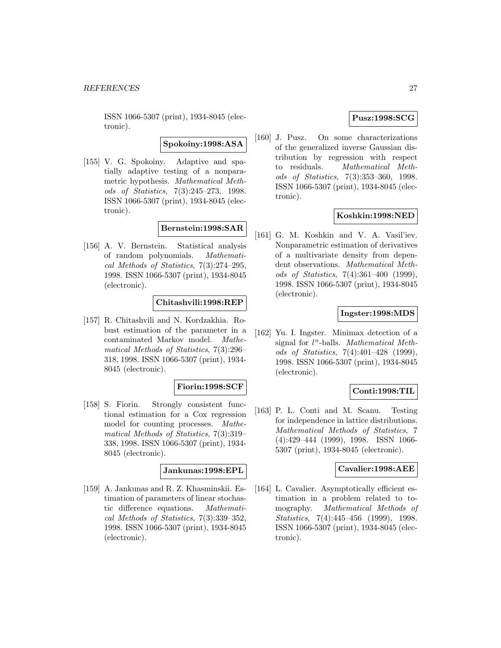ISSN 1066-5307 (print), 1934-8045 (electronic).

**Spokoiny:1998:ASA**

[155] V. G. Spokoiny. Adaptive and spatially adaptive testing of a nonparametric hypothesis. Mathematical Methods of Statistics, 7(3):245–273, 1998. ISSN 1066-5307 (print), 1934-8045 (electronic).

# **Bernstein:1998:SAR**

[156] A. V. Bernstein. Statistical analysis of random polynomials. Mathematical Methods of Statistics, 7(3):274–295, 1998. ISSN 1066-5307 (print), 1934-8045 (electronic).

# **Chitashvili:1998:REP**

[157] R. Chitashvili and N. Kordzakhia. Robust estimation of the parameter in a contaminated Markov model. Mathematical Methods of Statistics, 7(3):296– 318, 1998. ISSN 1066-5307 (print), 1934- 8045 (electronic).

# **Fiorin:1998:SCF**

[158] S. Fiorin. Strongly consistent functional estimation for a Cox regression model for counting processes. Mathematical Methods of Statistics, 7(3):319– 338, 1998. ISSN 1066-5307 (print), 1934- 8045 (electronic).

# **Jankunas:1998:EPL**

[159] A. Jankunas and R. Z. Khasminskii. Estimation of parameters of linear stochastic difference equations. Mathematical Methods of Statistics, 7(3):339–352, 1998. ISSN 1066-5307 (print), 1934-8045 (electronic).

# **Pusz:1998:SCG**

[160] J. Pusz. On some characterizations of the generalized inverse Gaussian distribution by regression with respect to residuals. Mathematical Methods of Statistics, 7(3):353–360, 1998. ISSN 1066-5307 (print), 1934-8045 (electronic).

# **Koshkin:1998:NED**

[161] G. M. Koshkin and V. A. Vasil'iev. Nonparametric estimation of derivatives of a multivariate density from dependent observations. Mathematical Methods of Statistics, 7(4):361–400 (1999), 1998. ISSN 1066-5307 (print), 1934-8045 (electronic).

# **Ingster:1998:MDS**

[162] Yu. I. Ingster. Minimax detection of a signal for  $l^n$ -balls. Mathematical Methods of Statistics, 7(4):401–428 (1999), 1998. ISSN 1066-5307 (print), 1934-8045 (electronic).

# **Conti:1998:TIL**

[163] P. L. Conti and M. Scanu. Testing for independence in lattice distributions. Mathematical Methods of Statistics, 7 (4):429–444 (1999), 1998. ISSN 1066- 5307 (print), 1934-8045 (electronic).

#### **Cavalier:1998:AEE**

[164] L. Cavalier. Asymptotically efficient estimation in a problem related to tomography. Mathematical Methods of Statistics, 7(4):445–456 (1999), 1998. ISSN 1066-5307 (print), 1934-8045 (electronic).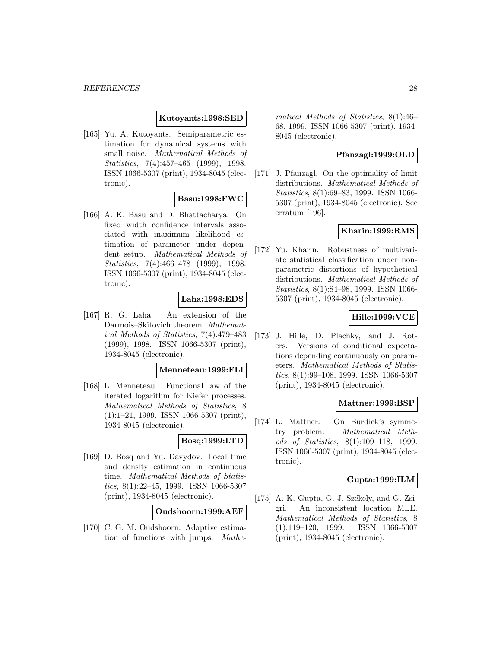#### **Kutoyants:1998:SED**

[165] Yu. A. Kutoyants. Semiparametric estimation for dynamical systems with small noise. Mathematical Methods of Statistics, 7(4):457–465 (1999), 1998. ISSN 1066-5307 (print), 1934-8045 (electronic).

### **Basu:1998:FWC**

[166] A. K. Basu and D. Bhattacharya. On fixed width confidence intervals associated with maximum likelihood estimation of parameter under dependent setup. Mathematical Methods of Statistics, 7(4):466–478 (1999), 1998. ISSN 1066-5307 (print), 1934-8045 (electronic).

### **Laha:1998:EDS**

[167] R. G. Laha. An extension of the Darmois–Skitovich theorem. Mathematical Methods of Statistics, 7(4):479–483 (1999), 1998. ISSN 1066-5307 (print), 1934-8045 (electronic).

#### **Menneteau:1999:FLI**

[168] L. Menneteau. Functional law of the iterated logarithm for Kiefer processes. Mathematical Methods of Statistics, 8  $(1):1-21$ , 1999. ISSN 1066-5307 (print), 1934-8045 (electronic).

# **Bosq:1999:LTD**

[169] D. Bosq and Yu. Davydov. Local time and density estimation in continuous time. Mathematical Methods of Statistics, 8(1):22–45, 1999. ISSN 1066-5307 (print), 1934-8045 (electronic).

# **Oudshoorn:1999:AEF**

[170] C. G. M. Oudshoorn. Adaptive estimation of functions with jumps. Mathematical Methods of Statistics, 8(1):46– 68, 1999. ISSN 1066-5307 (print), 1934- 8045 (electronic).

### **Pfanzagl:1999:OLD**

[171] J. Pfanzagl. On the optimality of limit distributions. Mathematical Methods of Statistics, 8(1):69–83, 1999. ISSN 1066- 5307 (print), 1934-8045 (electronic). See erratum [196].

# **Kharin:1999:RMS**

[172] Yu. Kharin. Robustness of multivariate statistical classification under nonparametric distortions of hypothetical distributions. Mathematical Methods of Statistics, 8(1):84–98, 1999. ISSN 1066- 5307 (print), 1934-8045 (electronic).

# **Hille:1999:VCE**

[173] J. Hille, D. Plachky, and J. Roters. Versions of conditional expectations depending continuously on parameters. Mathematical Methods of Statistics, 8(1):99–108, 1999. ISSN 1066-5307 (print), 1934-8045 (electronic).

#### **Mattner:1999:BSP**

[174] L. Mattner. On Burdick's symmetry problem. Mathematical Methods of Statistics, 8(1):109–118, 1999. ISSN 1066-5307 (print), 1934-8045 (electronic).

### **Gupta:1999:ILM**

 $[175]$  A. K. Gupta, G. J. Székely, and G. Zsigri. An inconsistent location MLE. Mathematical Methods of Statistics, 8 (1):119–120, 1999. ISSN 1066-5307 (print), 1934-8045 (electronic).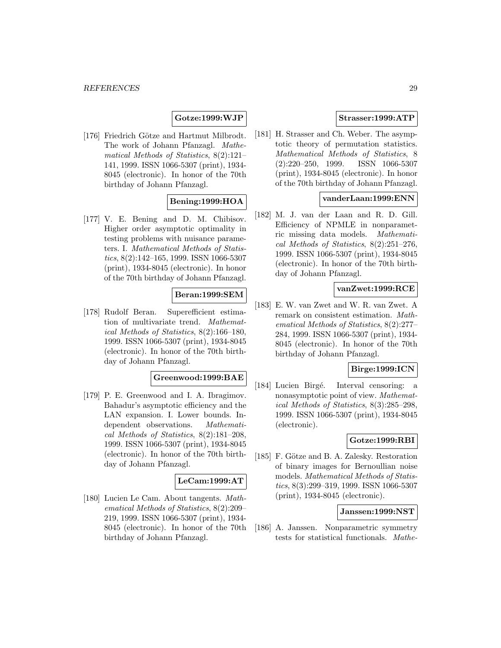# **Gotze:1999:WJP**

[176] Friedrich Götze and Hartmut Milbrodt. The work of Johann Pfanzagl. Mathematical Methods of Statistics, 8(2):121– 141, 1999. ISSN 1066-5307 (print), 1934- 8045 (electronic). In honor of the 70th birthday of Johann Pfanzagl.

# **Bening:1999:HOA**

[177] V. E. Bening and D. M. Chibisov. Higher order asymptotic optimality in testing problems with nuisance parameters. I. Mathematical Methods of Statistics, 8(2):142–165, 1999. ISSN 1066-5307 (print), 1934-8045 (electronic). In honor of the 70th birthday of Johann Pfanzagl.

# **Beran:1999:SEM**

[178] Rudolf Beran. Superefficient estimation of multivariate trend. Mathematical Methods of Statistics, 8(2):166–180, 1999. ISSN 1066-5307 (print), 1934-8045 (electronic). In honor of the 70th birthday of Johann Pfanzagl.

# **Greenwood:1999:BAE**

[179] P. E. Greenwood and I. A. Ibragimov. Bahadur's asymptotic efficiency and the LAN expansion. I. Lower bounds. Independent observations. Mathematical Methods of Statistics, 8(2):181–208, 1999. ISSN 1066-5307 (print), 1934-8045 (electronic). In honor of the 70th birthday of Johann Pfanzagl.

# **LeCam:1999:AT**

[180] Lucien Le Cam. About tangents. Mathematical Methods of Statistics, 8(2):209– 219, 1999. ISSN 1066-5307 (print), 1934- 8045 (electronic). In honor of the 70th birthday of Johann Pfanzagl.

# **Strasser:1999:ATP**

[181] H. Strasser and Ch. Weber. The asymptotic theory of permutation statistics. Mathematical Methods of Statistics, 8 (2):220–250, 1999. ISSN 1066-5307 (print), 1934-8045 (electronic). In honor of the 70th birthday of Johann Pfanzagl.

# **vanderLaan:1999:ENN**

[182] M. J. van der Laan and R. D. Gill. Efficiency of NPMLE in nonparametric missing data models. Mathematical Methods of Statistics, 8(2):251–276, 1999. ISSN 1066-5307 (print), 1934-8045 (electronic). In honor of the 70th birthday of Johann Pfanzagl.

### **vanZwet:1999:RCE**

[183] E. W. van Zwet and W. R. van Zwet. A remark on consistent estimation. Mathematical Methods of Statistics, 8(2):277– 284, 1999. ISSN 1066-5307 (print), 1934- 8045 (electronic). In honor of the 70th birthday of Johann Pfanzagl.

# **Birge:1999:ICN**

[184] Lucien Birgé. Interval censoring: a nonasymptotic point of view. Mathematical Methods of Statistics, 8(3):285–298, 1999. ISSN 1066-5307 (print), 1934-8045 (electronic).

#### **Gotze:1999:RBI**

[185] F. Götze and B. A. Zalesky. Restoration of binary images for Bernoullian noise models. Mathematical Methods of Statistics, 8(3):299–319, 1999. ISSN 1066-5307 (print), 1934-8045 (electronic).

#### **Janssen:1999:NST**

[186] A. Janssen. Nonparametric symmetry tests for statistical functionals. Mathe-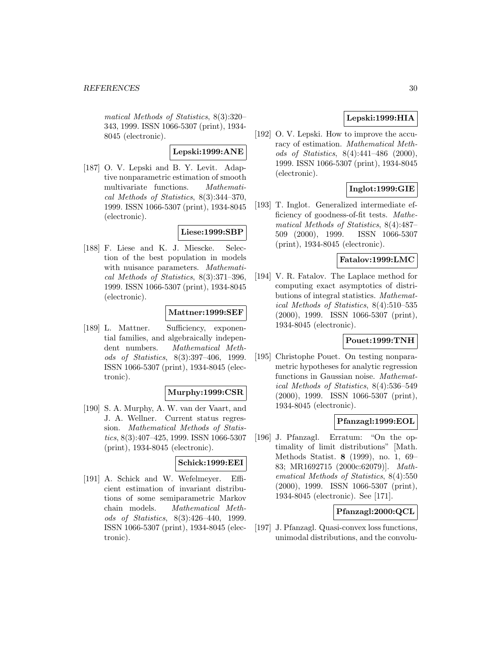matical Methods of Statistics, 8(3):320– 343, 1999. ISSN 1066-5307 (print), 1934- 8045 (electronic).

# **Lepski:1999:ANE**

[187] O. V. Lepski and B. Y. Levit. Adaptive nonparametric estimation of smooth multivariate functions. Mathematical Methods of Statistics, 8(3):344–370, 1999. ISSN 1066-5307 (print), 1934-8045 (electronic).

# **Liese:1999:SBP**

[188] F. Liese and K. J. Miescke. Selection of the best population in models with nuisance parameters. *Mathemati*cal Methods of Statistics, 8(3):371–396, 1999. ISSN 1066-5307 (print), 1934-8045 (electronic).

# **Mattner:1999:SEF**

[189] L. Mattner. Sufficiency, exponential families, and algebraically independent numbers. Mathematical Methods of Statistics, 8(3):397–406, 1999. ISSN 1066-5307 (print), 1934-8045 (electronic).

# **Murphy:1999:CSR**

[190] S. A. Murphy, A. W. van der Vaart, and J. A. Wellner. Current status regression. Mathematical Methods of Statistics, 8(3):407–425, 1999. ISSN 1066-5307 (print), 1934-8045 (electronic).

# **Schick:1999:EEI**

[191] A. Schick and W. Wefelmeyer. Efficient estimation of invariant distributions of some semiparametric Markov chain models. Mathematical Methods of Statistics, 8(3):426–440, 1999. ISSN 1066-5307 (print), 1934-8045 (electronic).

# **Lepski:1999:HIA**

[192] O. V. Lepski. How to improve the accuracy of estimation. Mathematical Methods of Statistics, 8(4):441–486 (2000), 1999. ISSN 1066-5307 (print), 1934-8045 (electronic).

# **Inglot:1999:GIE**

[193] T. Inglot. Generalized intermediate efficiency of goodness-of-fit tests. Mathematical Methods of Statistics, 8(4):487– 509 (2000), 1999. ISSN 1066-5307 (print), 1934-8045 (electronic).

# **Fatalov:1999:LMC**

[194] V. R. Fatalov. The Laplace method for computing exact asymptotics of distributions of integral statistics. Mathematical Methods of Statistics, 8(4):510–535 (2000), 1999. ISSN 1066-5307 (print), 1934-8045 (electronic).

# **Pouet:1999:TNH**

[195] Christophe Pouet. On testing nonparametric hypotheses for analytic regression functions in Gaussian noise. Mathematical Methods of Statistics, 8(4):536–549 (2000), 1999. ISSN 1066-5307 (print), 1934-8045 (electronic).

# **Pfanzagl:1999:EOL**

[196] J. Pfanzagl. Erratum: "On the optimality of limit distributions" [Math. Methods Statist. **8** (1999), no. 1, 69– 83; MR1692715 (2000c:62079)]. Mathematical Methods of Statistics, 8(4):550 (2000), 1999. ISSN 1066-5307 (print), 1934-8045 (electronic). See [171].

# **Pfanzagl:2000:QCL**

[197] J. Pfanzagl. Quasi-convex loss functions, unimodal distributions, and the convolu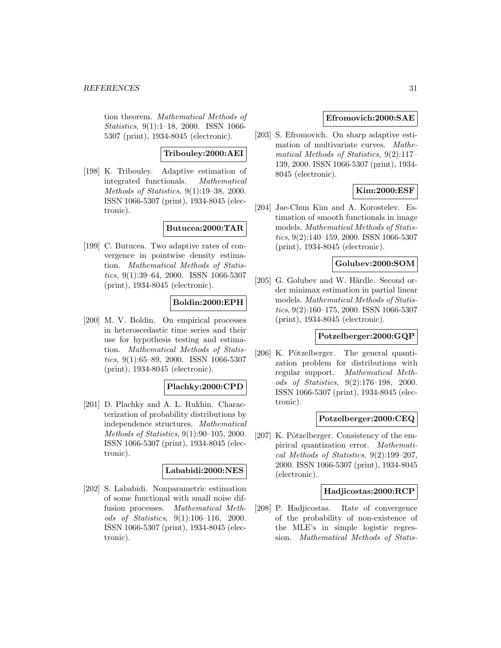tion theorem. Mathematical Methods of Statistics, 9(1):1–18, 2000. ISSN 1066- 5307 (print), 1934-8045 (electronic).

# **Tribouley:2000:AEI**

[198] K. Tribouley. Adaptive estimation of integrated functionals. Mathematical Methods of Statistics, 9(1):19–38, 2000. ISSN 1066-5307 (print), 1934-8045 (electronic).

# **Butucea:2000:TAR**

[199] C. Butucea. Two adaptive rates of convergence in pointwise density estimation. Mathematical Methods of Statistics, 9(1):39–64, 2000. ISSN 1066-5307 (print), 1934-8045 (electronic).

# **Boldin:2000:EPH**

[200] M. V. Boldin. On empirical processes in heteroscedastic time series and their use for hypothesis testing and estimation. Mathematical Methods of Statistics, 9(1):65–89, 2000. ISSN 1066-5307 (print), 1934-8045 (electronic).

#### **Plachky:2000:CPD**

[201] D. Plachky and A. L. Rukhin. Characterization of probability distributions by independence structures. Mathematical Methods of Statistics, 9(1):90–105, 2000. ISSN 1066-5307 (print), 1934-8045 (electronic).

### **Lababidi:2000:NES**

[202] S. Lababidi. Nonparametric estimation of some functional with small noise diffusion processes. Mathematical Methods of Statistics, 9(1):106–116, 2000. ISSN 1066-5307 (print), 1934-8045 (electronic).

### **Efromovich:2000:SAE**

[203] S. Efromovich. On sharp adaptive estimation of multivariate curves. Mathematical Methods of Statistics, 9(2):117– 139, 2000. ISSN 1066-5307 (print), 1934- 8045 (electronic).

# **Kim:2000:ESF**

[204] Jae-Chun Kim and A. Korostelev. Estimation of smooth functionals in image models. Mathematical Methods of Statistics, 9(2):140–159, 2000. ISSN 1066-5307 (print), 1934-8045 (electronic).

### **Golubev:2000:SOM**

[205] G. Golubev and W. Härdle. Second order minimax estimation in partial linear models. Mathematical Methods of Statistics, 9(2):160–175, 2000. ISSN 1066-5307 (print), 1934-8045 (electronic).

### **Potzelberger:2000:GQP**

[206] K. Pötzelberger. The general quantization problem for distributions with regular support. Mathematical Methods of Statistics, 9(2):176–198, 2000. ISSN 1066-5307 (print), 1934-8045 (electronic).

# **Potzelberger:2000:CEQ**

[207] K. Pötzelberger. Consistency of the empirical quantization error. Mathematical Methods of Statistics, 9(2):199–207, 2000. ISSN 1066-5307 (print), 1934-8045 (electronic).

#### **Hadjicostas:2000:RCP**

[208] P. Hadjicostas. Rate of convergence of the probability of non-existence of the MLE's in simple logistic regression. Mathematical Methods of Statis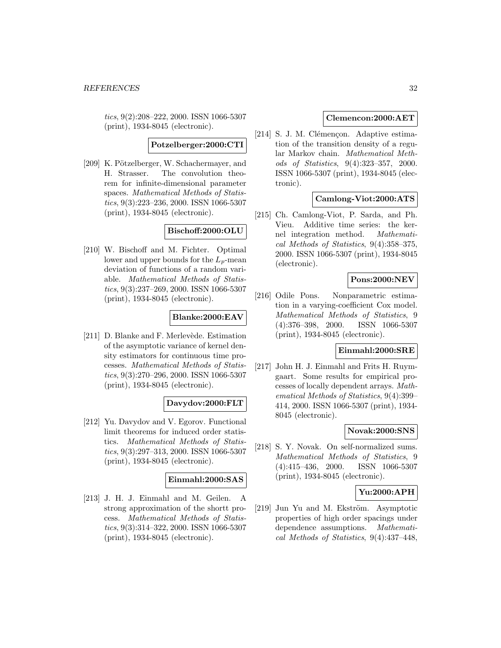tics, 9(2):208–222, 2000. ISSN 1066-5307 (print), 1934-8045 (electronic).

**Potzelberger:2000:CTI**

[209] K. Pötzelberger, W. Schachermayer, and H. Strasser. The convolution theorem for infinite-dimensional parameter spaces. Mathematical Methods of Statistics, 9(3):223–236, 2000. ISSN 1066-5307 (print), 1934-8045 (electronic).

# **Bischoff:2000:OLU**

[210] W. Bischoff and M. Fichter. Optimal lower and upper bounds for the  $L_p$ -mean deviation of functions of a random variable. Mathematical Methods of Statistics, 9(3):237–269, 2000. ISSN 1066-5307 (print), 1934-8045 (electronic).

# **Blanke:2000:EAV**

[211] D. Blanke and F. Merlevède. Estimation of the asymptotic variance of kernel density estimators for continuous time processes. Mathematical Methods of Statistics, 9(3):270–296, 2000. ISSN 1066-5307 (print), 1934-8045 (electronic).

# **Davydov:2000:FLT**

[212] Yu. Davydov and V. Egorov. Functional limit theorems for induced order statistics. Mathematical Methods of Statistics, 9(3):297–313, 2000. ISSN 1066-5307 (print), 1934-8045 (electronic).

#### **Einmahl:2000:SAS**

[213] J. H. J. Einmahl and M. Geilen. A strong approximation of the shortt process. Mathematical Methods of Statistics, 9(3):314–322, 2000. ISSN 1066-5307 (print), 1934-8045 (electronic).

### **Clemencon:2000:AET**

[214] S. J. M. Clémençon. Adaptive estimation of the transition density of a regular Markov chain. Mathematical Methods of Statistics, 9(4):323–357, 2000. ISSN 1066-5307 (print), 1934-8045 (electronic).

### **Camlong-Viot:2000:ATS**

[215] Ch. Camlong-Viot, P. Sarda, and Ph. Vieu. Additive time series: the kernel integration method. Mathematical Methods of Statistics, 9(4):358–375, 2000. ISSN 1066-5307 (print), 1934-8045 (electronic).

### **Pons:2000:NEV**

[216] Odile Pons. Nonparametric estimation in a varying-coefficient Cox model. Mathematical Methods of Statistics, 9 (4):376–398, 2000. ISSN 1066-5307 (print), 1934-8045 (electronic).

# **Einmahl:2000:SRE**

[217] John H. J. Einmahl and Frits H. Ruymgaart. Some results for empirical processes of locally dependent arrays. Mathematical Methods of Statistics, 9(4):399– 414, 2000. ISSN 1066-5307 (print), 1934- 8045 (electronic).

# **Novak:2000:SNS**

[218] S. Y. Novak. On self-normalized sums. Mathematical Methods of Statistics, 9 (4):415–436, 2000. ISSN 1066-5307 (print), 1934-8045 (electronic).

#### **Yu:2000:APH**

[219] Jun Yu and M. Ekström. Asymptotic properties of high order spacings under dependence assumptions. Mathematical Methods of Statistics, 9(4):437–448,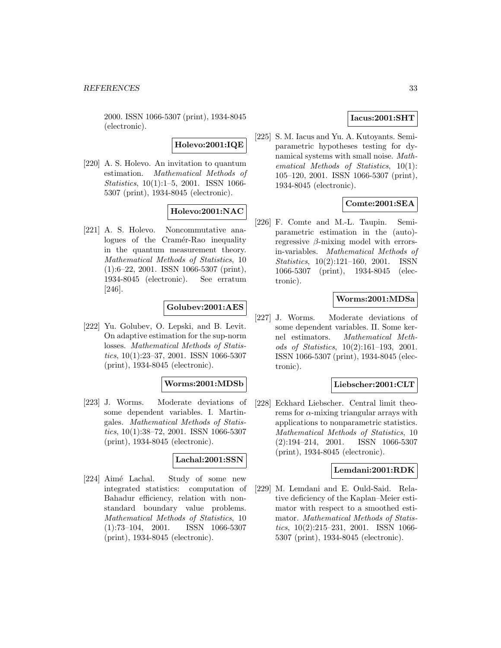2000. ISSN 1066-5307 (print), 1934-8045 (electronic).

# **Holevo:2001:IQE**

[220] A. S. Holevo. An invitation to quantum estimation. Mathematical Methods of Statistics, 10(1):1–5, 2001. ISSN 1066- 5307 (print), 1934-8045 (electronic).

# **Holevo:2001:NAC**

[221] A. S. Holevo. Noncommutative analogues of the Cramér-Rao inequality in the quantum measurement theory. Mathematical Methods of Statistics, 10 (1):6–22, 2001. ISSN 1066-5307 (print), 1934-8045 (electronic). See erratum [246].

# **Golubev:2001:AES**

[222] Yu. Golubev, O. Lepski, and B. Levit. On adaptive estimation for the sup-norm losses. Mathematical Methods of Statistics, 10(1):23–37, 2001. ISSN 1066-5307 (print), 1934-8045 (electronic).

#### **Worms:2001:MDSb**

[223] J. Worms. Moderate deviations of some dependent variables. I. Martingales. Mathematical Methods of Statistics, 10(1):38–72, 2001. ISSN 1066-5307 (print), 1934-8045 (electronic).

# **Lachal:2001:SSN**

[224] Aimé Lachal. Study of some new integrated statistics: computation of Bahadur efficiency, relation with nonstandard boundary value problems. Mathematical Methods of Statistics, 10 (1):73–104, 2001. ISSN 1066-5307 (print), 1934-8045 (electronic).

# **Iacus:2001:SHT**

[225] S. M. Iacus and Yu. A. Kutoyants. Semiparametric hypotheses testing for dynamical systems with small noise. Mathematical Methods of Statistics, 10(1): 105–120, 2001. ISSN 1066-5307 (print), 1934-8045 (electronic).

# **Comte:2001:SEA**

[226] F. Comte and M.-L. Taupin. Semiparametric estimation in the (auto) regressive β-mixing model with errorsin-variables. Mathematical Methods of Statistics, 10(2):121–160, 2001. ISSN 1066-5307 (print), 1934-8045 (electronic).

# **Worms:2001:MDSa**

[227] J. Worms. Moderate deviations of some dependent variables. II. Some kernel estimators. Mathematical Methods of Statistics, 10(2):161–193, 2001. ISSN 1066-5307 (print), 1934-8045 (electronic).

#### **Liebscher:2001:CLT**

[228] Eckhard Liebscher. Central limit theorems for  $\alpha$ -mixing triangular arrays with applications to nonparametric statistics. Mathematical Methods of Statistics, 10 (2):194–214, 2001. ISSN 1066-5307 (print), 1934-8045 (electronic).

#### **Lemdani:2001:RDK**

[229] M. Lemdani and E. Ould-Said. Relative deficiency of the Kaplan–Meier estimator with respect to a smoothed estimator. Mathematical Methods of Statistics, 10(2):215–231, 2001. ISSN 1066- 5307 (print), 1934-8045 (electronic).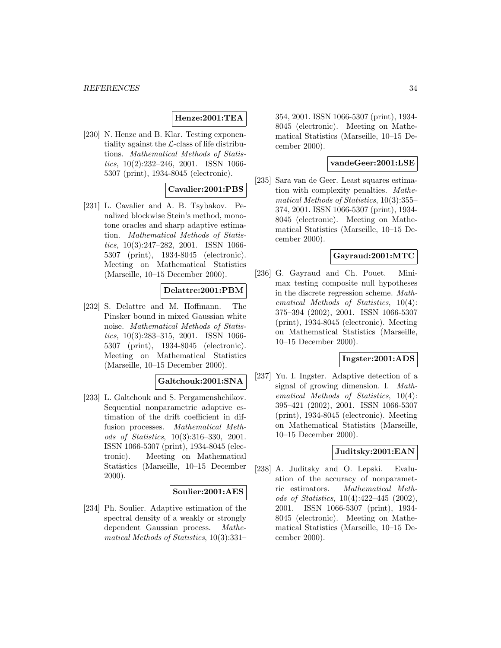# **Henze:2001:TEA**

[230] N. Henze and B. Klar. Testing exponentiality against the  $\mathcal{L}\text{-class}$  of life distributions. Mathematical Methods of Statistics, 10(2):232–246, 2001. ISSN 1066- 5307 (print), 1934-8045 (electronic).

# **Cavalier:2001:PBS**

[231] L. Cavalier and A. B. Tsybakov. Penalized blockwise Stein's method, monotone oracles and sharp adaptive estimation. Mathematical Methods of Statistics, 10(3):247–282, 2001. ISSN 1066- 5307 (print), 1934-8045 (electronic). Meeting on Mathematical Statistics (Marseille, 10–15 December 2000).

# **Delattre:2001:PBM**

[232] S. Delattre and M. Hoffmann. The Pinsker bound in mixed Gaussian white noise. Mathematical Methods of Statistics, 10(3):283–315, 2001. ISSN 1066- 5307 (print), 1934-8045 (electronic). Meeting on Mathematical Statistics (Marseille, 10–15 December 2000).

# **Galtchouk:2001:SNA**

[233] L. Galtchouk and S. Pergamenshchikov. Sequential nonparametric adaptive estimation of the drift coefficient in diffusion processes. Mathematical Methods of Statistics, 10(3):316–330, 2001. ISSN 1066-5307 (print), 1934-8045 (electronic). Meeting on Mathematical Statistics (Marseille, 10–15 December 2000).

#### **Soulier:2001:AES**

[234] Ph. Soulier. Adaptive estimation of the spectral density of a weakly or strongly dependent Gaussian process. Mathematical Methods of Statistics, 10(3):331–

354, 2001. ISSN 1066-5307 (print), 1934- 8045 (electronic). Meeting on Mathematical Statistics (Marseille, 10–15 December 2000).

# **vandeGeer:2001:LSE**

[235] Sara van de Geer. Least squares estimation with complexity penalties. Mathematical Methods of Statistics, 10(3):355– 374, 2001. ISSN 1066-5307 (print), 1934- 8045 (electronic). Meeting on Mathematical Statistics (Marseille, 10–15 December 2000).

# **Gayraud:2001:MTC**

[236] G. Gayraud and Ch. Pouet. Minimax testing composite null hypotheses in the discrete regression scheme. Mathematical Methods of Statistics, 10(4): 375–394 (2002), 2001. ISSN 1066-5307 (print), 1934-8045 (electronic). Meeting on Mathematical Statistics (Marseille, 10–15 December 2000).

### **Ingster:2001:ADS**

[237] Yu. I. Ingster. Adaptive detection of a signal of growing dimension. I. Mathematical Methods of Statistics, 10(4): 395–421 (2002), 2001. ISSN 1066-5307 (print), 1934-8045 (electronic). Meeting on Mathematical Statistics (Marseille, 10–15 December 2000).

### **Juditsky:2001:EAN**

[238] A. Juditsky and O. Lepski. Evaluation of the accuracy of nonparametric estimators. Mathematical Methods of Statistics, 10(4):422–445 (2002), 2001. ISSN 1066-5307 (print), 1934- 8045 (electronic). Meeting on Mathematical Statistics (Marseille, 10–15 December 2000).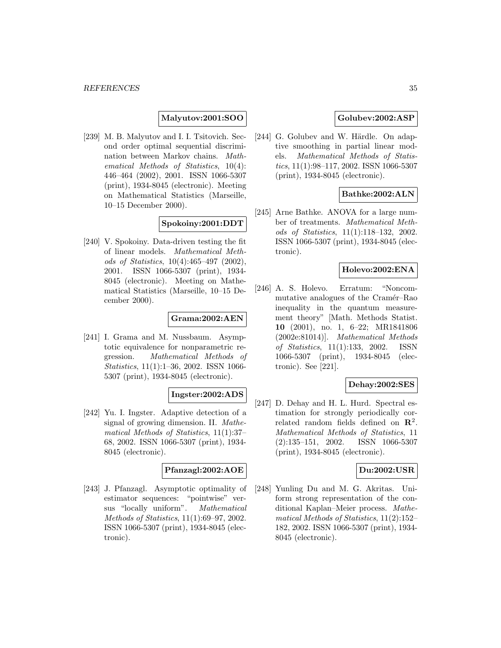# **Malyutov:2001:SOO**

[239] M. B. Malyutov and I. I. Tsitovich. Second order optimal sequential discrimination between Markov chains. Mathematical Methods of Statistics, 10(4): 446–464 (2002), 2001. ISSN 1066-5307 (print), 1934-8045 (electronic). Meeting on Mathematical Statistics (Marseille, 10–15 December 2000).

# **Spokoiny:2001:DDT**

[240] V. Spokoiny. Data-driven testing the fit of linear models. Mathematical Methods of Statistics, 10(4):465–497 (2002), 2001. ISSN 1066-5307 (print), 1934- 8045 (electronic). Meeting on Mathematical Statistics (Marseille, 10–15 December 2000).

# **Grama:2002:AEN**

[241] I. Grama and M. Nussbaum. Asymptotic equivalence for nonparametric regression. Mathematical Methods of Statistics, 11(1):1–36, 2002. ISSN 1066- 5307 (print), 1934-8045 (electronic).

# **Ingster:2002:ADS**

[242] Yu. I. Ingster. Adaptive detection of a signal of growing dimension. II. Mathematical Methods of Statistics, 11(1):37– 68, 2002. ISSN 1066-5307 (print), 1934- 8045 (electronic).

# **Pfanzagl:2002:AOE**

[243] J. Pfanzagl. Asymptotic optimality of estimator sequences: "pointwise" versus "locally uniform". Mathematical Methods of Statistics, 11(1):69–97, 2002. ISSN 1066-5307 (print), 1934-8045 (electronic).

# **Golubev:2002:ASP**

[244] G. Golubev and W. Härdle. On adaptive smoothing in partial linear models. Mathematical Methods of Statistics, 11(1):98–117, 2002. ISSN 1066-5307 (print), 1934-8045 (electronic).

# **Bathke:2002:ALN**

[245] Arne Bathke. ANOVA for a large number of treatments. Mathematical Methods of Statistics, 11(1):118–132, 2002. ISSN 1066-5307 (print), 1934-8045 (electronic).

# **Holevo:2002:ENA**

[246] A. S. Holevo. Erratum: "Noncommutative analogues of the Cramér–Rao inequality in the quantum measurement theory" [Math. Methods Statist. **10** (2001), no. 1, 6–22; MR1841806 (2002e:81014)]. Mathematical Methods of Statistics, 11(1):133, 2002. ISSN 1066-5307 (print), 1934-8045 (electronic). See [221].

#### **Dehay:2002:SES**

[247] D. Dehay and H. L. Hurd. Spectral estimation for strongly periodically correlated random fields defined on **R**<sup>2</sup>. Mathematical Methods of Statistics, 11 (2):135–151, 2002. ISSN 1066-5307 (print), 1934-8045 (electronic).

### **Du:2002:USR**

[248] Yunling Du and M. G. Akritas. Uniform strong representation of the conditional Kaplan–Meier process. Mathematical Methods of Statistics, 11(2):152– 182, 2002. ISSN 1066-5307 (print), 1934- 8045 (electronic).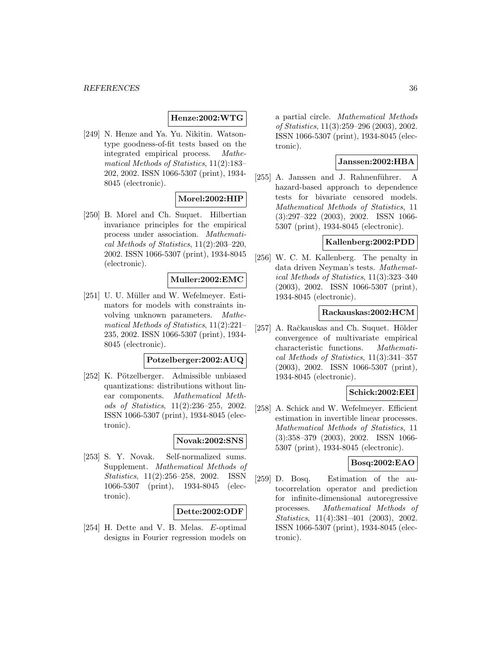# **Henze:2002:WTG**

[249] N. Henze and Ya. Yu. Nikitin. Watsontype goodness-of-fit tests based on the integrated empirical process. Mathematical Methods of Statistics, 11(2):183– 202, 2002. ISSN 1066-5307 (print), 1934- 8045 (electronic).

# **Morel:2002:HIP**

[250] B. Morel and Ch. Suquet. Hilbertian invariance principles for the empirical process under association. Mathematical Methods of Statistics, 11(2):203–220, 2002. ISSN 1066-5307 (print), 1934-8045 (electronic).

# **Muller:2002:EMC**

[251] U. U. Müller and W. Wefelmeyer. Estimators for models with constraints involving unknown parameters. Mathematical Methods of Statistics, 11(2):221– 235, 2002. ISSN 1066-5307 (print), 1934- 8045 (electronic).

#### **Potzelberger:2002:AUQ**

[252] K. Pötzelberger. Admissible unbiased quantizations: distributions without linear components. Mathematical Methods of Statistics, 11(2):236–255, 2002. ISSN 1066-5307 (print), 1934-8045 (electronic).

# **Novak:2002:SNS**

[253] S. Y. Novak. Self-normalized sums. Supplement. Mathematical Methods of Statistics, 11(2):256–258, 2002. ISSN 1066-5307 (print), 1934-8045 (electronic).

# **Dette:2002:ODF**

[254] H. Dette and V. B. Melas. E-optimal designs in Fourier regression models on a partial circle. Mathematical Methods of Statistics, 11(3):259–296 (2003), 2002. ISSN 1066-5307 (print), 1934-8045 (electronic).

# **Janssen:2002:HBA**

[255] A. Janssen and J. Rahnenführer. A hazard-based approach to dependence tests for bivariate censored models. Mathematical Methods of Statistics, 11 (3):297–322 (2003), 2002. ISSN 1066- 5307 (print), 1934-8045 (electronic).

# **Kallenberg:2002:PDD**

[256] W. C. M. Kallenberg. The penalty in data driven Neyman's tests. Mathematical Methods of Statistics, 11(3):323–340 (2003), 2002. ISSN 1066-5307 (print), 1934-8045 (electronic).

# **Rackauskas:2002:HCM**

[257] A. Račkauskas and Ch. Suquet. Hölder convergence of multivariate empirical characteristic functions. Mathematical Methods of Statistics, 11(3):341–357 (2003), 2002. ISSN 1066-5307 (print), 1934-8045 (electronic).

# **Schick:2002:EEI**

[258] A. Schick and W. Wefelmeyer. Efficient estimation in invertible linear processes. Mathematical Methods of Statistics, 11 (3):358–379 (2003), 2002. ISSN 1066- 5307 (print), 1934-8045 (electronic).

# **Bosq:2002:EAO**

[259] D. Bosq. Estimation of the autocorrelation operator and prediction for infinite-dimensional autoregressive processes. Mathematical Methods of Statistics, 11(4):381–401 (2003), 2002. ISSN 1066-5307 (print), 1934-8045 (electronic).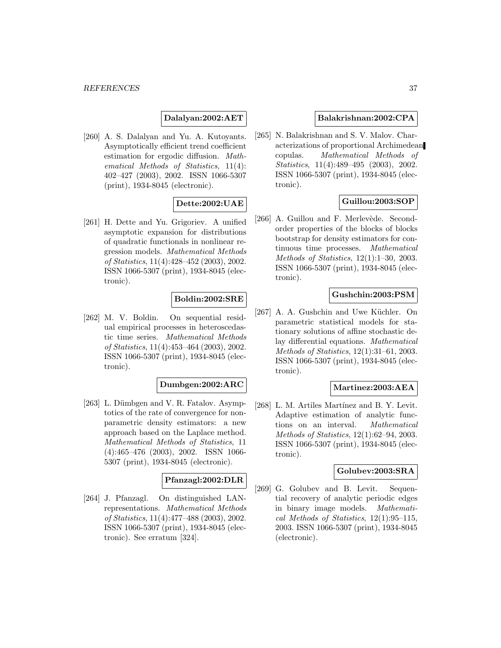**Dalalyan:2002:AET**

[260] A. S. Dalalyan and Yu. A. Kutoyants. Asymptotically efficient trend coefficient estimation for ergodic diffusion. Mathematical Methods of Statistics, 11(4): 402–427 (2003), 2002. ISSN 1066-5307 (print), 1934-8045 (electronic).

## **Dette:2002:UAE**

[261] H. Dette and Yu. Grigoriev. A unified asymptotic expansion for distributions of quadratic functionals in nonlinear regression models. Mathematical Methods of Statistics, 11(4):428–452 (2003), 2002. ISSN 1066-5307 (print), 1934-8045 (electronic).

## **Boldin:2002:SRE**

[262] M. V. Boldin. On sequential residual empirical processes in heteroscedastic time series. Mathematical Methods of Statistics, 11(4):453–464 (2003), 2002. ISSN 1066-5307 (print), 1934-8045 (electronic).

#### **Dumbgen:2002:ARC**

[263] L. Dümbgen and V. R. Fatalov. Asymptotics of the rate of convergence for nonparametric density estimators: a new approach based on the Laplace method. Mathematical Methods of Statistics, 11 (4):465–476 (2003), 2002. ISSN 1066- 5307 (print), 1934-8045 (electronic).

### **Pfanzagl:2002:DLR**

[264] J. Pfanzagl. On distinguished LANrepresentations. Mathematical Methods of Statistics, 11(4):477–488 (2003), 2002. ISSN 1066-5307 (print), 1934-8045 (electronic). See erratum [324].

#### **Balakrishnan:2002:CPA**

[265] N. Balakrishnan and S. V. Malov. Characterizations of proportional Archimedean copulas. Mathematical Methods of Statistics, 11(4):489–495 (2003), 2002. ISSN 1066-5307 (print), 1934-8045 (electronic).

## **Guillou:2003:SOP**

[266] A. Guillou and F. Merlevède. Secondorder properties of the blocks of blocks bootstrap for density estimators for continuous time processes. Mathematical Methods of Statistics, 12(1):1–30, 2003. ISSN 1066-5307 (print), 1934-8045 (electronic).

## **Gushchin:2003:PSM**

[267] A. A. Gushchin and Uwe Küchler. On parametric statistical models for stationary solutions of affine stochastic delay differential equations. Mathematical Methods of Statistics, 12(1):31–61, 2003. ISSN 1066-5307 (print), 1934-8045 (electronic).

## **Martinez:2003:AEA**

[268] L. M. Artiles Martínez and B. Y. Levit. Adaptive estimation of analytic functions on an interval. Mathematical Methods of Statistics, 12(1):62–94, 2003. ISSN 1066-5307 (print), 1934-8045 (electronic).

### **Golubev:2003:SRA**

[269] G. Golubev and B. Levit. Sequential recovery of analytic periodic edges in binary image models. Mathematical Methods of Statistics, 12(1):95–115, 2003. ISSN 1066-5307 (print), 1934-8045 (electronic).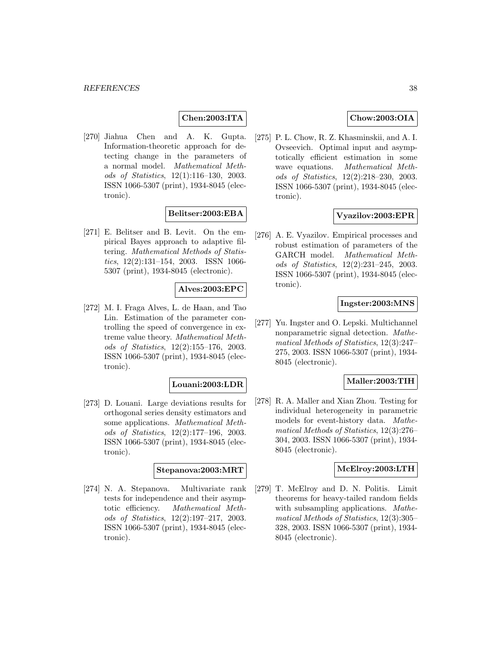## **Chen:2003:ITA**

[270] Jiahua Chen and A. K. Gupta. Information-theoretic approach for detecting change in the parameters of a normal model. Mathematical Methods of Statistics, 12(1):116–130, 2003. ISSN 1066-5307 (print), 1934-8045 (electronic).

### **Belitser:2003:EBA**

[271] E. Belitser and B. Levit. On the empirical Bayes approach to adaptive filtering. Mathematical Methods of Statistics, 12(2):131–154, 2003. ISSN 1066- 5307 (print), 1934-8045 (electronic).

## **Alves:2003:EPC**

[272] M. I. Fraga Alves, L. de Haan, and Tao Lin. Estimation of the parameter controlling the speed of convergence in extreme value theory. Mathematical Methods of Statistics, 12(2):155–176, 2003. ISSN 1066-5307 (print), 1934-8045 (electronic).

#### **Louani:2003:LDR**

[273] D. Louani. Large deviations results for orthogonal series density estimators and some applications. Mathematical Methods of Statistics, 12(2):177–196, 2003. ISSN 1066-5307 (print), 1934-8045 (electronic).

#### **Stepanova:2003:MRT**

[274] N. A. Stepanova. Multivariate rank tests for independence and their asymptotic efficiency. Mathematical Methods of Statistics, 12(2):197–217, 2003. ISSN 1066-5307 (print), 1934-8045 (electronic).

## **Chow:2003:OIA**

[275] P. L. Chow, R. Z. Khasminskii, and A. I. Ovseevich. Optimal input and asymptotically efficient estimation in some wave equations. Mathematical Methods of Statistics, 12(2):218–230, 2003. ISSN 1066-5307 (print), 1934-8045 (electronic).

### **Vyazilov:2003:EPR**

[276] A. E. Vyazilov. Empirical processes and robust estimation of parameters of the GARCH model. Mathematical Methods of Statistics, 12(2):231–245, 2003. ISSN 1066-5307 (print), 1934-8045 (electronic).

### **Ingster:2003:MNS**

[277] Yu. Ingster and O. Lepski. Multichannel nonparametric signal detection. Mathematical Methods of Statistics, 12(3):247– 275, 2003. ISSN 1066-5307 (print), 1934- 8045 (electronic).

## **Maller:2003:TIH**

[278] R. A. Maller and Xian Zhou. Testing for individual heterogeneity in parametric models for event-history data. Mathematical Methods of Statistics, 12(3):276– 304, 2003. ISSN 1066-5307 (print), 1934- 8045 (electronic).

#### **McElroy:2003:LTH**

[279] T. McElroy and D. N. Politis. Limit theorems for heavy-tailed random fields with subsampling applications. Mathematical Methods of Statistics, 12(3):305– 328, 2003. ISSN 1066-5307 (print), 1934- 8045 (electronic).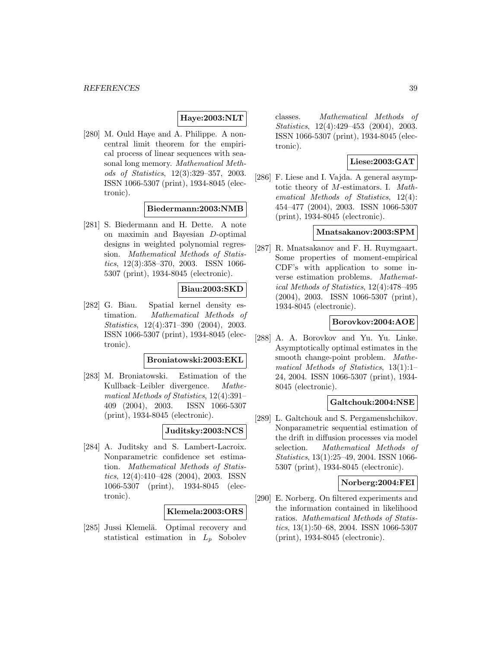## **Haye:2003:NLT**

[280] M. Ould Haye and A. Philippe. A noncentral limit theorem for the empirical process of linear sequences with seasonal long memory. Mathematical Methods of Statistics, 12(3):329–357, 2003. ISSN 1066-5307 (print), 1934-8045 (electronic).

### **Biedermann:2003:NMB**

[281] S. Biedermann and H. Dette. A note on maximin and Bayesian D-optimal designs in weighted polynomial regression. Mathematical Methods of Statistics, 12(3):358–370, 2003. ISSN 1066- 5307 (print), 1934-8045 (electronic).

### **Biau:2003:SKD**

[282] G. Biau. Spatial kernel density estimation. Mathematical Methods of Statistics, 12(4):371–390 (2004), 2003. ISSN 1066-5307 (print), 1934-8045 (electronic).

#### **Broniatowski:2003:EKL**

[283] M. Broniatowski. Estimation of the Kullback–Leibler divergence. Mathematical Methods of Statistics, 12(4):391– 409 (2004), 2003. ISSN 1066-5307 (print), 1934-8045 (electronic).

## **Juditsky:2003:NCS**

[284] A. Juditsky and S. Lambert-Lacroix. Nonparametric confidence set estimation. Mathematical Methods of Statistics, 12(4):410–428 (2004), 2003. ISSN 1066-5307 (print), 1934-8045 (electronic).

#### **Klemela:2003:ORS**

[285] Jussi Klemelä. Optimal recovery and statistical estimation in  $L_p$  Sobolev

classes. Mathematical Methods of Statistics, 12(4):429–453 (2004), 2003. ISSN 1066-5307 (print), 1934-8045 (electronic).

## **Liese:2003:GAT**

[286] F. Liese and I. Vajda. A general asymptotic theory of M-estimators. I. Mathematical Methods of Statistics, 12(4): 454–477 (2004), 2003. ISSN 1066-5307 (print), 1934-8045 (electronic).

### **Mnatsakanov:2003:SPM**

[287] R. Mnatsakanov and F. H. Ruymgaart. Some properties of moment-empirical CDF's with application to some inverse estimation problems. Mathematical Methods of Statistics, 12(4):478–495 (2004), 2003. ISSN 1066-5307 (print), 1934-8045 (electronic).

## **Borovkov:2004:AOE**

[288] A. A. Borovkov and Yu. Yu. Linke. Asymptotically optimal estimates in the smooth change-point problem. *Mathe*matical Methods of Statistics, 13(1):1– 24, 2004. ISSN 1066-5307 (print), 1934- 8045 (electronic).

### **Galtchouk:2004:NSE**

[289] L. Galtchouk and S. Pergamenshchikov. Nonparametric sequential estimation of the drift in diffusion processes via model selection. Mathematical Methods of Statistics, 13(1):25–49, 2004. ISSN 1066- 5307 (print), 1934-8045 (electronic).

#### **Norberg:2004:FEI**

[290] E. Norberg. On filtered experiments and the information contained in likelihood ratios. Mathematical Methods of Statistics, 13(1):50–68, 2004. ISSN 1066-5307 (print), 1934-8045 (electronic).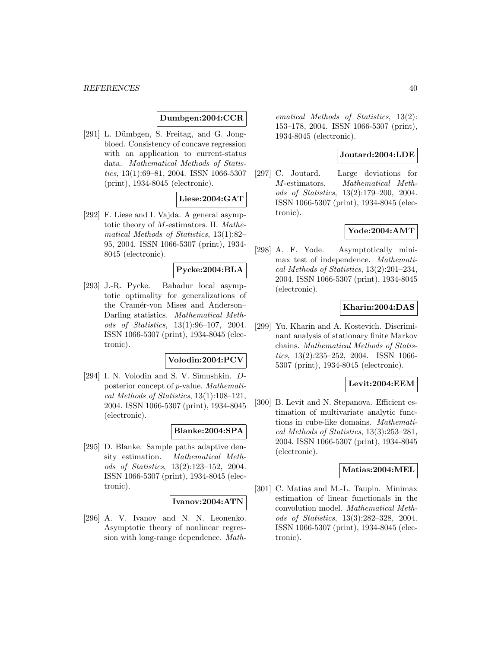#### *REFERENCES* 40

## **Dumbgen:2004:CCR**

[291] L. Dümbgen, S. Freitag, and G. Jongbloed. Consistency of concave regression with an application to current-status data. Mathematical Methods of Statistics, 13(1):69–81, 2004. ISSN 1066-5307 (print), 1934-8045 (electronic).

## **Liese:2004:GAT**

[292] F. Liese and I. Vajda. A general asymptotic theory of M-estimators. II. Mathematical Methods of Statistics, 13(1):82– 95, 2004. ISSN 1066-5307 (print), 1934- 8045 (electronic).

## **Pycke:2004:BLA**

[293] J.-R. Pycke. Bahadur local asymptotic optimality for generalizations of the Cramér-von Mises and Anderson-Darling statistics. Mathematical Methods of Statistics, 13(1):96–107, 2004. ISSN 1066-5307 (print), 1934-8045 (electronic).

## **Volodin:2004:PCV**

[294] I. N. Volodin and S. V. Simushkin. Dposterior concept of p-value. Mathematical Methods of Statistics, 13(1):108–121, 2004. ISSN 1066-5307 (print), 1934-8045 (electronic).

## **Blanke:2004:SPA**

[295] D. Blanke. Sample paths adaptive density estimation. Mathematical Methods of Statistics, 13(2):123–152, 2004. ISSN 1066-5307 (print), 1934-8045 (electronic).

### **Ivanov:2004:ATN**

[296] A. V. Ivanov and N. N. Leonenko. Asymptotic theory of nonlinear regression with long-range dependence. Mathematical Methods of Statistics, 13(2): 153–178, 2004. ISSN 1066-5307 (print), 1934-8045 (electronic).

#### **Joutard:2004:LDE**

[297] C. Joutard. Large deviations for M-estimators. Mathematical Methods of Statistics, 13(2):179–200, 2004. ISSN 1066-5307 (print), 1934-8045 (electronic).

## **Yode:2004:AMT**

[298] A. F. Yode. Asymptotically minimax test of independence. Mathematical Methods of Statistics, 13(2):201–234, 2004. ISSN 1066-5307 (print), 1934-8045 (electronic).

## **Kharin:2004:DAS**

[299] Yu. Kharin and A. Kostevich. Discriminant analysis of stationary finite Markov chains. Mathematical Methods of Statistics, 13(2):235–252, 2004. ISSN 1066- 5307 (print), 1934-8045 (electronic).

#### **Levit:2004:EEM**

[300] B. Levit and N. Stepanova. Efficient estimation of multivariate analytic functions in cube-like domains. Mathematical Methods of Statistics, 13(3):253–281, 2004. ISSN 1066-5307 (print), 1934-8045 (electronic).

#### **Matias:2004:MEL**

[301] C. Matias and M.-L. Taupin. Minimax estimation of linear functionals in the convolution model. Mathematical Methods of Statistics, 13(3):282–328, 2004. ISSN 1066-5307 (print), 1934-8045 (electronic).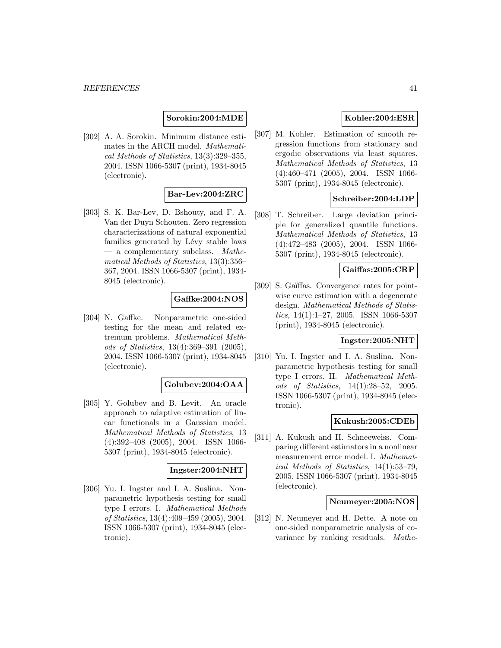## **Sorokin:2004:MDE**

[302] A. A. Sorokin. Minimum distance estimates in the ARCH model. Mathematical Methods of Statistics, 13(3):329–355, 2004. ISSN 1066-5307 (print), 1934-8045 (electronic).

## **Bar-Lev:2004:ZRC**

[303] S. K. Bar-Lev, D. Bshouty, and F. A. Van der Duyn Schouten. Zero regression characterizations of natural exponential families generated by Lévy stable laws  $-$  a complementary subclass. *Mathe*matical Methods of Statistics, 13(3):356– 367, 2004. ISSN 1066-5307 (print), 1934- 8045 (electronic).

## **Gaffke:2004:NOS**

[304] N. Gaffke. Nonparametric one-sided testing for the mean and related extremum problems. Mathematical Methods of Statistics, 13(4):369–391 (2005), 2004. ISSN 1066-5307 (print), 1934-8045 (electronic).

#### **Golubev:2004:OAA**

[305] Y. Golubev and B. Levit. An oracle approach to adaptive estimation of linear functionals in a Gaussian model. Mathematical Methods of Statistics, 13 (4):392–408 (2005), 2004. ISSN 1066- 5307 (print), 1934-8045 (electronic).

#### **Ingster:2004:NHT**

[306] Yu. I. Ingster and I. A. Suslina. Nonparametric hypothesis testing for small type I errors. I. Mathematical Methods of Statistics, 13(4):409–459 (2005), 2004. ISSN 1066-5307 (print), 1934-8045 (electronic).

## **Kohler:2004:ESR**

[307] M. Kohler. Estimation of smooth regression functions from stationary and ergodic observations via least squares. Mathematical Methods of Statistics, 13 (4):460–471 (2005), 2004. ISSN 1066- 5307 (print), 1934-8045 (electronic).

## **Schreiber:2004:LDP**

[308] T. Schreiber. Large deviation principle for generalized quantile functions. Mathematical Methods of Statistics, 13 (4):472–483 (2005), 2004. ISSN 1066- 5307 (print), 1934-8045 (electronic).

## **Gaiffas:2005:CRP**

[309] S. Gaïffas. Convergence rates for pointwise curve estimation with a degenerate design. Mathematical Methods of Statistics, 14(1):1–27, 2005. ISSN 1066-5307 (print), 1934-8045 (electronic).

# **Ingster:2005:NHT**

[310] Yu. I. Ingster and I. A. Suslina. Nonparametric hypothesis testing for small type I errors. II. Mathematical Methods of Statistics, 14(1):28–52, 2005. ISSN 1066-5307 (print), 1934-8045 (electronic).

### **Kukush:2005:CDEb**

[311] A. Kukush and H. Schneeweiss. Comparing different estimators in a nonlinear measurement error model. I. Mathematical Methods of Statistics, 14(1):53–79, 2005. ISSN 1066-5307 (print), 1934-8045 (electronic).

### **Neumeyer:2005:NOS**

[312] N. Neumeyer and H. Dette. A note on one-sided nonparametric analysis of covariance by ranking residuals. Mathe-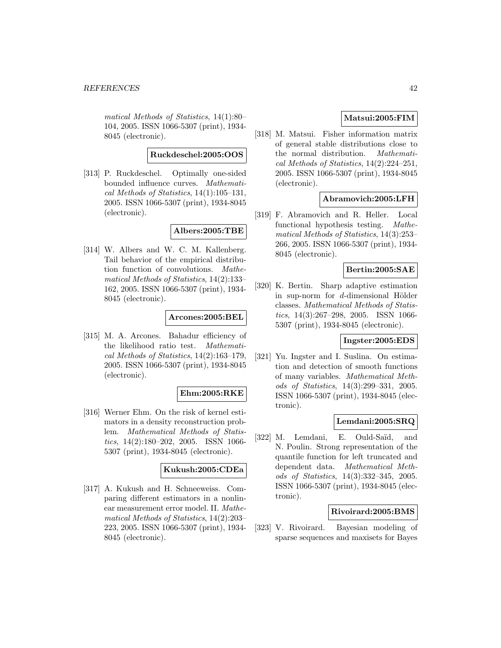matical Methods of Statistics, 14(1):80– 104, 2005. ISSN 1066-5307 (print), 1934- 8045 (electronic).

#### **Ruckdeschel:2005:OOS**

[313] P. Ruckdeschel. Optimally one-sided bounded influence curves. Mathematical Methods of Statistics, 14(1):105–131, 2005. ISSN 1066-5307 (print), 1934-8045 (electronic).

## **Albers:2005:TBE**

[314] W. Albers and W. C. M. Kallenberg. Tail behavior of the empirical distribution function of convolutions. Mathematical Methods of Statistics, 14(2):133– 162, 2005. ISSN 1066-5307 (print), 1934- 8045 (electronic).

### **Arcones:2005:BEL**

[315] M. A. Arcones. Bahadur efficiency of the likelihood ratio test. Mathematical Methods of Statistics, 14(2):163–179, 2005. ISSN 1066-5307 (print), 1934-8045 (electronic).

#### **Ehm:2005:RKE**

[316] Werner Ehm. On the risk of kernel estimators in a density reconstruction problem. Mathematical Methods of Statistics, 14(2):180–202, 2005. ISSN 1066- 5307 (print), 1934-8045 (electronic).

### **Kukush:2005:CDEa**

[317] A. Kukush and H. Schneeweiss. Comparing different estimators in a nonlinear measurement error model. II. Mathematical Methods of Statistics, 14(2):203– 223, 2005. ISSN 1066-5307 (print), 1934- 8045 (electronic).

## **Matsui:2005:FIM**

[318] M. Matsui. Fisher information matrix of general stable distributions close to the normal distribution. Mathematical Methods of Statistics, 14(2):224–251, 2005. ISSN 1066-5307 (print), 1934-8045 (electronic).

### **Abramovich:2005:LFH**

[319] F. Abramovich and R. Heller. Local functional hypothesis testing. Mathematical Methods of Statistics, 14(3):253– 266, 2005. ISSN 1066-5307 (print), 1934- 8045 (electronic).

### **Bertin:2005:SAE**

[320] K. Bertin. Sharp adaptive estimation in sup-norm for  $d$ -dimensional Hölder classes. Mathematical Methods of Statistics, 14(3):267–298, 2005. ISSN 1066- 5307 (print), 1934-8045 (electronic).

## **Ingster:2005:EDS**

[321] Yu. Ingster and I. Suslina. On estimation and detection of smooth functions of many variables. Mathematical Methods of Statistics, 14(3):299–331, 2005. ISSN 1066-5307 (print), 1934-8045 (electronic).

## **Lemdani:2005:SRQ**

[322] M. Lemdani, E. Ould-Saïd, and N. Poulin. Strong representation of the quantile function for left truncated and dependent data. Mathematical Methods of Statistics, 14(3):332–345, 2005. ISSN 1066-5307 (print), 1934-8045 (electronic).

### **Rivoirard:2005:BMS**

[323] V. Rivoirard. Bayesian modeling of sparse sequences and maxisets for Bayes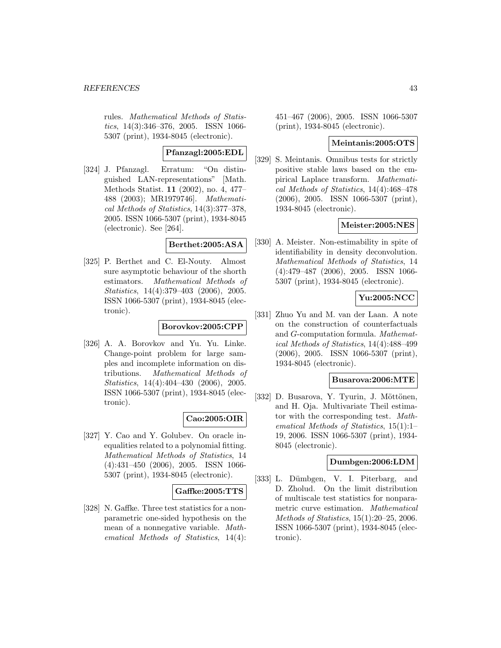rules. Mathematical Methods of Statistics, 14(3):346–376, 2005. ISSN 1066- 5307 (print), 1934-8045 (electronic).

## **Pfanzagl:2005:EDL**

[324] J. Pfanzagl. Erratum: "On distinguished LAN-representations" [Math. Methods Statist. **11** (2002), no. 4, 477– 488 (2003); MR1979746]. Mathematical Methods of Statistics, 14(3):377–378, 2005. ISSN 1066-5307 (print), 1934-8045 (electronic). See [264].

### **Berthet:2005:ASA**

[325] P. Berthet and C. El-Nouty. Almost sure asymptotic behaviour of the shorth estimators. Mathematical Methods of Statistics, 14(4):379–403 (2006), 2005. ISSN 1066-5307 (print), 1934-8045 (electronic).

## **Borovkov:2005:CPP**

[326] A. A. Borovkov and Yu. Yu. Linke. Change-point problem for large samples and incomplete information on distributions. Mathematical Methods of Statistics, 14(4):404–430 (2006), 2005. ISSN 1066-5307 (print), 1934-8045 (electronic).

## **Cao:2005:OIR**

[327] Y. Cao and Y. Golubev. On oracle inequalities related to a polynomial fitting. Mathematical Methods of Statistics, 14 (4):431–450 (2006), 2005. ISSN 1066- 5307 (print), 1934-8045 (electronic).

## **Gaffke:2005:TTS**

[328] N. Gaffke. Three test statistics for a nonparametric one-sided hypothesis on the mean of a nonnegative variable. Mathematical Methods of Statistics, 14(4):

451–467 (2006), 2005. ISSN 1066-5307 (print), 1934-8045 (electronic).

## **Meintanis:2005:OTS**

[329] S. Meintanis. Omnibus tests for strictly positive stable laws based on the empirical Laplace transform. Mathematical Methods of Statistics, 14(4):468–478 (2006), 2005. ISSN 1066-5307 (print), 1934-8045 (electronic).

## **Meister:2005:NES**

[330] A. Meister. Non-estimability in spite of identifiability in density deconvolution. Mathematical Methods of Statistics, 14 (4):479–487 (2006), 2005. ISSN 1066- 5307 (print), 1934-8045 (electronic).

## **Yu:2005:NCC**

[331] Zhuo Yu and M. van der Laan. A note on the construction of counterfactuals and G-computation formula. Mathematical Methods of Statistics, 14(4):488–499 (2006), 2005. ISSN 1066-5307 (print), 1934-8045 (electronic).

## **Busarova:2006:MTE**

[332] D. Busarova, Y. Tyurin, J. Möttönen, and H. Oja. Multivariate Theil estimator with the corresponding test. Mathematical Methods of Statistics, 15(1):1– 19, 2006. ISSN 1066-5307 (print), 1934- 8045 (electronic).

## **Dumbgen:2006:LDM**

[333] L. Dümbgen, V. I. Piterbarg, and D. Zholud. On the limit distribution of multiscale test statistics for nonparametric curve estimation. Mathematical Methods of Statistics, 15(1):20–25, 2006. ISSN 1066-5307 (print), 1934-8045 (electronic).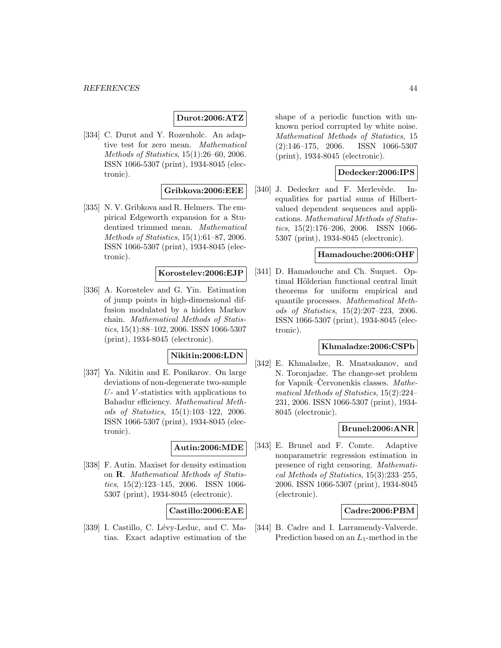## **Durot:2006:ATZ**

[334] C. Durot and Y. Rozenholc. An adaptive test for zero mean. Mathematical Methods of Statistics, 15(1):26–60, 2006. ISSN 1066-5307 (print), 1934-8045 (electronic).

## **Gribkova:2006:EEE**

[335] N. V. Gribkova and R. Helmers. The empirical Edgeworth expansion for a Studentized trimmed mean. Mathematical Methods of Statistics, 15(1):61–87, 2006. ISSN 1066-5307 (print), 1934-8045 (electronic).

### **Korostelev:2006:EJP**

[336] A. Korostelev and G. Yin. Estimation of jump points in high-dimensional diffusion modulated by a hidden Markov chain. Mathematical Methods of Statistics, 15(1):88–102, 2006. ISSN 1066-5307 (print), 1934-8045 (electronic).

## **Nikitin:2006:LDN**

[337] Ya. Nikitin and E. Ponikarov. On large deviations of non-degenerate two-sample  $U$ - and  $V$ -statistics with applications to Bahadur efficiency. Mathematical Methods of Statistics, 15(1):103–122, 2006. ISSN 1066-5307 (print), 1934-8045 (electronic).

#### **Autin:2006:MDE**

[338] F. Autin. Maxiset for density estimation on **R**. Mathematical Methods of Statistics, 15(2):123–145, 2006. ISSN 1066- 5307 (print), 1934-8045 (electronic).

#### **Castillo:2006:EAE**

[339] I. Castillo, C. Lévy-Leduc, and C. Matias. Exact adaptive estimation of the shape of a periodic function with unknown period corrupted by white noise. Mathematical Methods of Statistics, 15 (2):146–175, 2006. ISSN 1066-5307 (print), 1934-8045 (electronic).

### **Dedecker:2006:IPS**

[340] J. Dedecker and F. Merlevède. Inequalities for partial sums of Hilbertvalued dependent sequences and applications. Mathematical Methods of Statistics, 15(2):176–206, 2006. ISSN 1066- 5307 (print), 1934-8045 (electronic).

#### **Hamadouche:2006:OHF**

[341] D. Hamadouche and Ch. Suquet. Optimal Hölderian functional central limit theorems for uniform empirical and quantile processes. Mathematical Methods of Statistics, 15(2):207–223, 2006. ISSN 1066-5307 (print), 1934-8045 (electronic).

## **Khmaladze:2006:CSPb**

[342] E. Khmaladze, R. Mnatsakanov, and N. Toronjadze. The change-set problem for Vapnik–Červonenkis classes. Mathematical Methods of Statistics, 15(2):224– 231, 2006. ISSN 1066-5307 (print), 1934- 8045 (electronic).

## **Brunel:2006:ANR**

[343] E. Brunel and F. Comte. Adaptive nonparametric regression estimation in presence of right censoring. Mathematical Methods of Statistics, 15(3):233–255, 2006. ISSN 1066-5307 (print), 1934-8045 (electronic).

#### **Cadre:2006:PBM**

[344] B. Cadre and I. Larramendy-Valverde. Prediction based on an  $L_1$ -method in the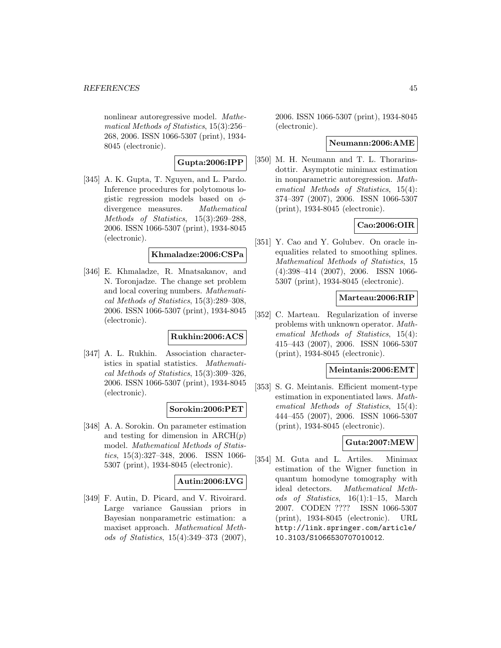nonlinear autoregressive model. Mathematical Methods of Statistics, 15(3):256– 268, 2006. ISSN 1066-5307 (print), 1934- 8045 (electronic).

**Gupta:2006:IPP**

[345] A. K. Gupta, T. Nguyen, and L. Pardo. Inference procedures for polytomous logistic regression models based on  $\phi$ divergence measures. Mathematical Methods of Statistics, 15(3):269–288, 2006. ISSN 1066-5307 (print), 1934-8045 (electronic).

## **Khmaladze:2006:CSPa**

[346] E. Khmaladze, R. Mnatsakanov, and N. Toronjadze. The change set problem and local covering numbers. Mathematical Methods of Statistics, 15(3):289–308, 2006. ISSN 1066-5307 (print), 1934-8045 (electronic).

# **Rukhin:2006:ACS**

[347] A. L. Rukhin. Association characteristics in spatial statistics. Mathematical Methods of Statistics, 15(3):309–326, 2006. ISSN 1066-5307 (print), 1934-8045 (electronic).

## **Sorokin:2006:PET**

[348] A. A. Sorokin. On parameter estimation and testing for dimension in  $\text{ARCH}(p)$ model. Mathematical Methods of Statistics, 15(3):327–348, 2006. ISSN 1066- 5307 (print), 1934-8045 (electronic).

## **Autin:2006:LVG**

[349] F. Autin, D. Picard, and V. Rivoirard. Large variance Gaussian priors in Bayesian nonparametric estimation: a maxiset approach. Mathematical Methods of Statistics, 15(4):349–373 (2007), 2006. ISSN 1066-5307 (print), 1934-8045 (electronic).

## **Neumann:2006:AME**

[350] M. H. Neumann and T. L. Thorarinsdottir. Asymptotic minimax estimation in nonparametric autoregression. Mathematical Methods of Statistics, 15(4): 374–397 (2007), 2006. ISSN 1066-5307 (print), 1934-8045 (electronic).

## **Cao:2006:OIR**

[351] Y. Cao and Y. Golubev. On oracle inequalities related to smoothing splines. Mathematical Methods of Statistics, 15 (4):398–414 (2007), 2006. ISSN 1066- 5307 (print), 1934-8045 (electronic).

## **Marteau:2006:RIP**

[352] C. Marteau. Regularization of inverse problems with unknown operator. Mathematical Methods of Statistics, 15(4): 415–443 (2007), 2006. ISSN 1066-5307 (print), 1934-8045 (electronic).

#### **Meintanis:2006:EMT**

[353] S. G. Meintanis. Efficient moment-type estimation in exponentiated laws. Mathematical Methods of Statistics, 15(4): 444–455 (2007), 2006. ISSN 1066-5307 (print), 1934-8045 (electronic).

## **Guta:2007:MEW**

[354] M. Guta and L. Artiles. Minimax estimation of the Wigner function in quantum homodyne tomography with ideal detectors. Mathematical Methods of Statistics, 16(1):1–15, March 2007. CODEN ???? ISSN 1066-5307 (print), 1934-8045 (electronic). URL http://link.springer.com/article/ 10.3103/S1066530707010012.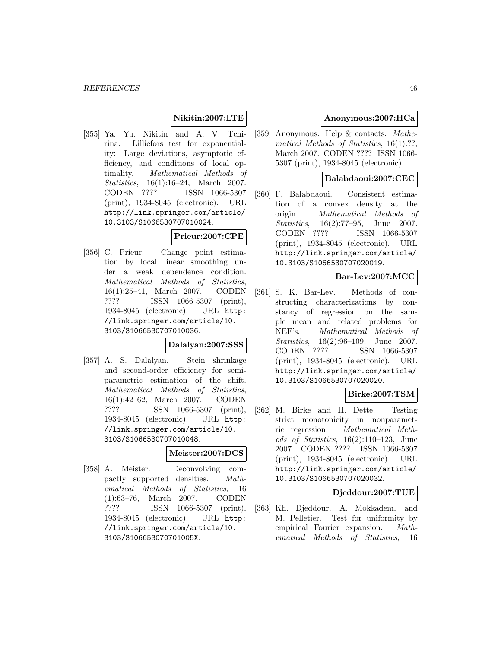## **Nikitin:2007:LTE**

[355] Ya. Yu. Nikitin and A. V. Tchirina. Lilliefors test for exponentiality: Large deviations, asymptotic efficiency, and conditions of local optimality. Mathematical Methods of Statistics, 16(1):16–24, March 2007. CODEN ???? ISSN 1066-5307 (print), 1934-8045 (electronic). URL http://link.springer.com/article/ 10.3103/S1066530707010024.

## **Prieur:2007:CPE**

[356] C. Prieur. Change point estimation by local linear smoothing under a weak dependence condition. Mathematical Methods of Statistics, 16(1):25–41, March 2007. CODEN ???? ISSN 1066-5307 (print), 1934-8045 (electronic). URL http: //link.springer.com/article/10. 3103/S1066530707010036.

#### **Dalalyan:2007:SSS**

[357] A. S. Dalalyan. Stein shrinkage and second-order efficiency for semiparametric estimation of the shift. Mathematical Methods of Statistics, 16(1):42–62, March 2007. CODEN ???? ISSN 1066-5307 (print), 1934-8045 (electronic). URL http: //link.springer.com/article/10. 3103/S1066530707010048.

### **Meister:2007:DCS**

[358] A. Meister. Deconvolving compactly supported densities. Mathematical Methods of Statistics, 16 (1):63–76, March 2007. CODEN ???? ISSN 1066-5307 (print), 1934-8045 (electronic). URL http: //link.springer.com/article/10. 3103/S106653070701005X.

### **Anonymous:2007:HCa**

[359] Anonymous. Help & contacts. Mathematical Methods of Statistics, 16(1):??, March 2007. CODEN ???? ISSN 1066- 5307 (print), 1934-8045 (electronic).

### **Balabdaoui:2007:CEC**

[360] F. Balabdaoui. Consistent estimation of a convex density at the origin. Mathematical Methods of Statistics, 16(2):77–95, June 2007. CODEN ???? ISSN 1066-5307 (print), 1934-8045 (electronic). URL http://link.springer.com/article/ 10.3103/S1066530707020019.

### **Bar-Lev:2007:MCC**

[361] S. K. Bar-Lev. Methods of constructing characterizations by constancy of regression on the sample mean and related problems for NEF's. Mathematical Methods of Statistics, 16(2):96–109, June 2007. CODEN ???? ISSN 1066-5307 (print), 1934-8045 (electronic). URL http://link.springer.com/article/ 10.3103/S1066530707020020.

## **Birke:2007:TSM**

[362] M. Birke and H. Dette. Testing strict monotonicity in nonparametric regression. Mathematical Methods of Statistics, 16(2):110–123, June 2007. CODEN ???? ISSN 1066-5307 (print), 1934-8045 (electronic). URL http://link.springer.com/article/ 10.3103/S1066530707020032.

### **Djeddour:2007:TUE**

[363] Kh. Djeddour, A. Mokkadem, and M. Pelletier. Test for uniformity by empirical Fourier expansion. Mathematical Methods of Statistics, 16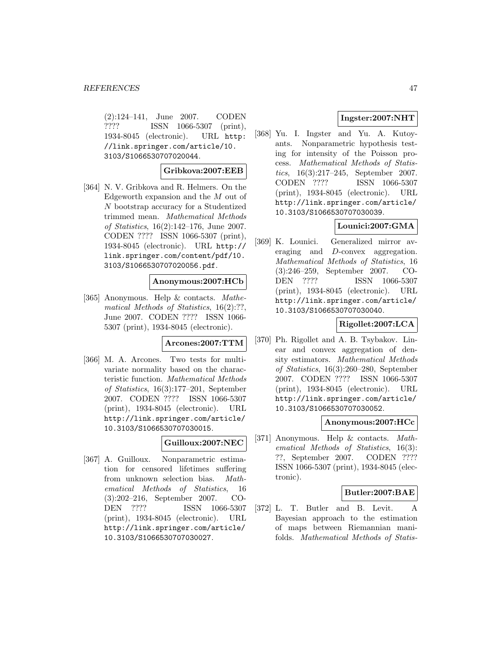(2):124–141, June 2007. CODEN ???? ISSN 1066-5307 (print), 1934-8045 (electronic). URL http: //link.springer.com/article/10. 3103/S1066530707020044.

### **Gribkova:2007:EEB**

[364] N. V. Gribkova and R. Helmers. On the Edgeworth expansion and the M out of N bootstrap accuracy for a Studentized trimmed mean. Mathematical Methods of Statistics, 16(2):142–176, June 2007. CODEN ???? ISSN 1066-5307 (print), 1934-8045 (electronic). URL http:// link.springer.com/content/pdf/10. 3103/S1066530707020056.pdf.

### **Anonymous:2007:HCb**

[365] Anonymous. Help & contacts. Mathematical Methods of Statistics, 16(2):??, June 2007. CODEN ???? ISSN 1066- 5307 (print), 1934-8045 (electronic).

#### **Arcones:2007:TTM**

[366] M. A. Arcones. Two tests for multivariate normality based on the characteristic function. Mathematical Methods of Statistics, 16(3):177–201, September 2007. CODEN ???? ISSN 1066-5307 (print), 1934-8045 (electronic). URL http://link.springer.com/article/ 10.3103/S1066530707030015.

#### **Guilloux:2007:NEC**

[367] A. Guilloux. Nonparametric estimation for censored lifetimes suffering from unknown selection bias. Mathematical Methods of Statistics, 16 (3):202–216, September 2007. CO-DEN ???? ISSN 1066-5307 (print), 1934-8045 (electronic). URL http://link.springer.com/article/ 10.3103/S1066530707030027.

## **Ingster:2007:NHT**

[368] Yu. I. Ingster and Yu. A. Kutoyants. Nonparametric hypothesis testing for intensity of the Poisson process. Mathematical Methods of Statistics, 16(3):217–245, September 2007. CODEN ???? ISSN 1066-5307 (print), 1934-8045 (electronic). URL http://link.springer.com/article/ 10.3103/S1066530707030039.

## **Lounici:2007:GMA**

[369] K. Lounici. Generalized mirror averaging and D-convex aggregation. Mathematical Methods of Statistics, 16 (3):246–259, September 2007. CO-DEN ???? ISSN 1066-5307 (print), 1934-8045 (electronic). URL http://link.springer.com/article/ 10.3103/S1066530707030040.

## **Rigollet:2007:LCA**

[370] Ph. Rigollet and A. B. Tsybakov. Linear and convex aggregation of density estimators. Mathematical Methods of Statistics, 16(3):260–280, September 2007. CODEN ???? ISSN 1066-5307 (print), 1934-8045 (electronic). URL http://link.springer.com/article/ 10.3103/S1066530707030052.

### **Anonymous:2007:HCc**

[371] Anonymous. Help & contacts. Mathematical Methods of Statistics, 16(3): ??, September 2007. CODEN ???? ISSN 1066-5307 (print), 1934-8045 (electronic).

## **Butler:2007:BAE**

[372] L. T. Butler and B. Levit. A Bayesian approach to the estimation of maps between Riemannian manifolds. Mathematical Methods of Statis-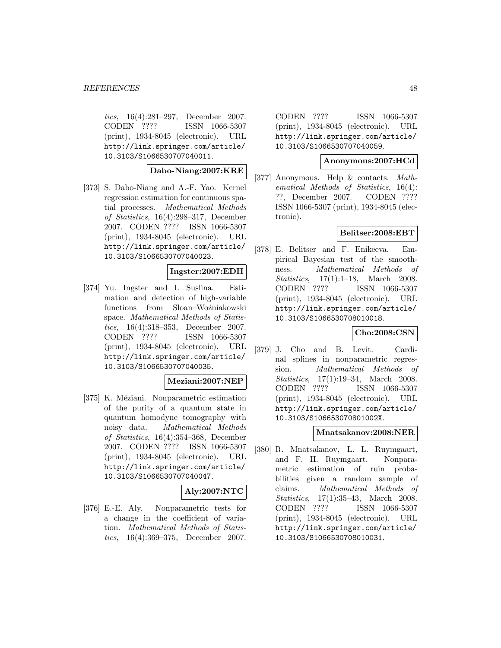tics, 16(4):281–297, December 2007. CODEN ???? ISSN 1066-5307 (print), 1934-8045 (electronic). URL http://link.springer.com/article/ 10.3103/S1066530707040011.

## **Dabo-Niang:2007:KRE**

[373] S. Dabo-Niang and A.-F. Yao. Kernel regression estimation for continuous spatial processes. Mathematical Methods of Statistics, 16(4):298–317, December 2007. CODEN ???? ISSN 1066-5307 (print), 1934-8045 (electronic). URL http://link.springer.com/article/ 10.3103/S1066530707040023.

## **Ingster:2007:EDH**

[374] Yu. Ingster and I. Suslina. Estimation and detection of high-variable functions from Sloan–Woźniakowski space. Mathematical Methods of Statistics, 16(4):318–353, December 2007. CODEN ???? ISSN 1066-5307 (print), 1934-8045 (electronic). URL http://link.springer.com/article/ 10.3103/S1066530707040035.

## **Meziani:2007:NEP**

[375] K. Méziani. Nonparametric estimation of the purity of a quantum state in quantum homodyne tomography with noisy data. Mathematical Methods of Statistics, 16(4):354–368, December 2007. CODEN ???? ISSN 1066-5307 (print), 1934-8045 (electronic). URL http://link.springer.com/article/ 10.3103/S1066530707040047.

## **Aly:2007:NTC**

[376] E.-E. Aly. Nonparametric tests for a change in the coefficient of variation. Mathematical Methods of Statistics, 16(4):369–375, December 2007.

CODEN ???? ISSN 1066-5307 (print), 1934-8045 (electronic). URL http://link.springer.com/article/ 10.3103/S1066530707040059.

**Anonymous:2007:HCd**

[377] Anonymous. Help & contacts. Mathematical Methods of Statistics, 16(4): ??, December 2007. CODEN ???? ISSN 1066-5307 (print), 1934-8045 (electronic).

## **Belitser:2008:EBT**

[378] E. Belitser and F. Enikeeva. Empirical Bayesian test of the smoothness. Mathematical Methods of Statistics, 17(1):1–18, March 2008. CODEN ???? ISSN 1066-5307 (print), 1934-8045 (electronic). URL http://link.springer.com/article/ 10.3103/S1066530708010018.

## **Cho:2008:CSN**

[379] J. Cho and B. Levit. Cardinal splines in nonparametric regression. Mathematical Methods of Statistics, 17(1):19–34, March 2008. CODEN ???? ISSN 1066-5307 (print), 1934-8045 (electronic). URL http://link.springer.com/article/ 10.3103/S106653070801002X.

## **Mnatsakanov:2008:NER**

[380] R. Mnatsakanov, L. L. Ruymgaart, and F. H. Ruymgaart. Nonparametric estimation of ruin probabilities given a random sample of claims. Mathematical Methods of Statistics, 17(1):35–43, March 2008. CODEN ???? ISSN 1066-5307 (print), 1934-8045 (electronic). URL http://link.springer.com/article/ 10.3103/S1066530708010031.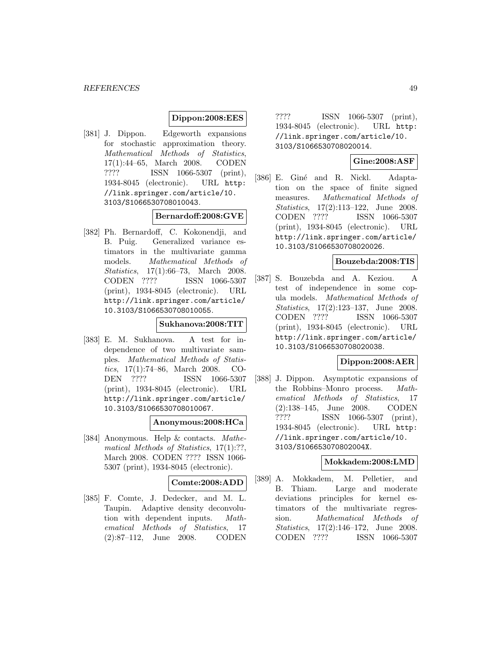## **Dippon:2008:EES**

[381] J. Dippon. Edgeworth expansions for stochastic approximation theory. Mathematical Methods of Statistics, 17(1):44–65, March 2008. CODEN ???? ISSN 1066-5307 (print), 1934-8045 (electronic). URL http: //link.springer.com/article/10. 3103/S1066530708010043.

## **Bernardoff:2008:GVE**

[382] Ph. Bernardoff, C. Kokonendji, and B. Puig. Generalized variance estimators in the multivariate gamma models. Mathematical Methods of Statistics, 17(1):66–73, March 2008. CODEN ???? ISSN 1066-5307 (print), 1934-8045 (electronic). URL http://link.springer.com/article/ 10.3103/S1066530708010055.

## **Sukhanova:2008:TIT**

[383] E. M. Sukhanova. A test for independence of two multivariate samples. Mathematical Methods of Statistics, 17(1):74–86, March 2008. CO-DEN ???? ISSN 1066-5307 (print), 1934-8045 (electronic). URL http://link.springer.com/article/ 10.3103/S1066530708010067.

#### **Anonymous:2008:HCa**

[384] Anonymous. Help & contacts. Mathematical Methods of Statistics, 17(1):??, March 2008. CODEN ???? ISSN 1066- 5307 (print), 1934-8045 (electronic).

## **Comte:2008:ADD**

[385] F. Comte, J. Dedecker, and M. L. Taupin. Adaptive density deconvolution with dependent inputs. Mathematical Methods of Statistics, 17 (2):87–112, June 2008. CODEN

???? ISSN 1066-5307 (print), 1934-8045 (electronic). URL http: //link.springer.com/article/10. 3103/S1066530708020014.

# **Gine:2008:ASF**

[386] E. Giné and R. Nickl. Adaptation on the space of finite signed measures. Mathematical Methods of Statistics, 17(2):113–122, June 2008. CODEN ???? ISSN 1066-5307 (print), 1934-8045 (electronic). URL http://link.springer.com/article/ 10.3103/S1066530708020026.

### **Bouzebda:2008:TIS**

[387] S. Bouzebda and A. Keziou. A test of independence in some copula models. Mathematical Methods of Statistics, 17(2):123–137, June 2008. CODEN ???? ISSN 1066-5307 (print), 1934-8045 (electronic). URL http://link.springer.com/article/ 10.3103/S1066530708020038.

## **Dippon:2008:AER**

[388] J. Dippon. Asymptotic expansions of the Robbins–Monro process. Mathematical Methods of Statistics, 17 (2):138–145, June 2008. CODEN ???? ISSN 1066-5307 (print), 1934-8045 (electronic). URL http: //link.springer.com/article/10. 3103/S106653070802004X.

#### **Mokkadem:2008:LMD**

[389] A. Mokkadem, M. Pelletier, and B. Thiam. Large and moderate deviations principles for kernel estimators of the multivariate regression. Mathematical Methods of Statistics, 17(2):146–172, June 2008. CODEN ???? ISSN 1066-5307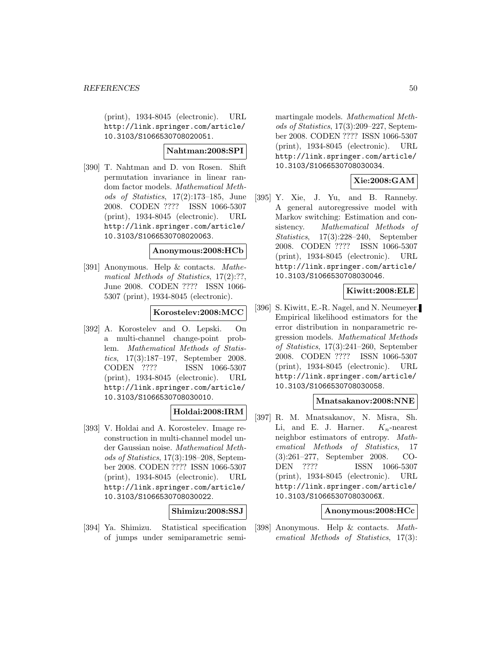(print), 1934-8045 (electronic). URL http://link.springer.com/article/ 10.3103/S1066530708020051.

## **Nahtman:2008:SPI**

[390] T. Nahtman and D. von Rosen. Shift permutation invariance in linear random factor models. Mathematical Methods of Statistics, 17(2):173–185, June 2008. CODEN ???? ISSN 1066-5307 (print), 1934-8045 (electronic). URL http://link.springer.com/article/ 10.3103/S1066530708020063.

#### **Anonymous:2008:HCb**

[391] Anonymous. Help & contacts. Mathematical Methods of Statistics, 17(2):??, June 2008. CODEN ???? ISSN 1066- 5307 (print), 1934-8045 (electronic).

## **Korostelev:2008:MCC**

[392] A. Korostelev and O. Lepski. On a multi-channel change-point problem. Mathematical Methods of Statistics, 17(3):187–197, September 2008. CODEN ???? ISSN 1066-5307 (print), 1934-8045 (electronic). URL http://link.springer.com/article/ 10.3103/S1066530708030010.

## **Holdai:2008:IRM**

[393] V. Holdai and A. Korostelev. Image reconstruction in multi-channel model under Gaussian noise. Mathematical Methods of Statistics, 17(3):198–208, September 2008. CODEN ???? ISSN 1066-5307 (print), 1934-8045 (electronic). URL http://link.springer.com/article/ 10.3103/S1066530708030022.

## **Shimizu:2008:SSJ**

[394] Ya. Shimizu. Statistical specification of jumps under semiparametric semimartingale models. Mathematical Methods of Statistics, 17(3):209–227, September 2008. CODEN ???? ISSN 1066-5307 (print), 1934-8045 (electronic). URL http://link.springer.com/article/ 10.3103/S1066530708030034.

## **Xie:2008:GAM**

[395] Y. Xie, J. Yu, and B. Ranneby. A general autoregressive model with Markov switching: Estimation and consistency. Mathematical Methods of Statistics, 17(3):228–240, September 2008. CODEN ???? ISSN 1066-5307 (print), 1934-8045 (electronic). URL http://link.springer.com/article/ 10.3103/S1066530708030046.

### **Kiwitt:2008:ELE**

[396] S. Kiwitt, E.-R. Nagel, and N. Neumeyer. Empirical likelihood estimators for the error distribution in nonparametric regression models. Mathematical Methods of Statistics, 17(3):241–260, September 2008. CODEN ???? ISSN 1066-5307 (print), 1934-8045 (electronic). URL http://link.springer.com/article/ 10.3103/S1066530708030058.

## **Mnatsakanov:2008:NNE**

[397] R. M. Mnatsakanov, N. Misra, Sh. Li, and E. J. Harner.  $K_n$ -nearest neighbor estimators of entropy. Mathematical Methods of Statistics, 17 (3):261–277, September 2008. CO-DEN ???? ISSN 1066-5307 (print), 1934-8045 (electronic). URL http://link.springer.com/article/ 10.3103/S106653070803006X.

## **Anonymous:2008:HCc**

[398] Anonymous. Help & contacts. Mathematical Methods of Statistics, 17(3):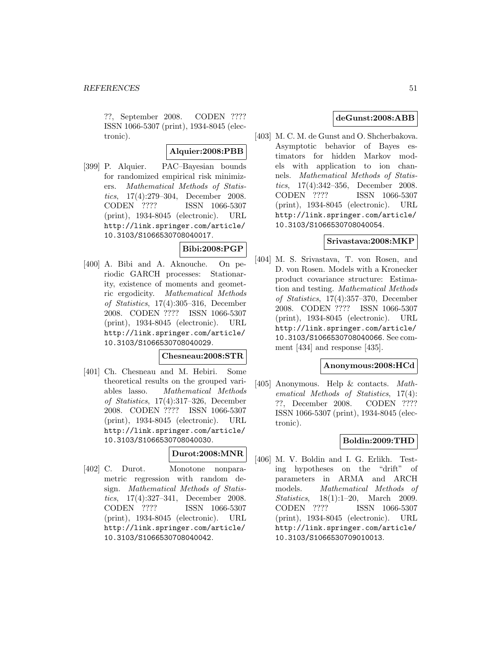??, September 2008. CODEN ???? ISSN 1066-5307 (print), 1934-8045 (electronic).

### **Alquier:2008:PBB**

[399] P. Alquier. PAC–Bayesian bounds for randomized empirical risk minimizers. Mathematical Methods of Statistics, 17(4):279–304, December 2008. CODEN ???? ISSN 1066-5307 (print), 1934-8045 (electronic). URL http://link.springer.com/article/ 10.3103/S1066530708040017.

### **Bibi:2008:PGP**

[400] A. Bibi and A. Aknouche. On periodic GARCH processes: Stationarity, existence of moments and geometric ergodicity. Mathematical Methods of Statistics, 17(4):305–316, December 2008. CODEN ???? ISSN 1066-5307 (print), 1934-8045 (electronic). URL http://link.springer.com/article/ 10.3103/S1066530708040029.

#### **Chesneau:2008:STR**

[401] Ch. Chesneau and M. Hebiri. Some theoretical results on the grouped variables lasso. Mathematical Methods of Statistics, 17(4):317–326, December 2008. CODEN ???? ISSN 1066-5307 (print), 1934-8045 (electronic). URL http://link.springer.com/article/ 10.3103/S1066530708040030.

# **Durot:2008:MNR**

[402] C. Durot. Monotone nonparametric regression with random design. Mathematical Methods of Statistics, 17(4):327–341, December 2008. CODEN ???? ISSN 1066-5307 (print), 1934-8045 (electronic). URL http://link.springer.com/article/ 10.3103/S1066530708040042.

### **deGunst:2008:ABB**

[403] M. C. M. de Gunst and O. Shcherbakova. Asymptotic behavior of Bayes estimators for hidden Markov models with application to ion channels. Mathematical Methods of Statistics, 17(4):342–356, December 2008. CODEN ???? ISSN 1066-5307 (print), 1934-8045 (electronic). URL http://link.springer.com/article/ 10.3103/S1066530708040054.

### **Srivastava:2008:MKP**

[404] M. S. Srivastava, T. von Rosen, and D. von Rosen. Models with a Kronecker product covariance structure: Estimation and testing. Mathematical Methods of Statistics, 17(4):357–370, December 2008. CODEN ???? ISSN 1066-5307 (print), 1934-8045 (electronic). URL http://link.springer.com/article/ 10.3103/S1066530708040066. See comment [434] and response [435].

## **Anonymous:2008:HCd**

[405] Anonymous. Help & contacts. Mathematical Methods of Statistics, 17(4): ??, December 2008. CODEN ???? ISSN 1066-5307 (print), 1934-8045 (electronic).

## **Boldin:2009:THD**

[406] M. V. Boldin and I. G. Erlikh. Testing hypotheses on the "drift" of parameters in ARMA and ARCH models. Mathematical Methods of Statistics, 18(1):1–20, March 2009. CODEN ???? ISSN 1066-5307 (print), 1934-8045 (electronic). URL http://link.springer.com/article/ 10.3103/S1066530709010013.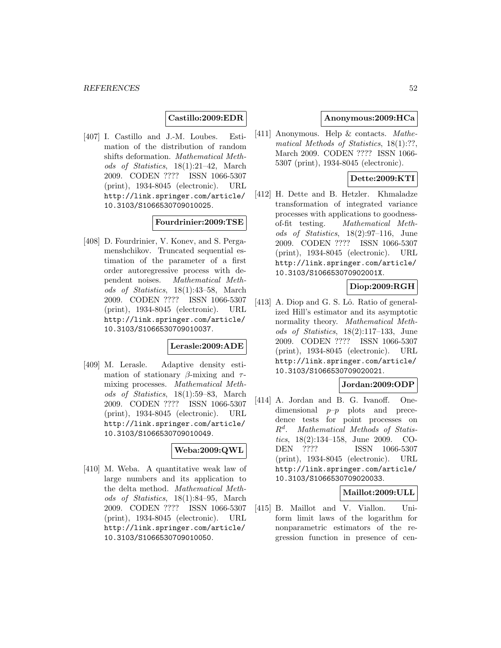## **Castillo:2009:EDR**

[407] I. Castillo and J.-M. Loubes. Estimation of the distribution of random shifts deformation. Mathematical Methods of Statistics, 18(1):21–42, March 2009. CODEN ???? ISSN 1066-5307 (print), 1934-8045 (electronic). URL http://link.springer.com/article/ 10.3103/S1066530709010025.

## **Fourdrinier:2009:TSE**

[408] D. Fourdrinier, V. Konev, and S. Pergamenshchikov. Truncated sequential estimation of the parameter of a first order autoregressive process with dependent noises. Mathematical Methods of Statistics, 18(1):43–58, March 2009. CODEN ???? ISSN 1066-5307 (print), 1934-8045 (electronic). URL http://link.springer.com/article/ 10.3103/S1066530709010037.

#### **Lerasle:2009:ADE**

[409] M. Lerasle. Adaptive density estimation of stationary  $\beta$ -mixing and  $\tau$ mixing processes. Mathematical Methods of Statistics, 18(1):59–83, March 2009. CODEN ???? ISSN 1066-5307 (print), 1934-8045 (electronic). URL http://link.springer.com/article/ 10.3103/S1066530709010049.

# **Weba:2009:QWL**

[410] M. Weba. A quantitative weak law of large numbers and its application to the delta method. Mathematical Methods of Statistics, 18(1):84–95, March 2009. CODEN ???? ISSN 1066-5307 (print), 1934-8045 (electronic). URL http://link.springer.com/article/ 10.3103/S1066530709010050.

### **Anonymous:2009:HCa**

[411] Anonymous. Help & contacts. Mathematical Methods of Statistics, 18(1):??, March 2009. CODEN ???? ISSN 1066- 5307 (print), 1934-8045 (electronic).

## **Dette:2009:KTI**

[412] H. Dette and B. Hetzler. Khmaladze transformation of integrated variance processes with applications to goodnessof-fit testing. Mathematical Methods of Statistics, 18(2):97–116, June 2009. CODEN ???? ISSN 1066-5307 (print), 1934-8045 (electronic). URL http://link.springer.com/article/ 10.3103/S106653070902001X.

## **Diop:2009:RGH**

 $[413]$  A. Diop and G. S. Lô. Ratio of generalized Hill's estimator and its asymptotic normality theory. Mathematical Methods of Statistics, 18(2):117–133, June 2009. CODEN ???? ISSN 1066-5307 (print), 1934-8045 (electronic). URL http://link.springer.com/article/ 10.3103/S1066530709020021.

## **Jordan:2009:ODP**

[414] A. Jordan and B. G. Ivanoff. Onedimensional  $p-p$  plots and precedence tests for point processes on  $R<sup>d</sup>$ . Mathematical Methods of Statistics, 18(2):134–158, June 2009. CO-DEN ???? ISSN 1066-5307 (print), 1934-8045 (electronic). URL http://link.springer.com/article/ 10.3103/S1066530709020033.

### **Maillot:2009:ULL**

[415] B. Maillot and V. Viallon. Uniform limit laws of the logarithm for nonparametric estimators of the regression function in presence of cen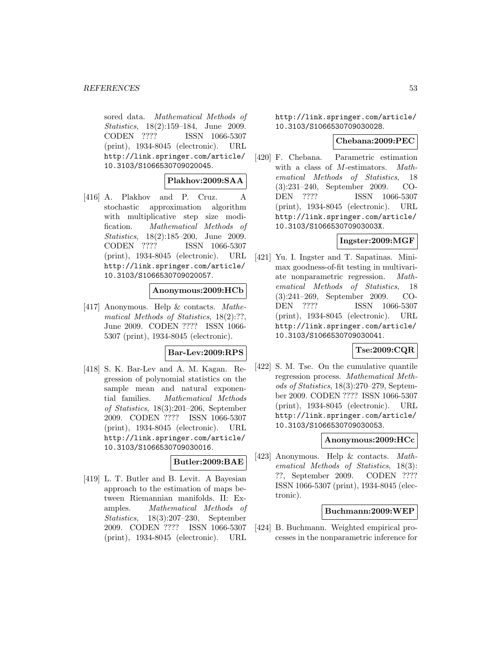sored data. Mathematical Methods of Statistics, 18(2):159–184, June 2009. CODEN ???? ISSN 1066-5307 (print), 1934-8045 (electronic). URL http://link.springer.com/article/ 10.3103/S1066530709020045.

### **Plakhov:2009:SAA**

[416] A. Plakhov and P. Cruz. A stochastic approximation algorithm with multiplicative step size modification. Mathematical Methods of Statistics, 18(2):185–200, June 2009. CODEN ???? ISSN 1066-5307 (print), 1934-8045 (electronic). URL http://link.springer.com/article/ 10.3103/S1066530709020057.

### **Anonymous:2009:HCb**

[417] Anonymous. Help & contacts. Mathematical Methods of Statistics, 18(2):??, June 2009. CODEN ???? ISSN 1066- 5307 (print), 1934-8045 (electronic).

#### **Bar-Lev:2009:RPS**

[418] S. K. Bar-Lev and A. M. Kagan. Regression of polynomial statistics on the sample mean and natural exponential families. Mathematical Methods of Statistics, 18(3):201–206, September 2009. CODEN ???? ISSN 1066-5307 (print), 1934-8045 (electronic). URL http://link.springer.com/article/ 10.3103/S1066530709030016.

#### **Butler:2009:BAE**

[419] L. T. Butler and B. Levit. A Bayesian approach to the estimation of maps between Riemannian manifolds. II: Examples. Mathematical Methods of Statistics, 18(3):207–230, September 2009. CODEN ???? ISSN 1066-5307 (print), 1934-8045 (electronic). URL

http://link.springer.com/article/ 10.3103/S1066530709030028.

#### **Chebana:2009:PEC**

[420] F. Chebana. Parametric estimation with a class of M-estimators. Mathematical Methods of Statistics, 18 (3):231–240, September 2009. CO-DEN ???? ISSN 1066-5307 (print), 1934-8045 (electronic). URL http://link.springer.com/article/ 10.3103/S106653070903003X.

## **Ingster:2009:MGF**

[421] Yu. I. Ingster and T. Sapatinas. Minimax goodness-of-fit testing in multivariate nonparametric regression. Mathematical Methods of Statistics, 18 (3):241–269, September 2009. CO-DEN ???? ISSN 1066-5307 (print), 1934-8045 (electronic). URL http://link.springer.com/article/ 10.3103/S1066530709030041.

## **Tse:2009:CQR**

[422] S. M. Tse. On the cumulative quantile regression process. Mathematical Methods of Statistics, 18(3):270–279, September 2009. CODEN ???? ISSN 1066-5307 (print), 1934-8045 (electronic). URL http://link.springer.com/article/ 10.3103/S1066530709030053.

#### **Anonymous:2009:HCc**

[423] Anonymous. Help & contacts. Mathematical Methods of Statistics, 18(3): ??, September 2009. CODEN ???? ISSN 1066-5307 (print), 1934-8045 (electronic).

#### **Buchmann:2009:WEP**

[424] B. Buchmann. Weighted empirical processes in the nonparametric inference for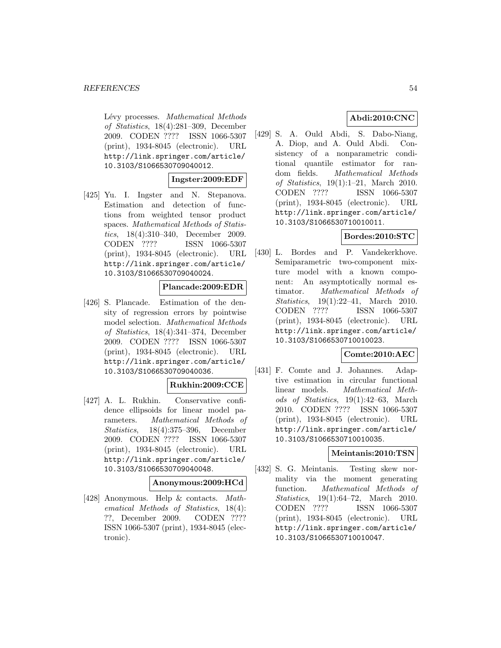Lévy processes. Mathematical Methods of Statistics, 18(4):281–309, December 2009. CODEN ???? ISSN 1066-5307 (print), 1934-8045 (electronic). URL http://link.springer.com/article/ 10.3103/S1066530709040012.

## **Ingster:2009:EDF**

[425] Yu. I. Ingster and N. Stepanova. Estimation and detection of functions from weighted tensor product spaces. Mathematical Methods of Statistics, 18(4):310–340, December 2009. CODEN ???? ISSN 1066-5307 (print), 1934-8045 (electronic). URL http://link.springer.com/article/ 10.3103/S1066530709040024.

### **Plancade:2009:EDR**

[426] S. Plancade. Estimation of the density of regression errors by pointwise model selection. Mathematical Methods of Statistics, 18(4):341–374, December 2009. CODEN ???? ISSN 1066-5307 (print), 1934-8045 (electronic). URL http://link.springer.com/article/ 10.3103/S1066530709040036.

## **Rukhin:2009:CCE**

[427] A. L. Rukhin. Conservative confidence ellipsoids for linear model parameters. Mathematical Methods of Statistics, 18(4):375–396, December 2009. CODEN ???? ISSN 1066-5307 (print), 1934-8045 (electronic). URL http://link.springer.com/article/ 10.3103/S1066530709040048.

## **Anonymous:2009:HCd**

[428] Anonymous. Help & contacts. Mathematical Methods of Statistics, 18(4): ??, December 2009. CODEN ???? ISSN 1066-5307 (print), 1934-8045 (electronic).

## **Abdi:2010:CNC**

[429] S. A. Ould Abdi, S. Dabo-Niang, A. Diop, and A. Ould Abdi. Consistency of a nonparametric conditional quantile estimator for random fields. Mathematical Methods of Statistics, 19(1):1–21, March 2010. CODEN ???? ISSN 1066-5307 (print), 1934-8045 (electronic). URL http://link.springer.com/article/ 10.3103/S1066530710010011.

## **Bordes:2010:STC**

[430] L. Bordes and P. Vandekerkhove. Semiparametric two-component mixture model with a known component: An asymptotically normal estimator. Mathematical Methods of Statistics, 19(1):22–41, March 2010. CODEN ???? ISSN 1066-5307 (print), 1934-8045 (electronic). URL http://link.springer.com/article/ 10.3103/S1066530710010023.

#### **Comte:2010:AEC**

[431] F. Comte and J. Johannes. Adaptive estimation in circular functional linear models. Mathematical Methods of Statistics, 19(1):42–63, March 2010. CODEN ???? ISSN 1066-5307 (print), 1934-8045 (electronic). URL http://link.springer.com/article/ 10.3103/S1066530710010035.

## **Meintanis:2010:TSN**

[432] S. G. Meintanis. Testing skew normality via the moment generating function. Mathematical Methods of Statistics, 19(1):64–72, March 2010. CODEN ???? ISSN 1066-5307 (print), 1934-8045 (electronic). URL http://link.springer.com/article/ 10.3103/S1066530710010047.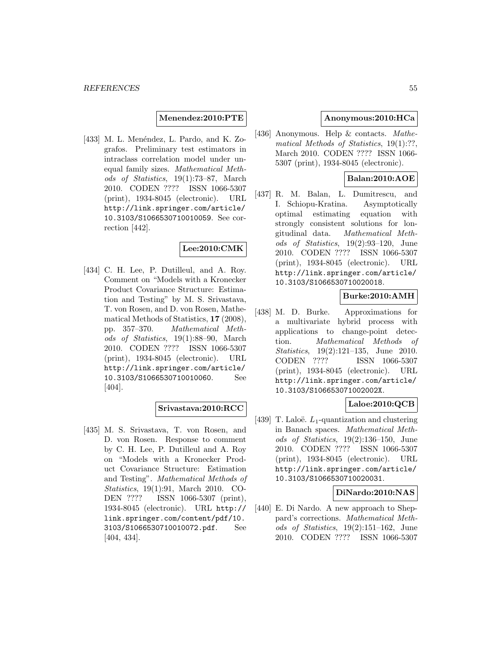**Menendez:2010:PTE**

 $[433]$  M. L. Menéndez, L. Pardo, and K. Zografos. Preliminary test estimators in intraclass correlation model under unequal family sizes. Mathematical Methods of Statistics, 19(1):73–87, March 2010. CODEN ???? ISSN 1066-5307 (print), 1934-8045 (electronic). URL http://link.springer.com/article/ 10.3103/S1066530710010059. See correction [442].

## **Lee:2010:CMK**

[434] C. H. Lee, P. Dutilleul, and A. Roy. Comment on "Models with a Kronecker Product Covariance Structure: Estimation and Testing" by M. S. Srivastava, T. von Rosen, and D. von Rosen, Mathematical Methods of Statistics, **17** (2008), pp. 357–370. Mathematical Methods of Statistics, 19(1):88–90, March 2010. CODEN ???? ISSN 1066-5307 (print), 1934-8045 (electronic). URL http://link.springer.com/article/ 10.3103/S1066530710010060. See [404].

## **Srivastava:2010:RCC**

[435] M. S. Srivastava, T. von Rosen, and D. von Rosen. Response to comment by C. H. Lee, P. Dutilleul and A. Roy on "Models with a Kronecker Product Covariance Structure: Estimation and Testing". Mathematical Methods of Statistics, 19(1):91, March 2010. CO-DEN ???? ISSN 1066-5307 (print), 1934-8045 (electronic). URL http:// link.springer.com/content/pdf/10. 3103/S1066530710010072.pdf. See [404, 434].

## **Anonymous:2010:HCa**

[436] Anonymous. Help & contacts. Mathematical Methods of Statistics, 19(1):??, March 2010. CODEN ???? ISSN 1066- 5307 (print), 1934-8045 (electronic).

## **Balan:2010:AOE**

[437] R. M. Balan, L. Dumitrescu, and I. Schiopu-Kratina. Asymptotically optimal estimating equation with strongly consistent solutions for longitudinal data. Mathematical Methods of Statistics, 19(2):93–120, June 2010. CODEN ???? ISSN 1066-5307 (print), 1934-8045 (electronic). URL http://link.springer.com/article/ 10.3103/S1066530710020018.

# **Burke:2010:AMH**

[438] M. D. Burke. Approximations for a multivariate hybrid process with applications to change-point detection. Mathematical Methods of Statistics, 19(2):121–135, June 2010. CODEN ???? ISSN 1066-5307 (print), 1934-8045 (electronic). URL http://link.springer.com/article/ 10.3103/S106653071002002X.

## **Laloe:2010:QCB**

[439] T. Laloë.  $L_1$ -quantization and clustering in Banach spaces. Mathematical Methods of Statistics, 19(2):136–150, June 2010. CODEN ???? ISSN 1066-5307 (print), 1934-8045 (electronic). URL http://link.springer.com/article/ 10.3103/S1066530710020031.

## **DiNardo:2010:NAS**

[440] E. Di Nardo. A new approach to Sheppard's corrections. Mathematical Methods of Statistics, 19(2):151–162, June 2010. CODEN ???? ISSN 1066-5307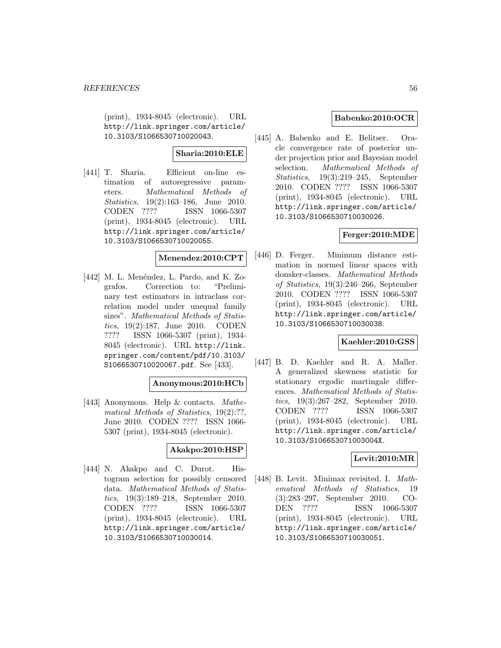(print), 1934-8045 (electronic). URL http://link.springer.com/article/ 10.3103/S1066530710020043.

## **Sharia:2010:ELE**

[441] T. Sharia. Efficient on-line estimation of autoregressive parameters. Mathematical Methods of Statistics, 19(2):163–186, June 2010. CODEN ???? ISSN 1066-5307 (print), 1934-8045 (electronic). URL http://link.springer.com/article/ 10.3103/S1066530710020055.

## **Menendez:2010:CPT**

 $[442]$  M. L. Menéndez, L. Pardo, and K. Zografos. Correction to: "Preliminary test estimators in intraclass correlation model under unequal family sizes". Mathematical Methods of Statistics, 19(2):187, June 2010. CODEN ???? ISSN 1066-5307 (print), 1934- 8045 (electronic). URL http://link. springer.com/content/pdf/10.3103/ S1066530710020067.pdf. See [433].

## **Anonymous:2010:HCb**

[443] Anonymous. Help & contacts. Mathematical Methods of Statistics, 19(2):??, June 2010. CODEN ???? ISSN 1066- 5307 (print), 1934-8045 (electronic).

## **Akakpo:2010:HSP**

[444] N. Akakpo and C. Durot. Histogram selection for possibly censored data. Mathematical Methods of Statistics, 19(3):189–218, September 2010. CODEN ???? ISSN 1066-5307 (print), 1934-8045 (electronic). URL http://link.springer.com/article/ 10.3103/S1066530710030014.

## **Babenko:2010:OCR**

[445] A. Babenko and E. Belitser. Oracle convergence rate of posterior under projection prior and Bayesian model selection. Mathematical Methods of Statistics, 19(3):219–245, September 2010. CODEN ???? ISSN 1066-5307 (print), 1934-8045 (electronic). URL http://link.springer.com/article/ 10.3103/S1066530710030026.

## **Ferger:2010:MDE**

[446] D. Ferger. Minimum distance estimation in normed linear spaces with donsker-classes. Mathematical Methods of Statistics, 19(3):246–266, September 2010. CODEN ???? ISSN 1066-5307 (print), 1934-8045 (electronic). URL http://link.springer.com/article/ 10.3103/S1066530710030038.

## **Kaehler:2010:GSS**

[447] B. D. Kaehler and R. A. Maller. A generalized skewness statistic for stationary ergodic martingale differences. Mathematical Methods of Statistics, 19(3):267–282, September 2010. CODEN ???? ISSN 1066-5307 (print), 1934-8045 (electronic). URL http://link.springer.com/article/ 10.3103/S106653071003004X.

## **Levit:2010:MR**

[448] B. Levit. Minimax revisited. I. Mathematical Methods of Statistics, 19 (3):283–297, September 2010. CO-DEN ???? ISSN 1066-5307 (print), 1934-8045 (electronic). URL http://link.springer.com/article/ 10.3103/S1066530710030051.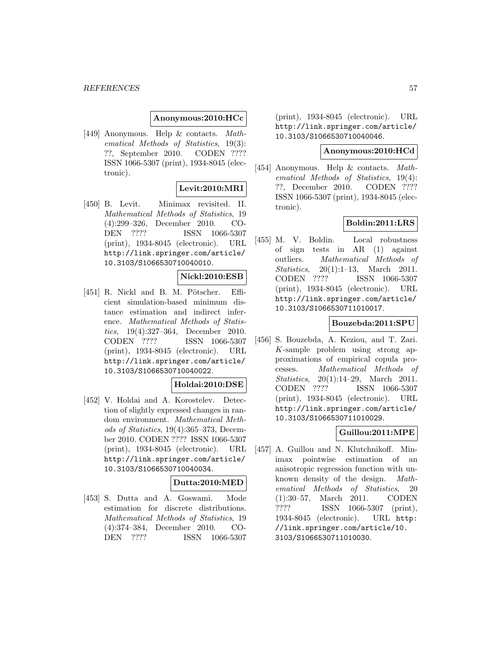#### *REFERENCES* 57

### **Anonymous:2010:HCc**

[449] Anonymous. Help & contacts. Mathematical Methods of Statistics, 19(3): ??, September 2010. CODEN ???? ISSN 1066-5307 (print), 1934-8045 (electronic).

## **Levit:2010:MRI**

[450] B. Levit. Minimax revisited. II. Mathematical Methods of Statistics, 19 (4):299–326, December 2010. CO-DEN ???? ISSN 1066-5307 (print), 1934-8045 (electronic). URL http://link.springer.com/article/ 10.3103/S1066530710040010.

## **Nickl:2010:ESB**

[451] R. Nickl and B. M. Pötscher. Efficient simulation-based minimum distance estimation and indirect inference. Mathematical Methods of Statistics, 19(4):327–364, December 2010. CODEN ???? ISSN 1066-5307 (print), 1934-8045 (electronic). URL http://link.springer.com/article/ 10.3103/S1066530710040022.

#### **Holdai:2010:DSE**

[452] V. Holdai and A. Korostelev. Detection of slightly expressed changes in random environment. Mathematical Methods of Statistics, 19(4):365–373, December 2010. CODEN ???? ISSN 1066-5307 (print), 1934-8045 (electronic). URL http://link.springer.com/article/ 10.3103/S1066530710040034.

## **Dutta:2010:MED**

[453] S. Dutta and A. Goswami. Mode estimation for discrete distributions. Mathematical Methods of Statistics, 19 (4):374–384, December 2010. CO-DEN ???? ISSN 1066-5307

(print), 1934-8045 (electronic). URL http://link.springer.com/article/ 10.3103/S1066530710040046.

### **Anonymous:2010:HCd**

[454] Anonymous. Help & contacts. Mathematical Methods of Statistics, 19(4): ??, December 2010. CODEN ???? ISSN 1066-5307 (print), 1934-8045 (electronic).

## **Boldin:2011:LRS**

[455] M. V. Boldin. Local robustness of sign tests in AR (1) against outliers. Mathematical Methods of Statistics, 20(1):1–13, March 2011. CODEN ???? ISSN 1066-5307 (print), 1934-8045 (electronic). URL http://link.springer.com/article/ 10.3103/S1066530711010017.

### **Bouzebda:2011:SPU**

[456] S. Bouzebda, A. Keziou, and T. Zari. K-sample problem using strong approximations of empirical copula processes. Mathematical Methods of Statistics, 20(1):14–29, March 2011. CODEN ???? ISSN 1066-5307 (print), 1934-8045 (electronic). URL http://link.springer.com/article/ 10.3103/S1066530711010029.

## **Guillou:2011:MPE**

[457] A. Guillou and N. Klutchnikoff. Minimax pointwise estimation of an anisotropic regression function with unknown density of the design. Mathematical Methods of Statistics, 20 (1):30–57, March 2011. CODEN ???? ISSN 1066-5307 (print), 1934-8045 (electronic). URL http: //link.springer.com/article/10. 3103/S1066530711010030.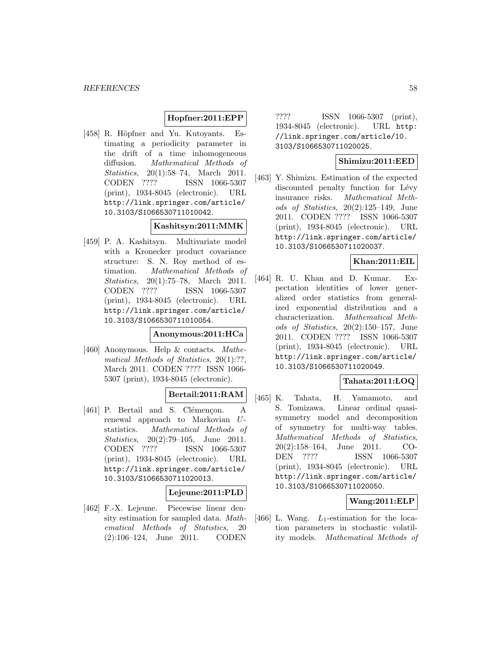## **Hopfner:2011:EPP**

[458] R. Höpfner and Yu. Kutoyants. Estimating a periodicity parameter in the drift of a time inhomogeneous diffusion. Mathematical Methods of Statistics, 20(1):58–74, March 2011. CODEN ???? ISSN 1066-5307 (print), 1934-8045 (electronic). URL http://link.springer.com/article/ 10.3103/S1066530711010042.

## **Kashitsyn:2011:MMK**

[459] P. A. Kashitsyn. Multivariate model with a Kronecker product covariance structure: S. N. Roy method of estimation. Mathematical Methods of Statistics, 20(1):75–78, March 2011. CODEN ???? ISSN 1066-5307 (print), 1934-8045 (electronic). URL http://link.springer.com/article/ 10.3103/S1066530711010054.

#### **Anonymous:2011:HCa**

[460] Anonymous. Help & contacts. Mathematical Methods of Statistics, 20(1):??, March 2011. CODEN ???? ISSN 1066- 5307 (print), 1934-8045 (electronic).

# **Bertail:2011:RAM**

[461] P. Bertail and S. Clémençon. A renewal approach to Markovian Ustatistics. Mathematical Methods of Statistics, 20(2):79–105, June 2011. CODEN ???? ISSN 1066-5307 (print), 1934-8045 (electronic). URL http://link.springer.com/article/ 10.3103/S1066530711020013.

#### **Lejeune:2011:PLD**

[462] F.-X. Lejeune. Piecewise linear density estimation for sampled data. Mathematical Methods of Statistics, 20 (2):106–124, June 2011. CODEN

???? ISSN 1066-5307 (print), 1934-8045 (electronic). URL http: //link.springer.com/article/10. 3103/S1066530711020025.

## **Shimizu:2011:EED**

[463] Y. Shimizu. Estimation of the expected discounted penalty function for Lévy insurance risks. Mathematical Methods of Statistics, 20(2):125–149, June 2011. CODEN ???? ISSN 1066-5307 (print), 1934-8045 (electronic). URL http://link.springer.com/article/ 10.3103/S1066530711020037.

## **Khan:2011:EIL**

[464] R. U. Khan and D. Kumar. Expectation identities of lower generalized order statistics from generalized exponential distribution and a characterization. Mathematical Methods of Statistics, 20(2):150–157, June 2011. CODEN ???? ISSN 1066-5307 (print), 1934-8045 (electronic). URL http://link.springer.com/article/ 10.3103/S1066530711020049.

## **Tahata:2011:LOQ**

[465] K. Tahata, H. Yamamoto, and S. Tomizawa. Linear ordinal quasisymmetry model and decomposition of symmetry for multi-way tables. Mathematical Methods of Statistics, 20(2):158–164, June 2011. CO-DEN ???? ISSN 1066-5307 (print), 1934-8045 (electronic). URL http://link.springer.com/article/ 10.3103/S1066530711020050.

## **Wang:2011:ELP**

[466] L. Wang.  $L_1$ -estimation for the location parameters in stochastic volatility models. Mathematical Methods of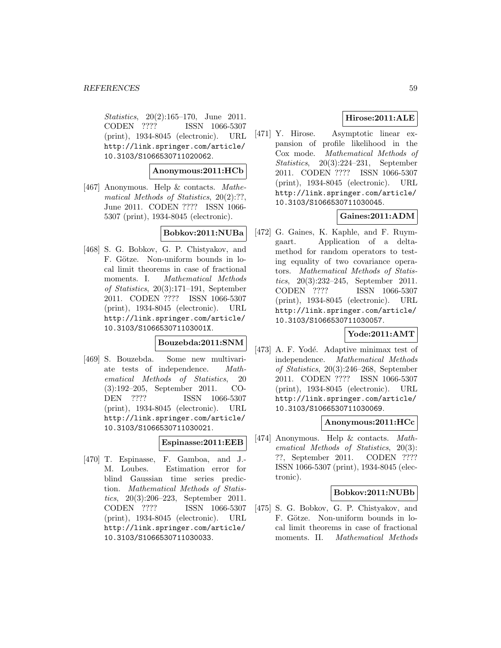Statistics, 20(2):165–170, June 2011. CODEN ???? ISSN 1066-5307 (print), 1934-8045 (electronic). URL http://link.springer.com/article/ 10.3103/S1066530711020062.

### **Anonymous:2011:HCb**

[467] Anonymous. Help & contacts. Mathematical Methods of Statistics, 20(2):??, June 2011. CODEN ???? ISSN 1066- 5307 (print), 1934-8045 (electronic).

### **Bobkov:2011:NUBa**

[468] S. G. Bobkov, G. P. Chistyakov, and F. Götze. Non-uniform bounds in local limit theorems in case of fractional moments. I. Mathematical Methods of Statistics, 20(3):171–191, September 2011. CODEN ???? ISSN 1066-5307 (print), 1934-8045 (electronic). URL http://link.springer.com/article/ 10.3103/S106653071103001X.

## **Bouzebda:2011:SNM**

[469] S. Bouzebda. Some new multivariate tests of independence. Mathematical Methods of Statistics, 20 (3):192–205, September 2011. CO-DEN ???? ISSN 1066-5307 (print), 1934-8045 (electronic). URL http://link.springer.com/article/ 10.3103/S1066530711030021.

## **Espinasse:2011:EEB**

[470] T. Espinasse, F. Gamboa, and J.- M. Loubes. Estimation error for blind Gaussian time series prediction. Mathematical Methods of Statistics, 20(3):206–223, September 2011. CODEN ???? ISSN 1066-5307 (print), 1934-8045 (electronic). URL http://link.springer.com/article/ 10.3103/S1066530711030033.

## **Hirose:2011:ALE**

[471] Y. Hirose. Asymptotic linear expansion of profile likelihood in the Cox mode. Mathematical Methods of Statistics, 20(3):224–231, September 2011. CODEN ???? ISSN 1066-5307 (print), 1934-8045 (electronic). URL http://link.springer.com/article/ 10.3103/S1066530711030045.

# **Gaines:2011:ADM**

[472] G. Gaines, K. Kaphle, and F. Ruymgaart. Application of a deltamethod for random operators to testing equality of two covariance operators. Mathematical Methods of Statistics, 20(3):232–245, September 2011. CODEN ???? ISSN 1066-5307 (print), 1934-8045 (electronic). URL http://link.springer.com/article/ 10.3103/S1066530711030057.

## **Yode:2011:AMT**

[473] A. F. Yodé. Adaptive minimax test of independence. Mathematical Methods of Statistics, 20(3):246–268, September 2011. CODEN ???? ISSN 1066-5307 (print), 1934-8045 (electronic). URL http://link.springer.com/article/ 10.3103/S1066530711030069.

### **Anonymous:2011:HCc**

[474] Anonymous. Help & contacts. Mathematical Methods of Statistics, 20(3): ??, September 2011. CODEN ???? ISSN 1066-5307 (print), 1934-8045 (electronic).

#### **Bobkov:2011:NUBb**

[475] S. G. Bobkov, G. P. Chistyakov, and F. Götze. Non-uniform bounds in local limit theorems in case of fractional moments. II. Mathematical Methods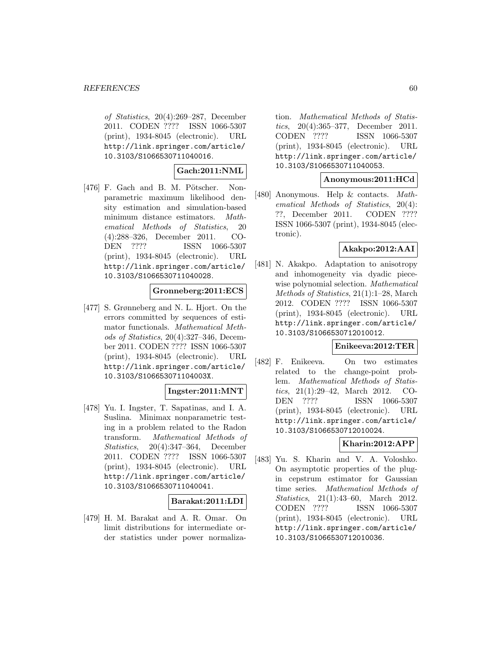of Statistics, 20(4):269–287, December 2011. CODEN ???? ISSN 1066-5307 (print), 1934-8045 (electronic). URL http://link.springer.com/article/ 10.3103/S1066530711040016.

## **Gach:2011:NML**

 $[476]$  F. Gach and B. M. Pötscher. Nonparametric maximum likelihood density estimation and simulation-based minimum distance estimators. Mathematical Methods of Statistics, 20 (4):288–326, December 2011. CO-DEN ???? ISSN 1066-5307 (print), 1934-8045 (electronic). URL http://link.springer.com/article/ 10.3103/S1066530711040028.

## **Gronneberg:2011:ECS**

[477] S. Grønneberg and N. L. Hjort. On the errors committed by sequences of estimator functionals. Mathematical Methods of Statistics, 20(4):327–346, December 2011. CODEN ???? ISSN 1066-5307 (print), 1934-8045 (electronic). URL http://link.springer.com/article/ 10.3103/S106653071104003X.

## **Ingster:2011:MNT**

[478] Yu. I. Ingster, T. Sapatinas, and I. A. Suslina. Minimax nonparametric testing in a problem related to the Radon transform. Mathematical Methods of Statistics, 20(4):347–364, December 2011. CODEN ???? ISSN 1066-5307 (print), 1934-8045 (electronic). URL http://link.springer.com/article/ 10.3103/S1066530711040041.

## **Barakat:2011:LDI**

[479] H. M. Barakat and A. R. Omar. On limit distributions for intermediate order statistics under power normalization. Mathematical Methods of Statistics, 20(4):365–377, December 2011. CODEN ???? ISSN 1066-5307 (print), 1934-8045 (electronic). URL http://link.springer.com/article/ 10.3103/S1066530711040053.

### **Anonymous:2011:HCd**

[480] Anonymous. Help & contacts. Mathematical Methods of Statistics, 20(4): ??, December 2011. CODEN ???? ISSN 1066-5307 (print), 1934-8045 (electronic).

## **Akakpo:2012:AAI**

[481] N. Akakpo. Adaptation to anisotropy and inhomogeneity via dyadic piecewise polynomial selection. Mathematical Methods of Statistics, 21(1):1–28, March 2012. CODEN ???? ISSN 1066-5307 (print), 1934-8045 (electronic). URL http://link.springer.com/article/ 10.3103/S1066530712010012.

## **Enikeeva:2012:TER**

[482] F. Enikeeva. On two estimates related to the change-point problem. Mathematical Methods of Statistics, 21(1):29–42, March 2012. CO-DEN ???? ISSN 1066-5307 (print), 1934-8045 (electronic). URL http://link.springer.com/article/ 10.3103/S1066530712010024.

## **Kharin:2012:APP**

[483] Yu. S. Kharin and V. A. Voloshko. On asymptotic properties of the plugin cepstrum estimator for Gaussian time series. Mathematical Methods of Statistics, 21(1):43–60, March 2012. CODEN ???? ISSN 1066-5307 (print), 1934-8045 (electronic). URL http://link.springer.com/article/ 10.3103/S1066530712010036.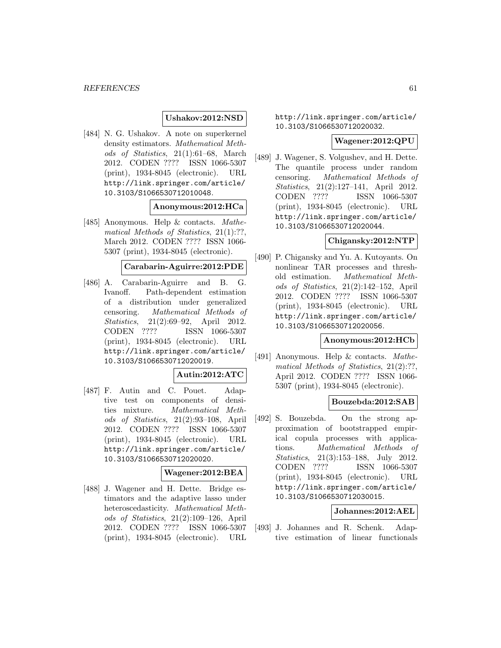## **Ushakov:2012:NSD**

[484] N. G. Ushakov. A note on superkernel density estimators. Mathematical Methods of Statistics, 21(1):61–68, March 2012. CODEN ???? ISSN 1066-5307 (print), 1934-8045 (electronic). URL http://link.springer.com/article/ 10.3103/S1066530712010048.

### **Anonymous:2012:HCa**

[485] Anonymous. Help & contacts. Mathematical Methods of Statistics, 21(1):??, March 2012. CODEN ???? ISSN 1066- 5307 (print), 1934-8045 (electronic).

#### **Carabarin-Aguirre:2012:PDE**

[486] A. Carabarin-Aguirre and B. G. Ivanoff. Path-dependent estimation of a distribution under generalized censoring. Mathematical Methods of Statistics, 21(2):69–92, April 2012. CODEN ???? ISSN 1066-5307 (print), 1934-8045 (electronic). URL http://link.springer.com/article/ 10.3103/S1066530712020019.

#### **Autin:2012:ATC**

[487] F. Autin and C. Pouet. Adaptive test on components of densities mixture. Mathematical Methods of Statistics, 21(2):93–108, April 2012. CODEN ???? ISSN 1066-5307 (print), 1934-8045 (electronic). URL http://link.springer.com/article/ 10.3103/S1066530712020020.

## **Wagener:2012:BEA**

[488] J. Wagener and H. Dette. Bridge estimators and the adaptive lasso under heteroscedasticity. Mathematical Methods of Statistics, 21(2):109–126, April 2012. CODEN ???? ISSN 1066-5307 (print), 1934-8045 (electronic). URL http://link.springer.com/article/ 10.3103/S1066530712020032.

#### **Wagener:2012:QPU**

[489] J. Wagener, S. Volgushev, and H. Dette. The quantile process under random censoring. Mathematical Methods of Statistics, 21(2):127–141, April 2012. CODEN ???? ISSN 1066-5307 (print), 1934-8045 (electronic). URL http://link.springer.com/article/ 10.3103/S1066530712020044.

### **Chigansky:2012:NTP**

[490] P. Chigansky and Yu. A. Kutoyants. On nonlinear TAR processes and threshold estimation. Mathematical Methods of Statistics, 21(2):142–152, April 2012. CODEN ???? ISSN 1066-5307 (print), 1934-8045 (electronic). URL http://link.springer.com/article/ 10.3103/S1066530712020056.

## **Anonymous:2012:HCb**

[491] Anonymous. Help & contacts. Mathematical Methods of Statistics, 21(2):??, April 2012. CODEN ???? ISSN 1066- 5307 (print), 1934-8045 (electronic).

## **Bouzebda:2012:SAB**

[492] S. Bouzebda. On the strong approximation of bootstrapped empirical copula processes with applications. Mathematical Methods of Statistics, 21(3):153–188, July 2012. CODEN ???? ISSN 1066-5307 (print), 1934-8045 (electronic). URL http://link.springer.com/article/ 10.3103/S1066530712030015.

#### **Johannes:2012:AEL**

[493] J. Johannes and R. Schenk. Adaptive estimation of linear functionals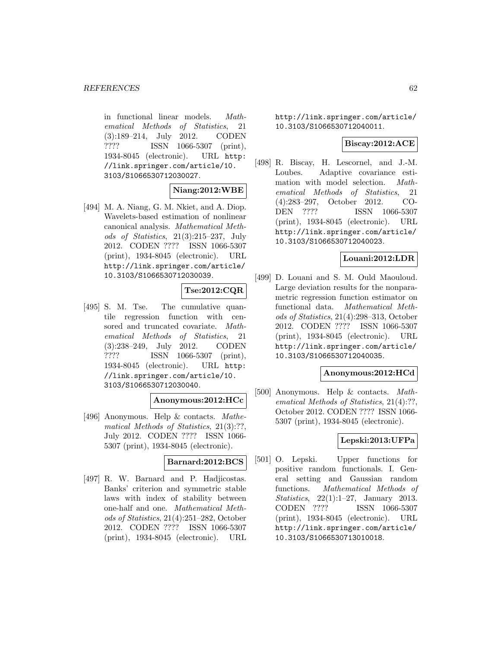in functional linear models. Mathematical Methods of Statistics, 21 (3):189–214, July 2012. CODEN ???? ISSN 1066-5307 (print), 1934-8045 (electronic). URL http: //link.springer.com/article/10. 3103/S1066530712030027.

## **Niang:2012:WBE**

[494] M. A. Niang, G. M. Nkiet, and A. Diop. Wavelets-based estimation of nonlinear canonical analysis. Mathematical Methods of Statistics, 21(3):215–237, July 2012. CODEN ???? ISSN 1066-5307 (print), 1934-8045 (electronic). URL http://link.springer.com/article/ 10.3103/S1066530712030039.

## **Tse:2012:CQR**

[495] S. M. Tse. The cumulative quantile regression function with censored and truncated covariate. Mathematical Methods of Statistics, 21 (3):238–249, July 2012. CODEN ???? ISSN 1066-5307 (print), 1934-8045 (electronic). URL http: //link.springer.com/article/10. 3103/S1066530712030040.

#### **Anonymous:2012:HCc**

[496] Anonymous. Help & contacts. Mathematical Methods of Statistics, 21(3):??, July 2012. CODEN ???? ISSN 1066- 5307 (print), 1934-8045 (electronic).

#### **Barnard:2012:BCS**

[497] R. W. Barnard and P. Hadjicostas. Banks' criterion and symmetric stable laws with index of stability between one-half and one. Mathematical Methods of Statistics, 21(4):251–282, October 2012. CODEN ???? ISSN 1066-5307 (print), 1934-8045 (electronic). URL http://link.springer.com/article/ 10.3103/S1066530712040011.

## **Biscay:2012:ACE**

[498] R. Biscay, H. Lescornel, and J.-M. Loubes. Adaptive covariance estimation with model selection. Mathematical Methods of Statistics, 21 (4):283–297, October 2012. CO-DEN ???? ISSN 1066-5307 (print), 1934-8045 (electronic). URL http://link.springer.com/article/ 10.3103/S1066530712040023.

## **Louani:2012:LDR**

[499] D. Louani and S. M. Ould Maouloud. Large deviation results for the nonparametric regression function estimator on functional data. Mathematical Methods of Statistics, 21(4):298–313, October 2012. CODEN ???? ISSN 1066-5307 (print), 1934-8045 (electronic). URL http://link.springer.com/article/ 10.3103/S1066530712040035.

## **Anonymous:2012:HCd**

[500] Anonymous. Help & contacts. Mathematical Methods of Statistics, 21(4):??, October 2012. CODEN ???? ISSN 1066- 5307 (print), 1934-8045 (electronic).

## **Lepski:2013:UFPa**

[501] O. Lepski. Upper functions for positive random functionals. I. General setting and Gaussian random functions. Mathematical Methods of Statistics, 22(1):1–27, January 2013. CODEN ???? ISSN 1066-5307 (print), 1934-8045 (electronic). URL http://link.springer.com/article/ 10.3103/S1066530713010018.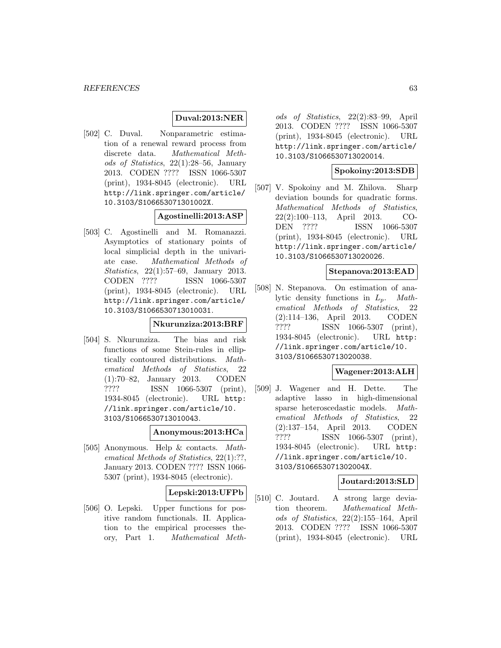## **Duval:2013:NER**

[502] C. Duval. Nonparametric estimation of a renewal reward process from discrete data. Mathematical Methods of Statistics, 22(1):28–56, January 2013. CODEN ???? ISSN 1066-5307 (print), 1934-8045 (electronic). URL http://link.springer.com/article/ 10.3103/S106653071301002X.

## **Agostinelli:2013:ASP**

[503] C. Agostinelli and M. Romanazzi. Asymptotics of stationary points of local simplicial depth in the univariate case. Mathematical Methods of Statistics, 22(1):57–69, January 2013. CODEN ???? ISSN 1066-5307 (print), 1934-8045 (electronic). URL http://link.springer.com/article/ 10.3103/S1066530713010031.

# **Nkurunziza:2013:BRF**

[504] S. Nkurunziza. The bias and risk functions of some Stein-rules in elliptically contoured distributions. Mathematical Methods of Statistics, 22 (1):70–82, January 2013. CODEN ???? ISSN 1066-5307 (print), 1934-8045 (electronic). URL http: //link.springer.com/article/10. 3103/S1066530713010043.

#### **Anonymous:2013:HCa**

[505] Anonymous. Help & contacts. Mathematical Methods of Statistics, 22(1):??, January 2013. CODEN ???? ISSN 1066- 5307 (print), 1934-8045 (electronic).

### **Lepski:2013:UFPb**

[506] O. Lepski. Upper functions for positive random functionals. II. Application to the empirical processes theory, Part 1. Mathematical Meth-

ods of Statistics, 22(2):83–99, April 2013. CODEN ???? ISSN 1066-5307 (print), 1934-8045 (electronic). URL http://link.springer.com/article/ 10.3103/S1066530713020014.

## **Spokoiny:2013:SDB**

[507] V. Spokoiny and M. Zhilova. Sharp deviation bounds for quadratic forms. Mathematical Methods of Statistics, 22(2):100–113, April 2013. CO-DEN ???? ISSN 1066-5307 (print), 1934-8045 (electronic). URL http://link.springer.com/article/ 10.3103/S1066530713020026.

## **Stepanova:2013:EAD**

[508] N. Stepanova. On estimation of analytic density functions in  $L_p$ . Mathematical Methods of Statistics, 22 (2):114–136, April 2013. CODEN ???? ISSN 1066-5307 (print), 1934-8045 (electronic). URL http: //link.springer.com/article/10. 3103/S1066530713020038.

### **Wagener:2013:ALH**

[509] J. Wagener and H. Dette. The adaptive lasso in high-dimensional sparse heteroscedastic models. Mathematical Methods of Statistics, 22 (2):137–154, April 2013. CODEN ???? ISSN 1066-5307 (print), 1934-8045 (electronic). URL http: //link.springer.com/article/10. 3103/S106653071302004X.

## **Joutard:2013:SLD**

[510] C. Joutard. A strong large deviation theorem. Mathematical Methods of Statistics, 22(2):155–164, April 2013. CODEN ???? ISSN 1066-5307 (print), 1934-8045 (electronic). URL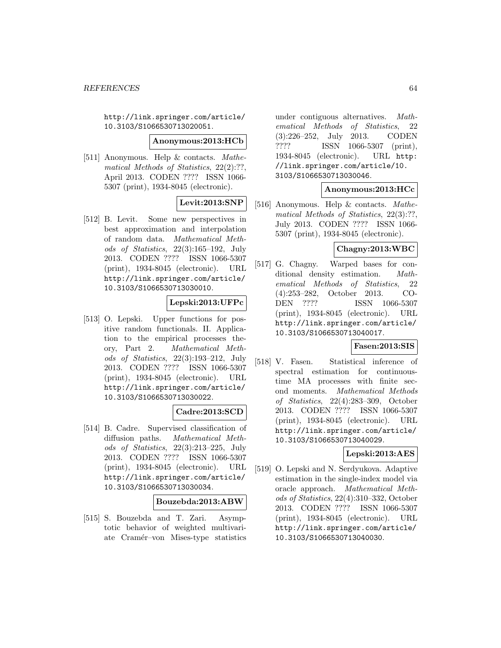http://link.springer.com/article/ 10.3103/S1066530713020051.

#### **Anonymous:2013:HCb**

[511] Anonymous. Help & contacts. Mathematical Methods of Statistics, 22(2):??, April 2013. CODEN ???? ISSN 1066- 5307 (print), 1934-8045 (electronic).

# **Levit:2013:SNP**

[512] B. Levit. Some new perspectives in best approximation and interpolation of random data. Mathematical Methods of Statistics, 22(3):165–192, July 2013. CODEN ???? ISSN 1066-5307 (print), 1934-8045 (electronic). URL http://link.springer.com/article/ 10.3103/S1066530713030010.

## **Lepski:2013:UFPc**

[513] O. Lepski. Upper functions for positive random functionals. II. Application to the empirical processes theory, Part 2. Mathematical Methods of Statistics, 22(3):193–212, July 2013. CODEN ???? ISSN 1066-5307 (print), 1934-8045 (electronic). URL http://link.springer.com/article/ 10.3103/S1066530713030022.

## **Cadre:2013:SCD**

[514] B. Cadre. Supervised classification of diffusion paths. Mathematical Methods of Statistics, 22(3):213–225, July 2013. CODEN ???? ISSN 1066-5307 (print), 1934-8045 (electronic). URL http://link.springer.com/article/ 10.3103/S1066530713030034.

#### **Bouzebda:2013:ABW**

[515] S. Bouzebda and T. Zari. Asymptotic behavior of weighted multivariate Cramér–von Mises-type statistics

under contiguous alternatives. Mathematical Methods of Statistics, 22 (3):226–252, July 2013. CODEN ???? ISSN 1066-5307 (print), 1934-8045 (electronic). URL http: //link.springer.com/article/10. 3103/S1066530713030046.

## **Anonymous:2013:HCc**

[516] Anonymous. Help & contacts. Mathematical Methods of Statistics, 22(3):??, July 2013. CODEN ???? ISSN 1066- 5307 (print), 1934-8045 (electronic).

### **Chagny:2013:WBC**

[517] G. Chagny. Warped bases for conditional density estimation. Mathematical Methods of Statistics, 22 (4):253–282, October 2013. CO-DEN ???? ISSN 1066-5307 (print), 1934-8045 (electronic). URL http://link.springer.com/article/ 10.3103/S1066530713040017.

## **Fasen:2013:SIS**

[518] V. Fasen. Statistical inference of spectral estimation for continuoustime MA processes with finite second moments. Mathematical Methods of Statistics, 22(4):283–309, October 2013. CODEN ???? ISSN 1066-5307 (print), 1934-8045 (electronic). URL http://link.springer.com/article/ 10.3103/S1066530713040029.

## **Lepski:2013:AES**

[519] O. Lepski and N. Serdyukova. Adaptive estimation in the single-index model via oracle approach. Mathematical Methods of Statistics, 22(4):310–332, October 2013. CODEN ???? ISSN 1066-5307 (print), 1934-8045 (electronic). URL http://link.springer.com/article/ 10.3103/S1066530713040030.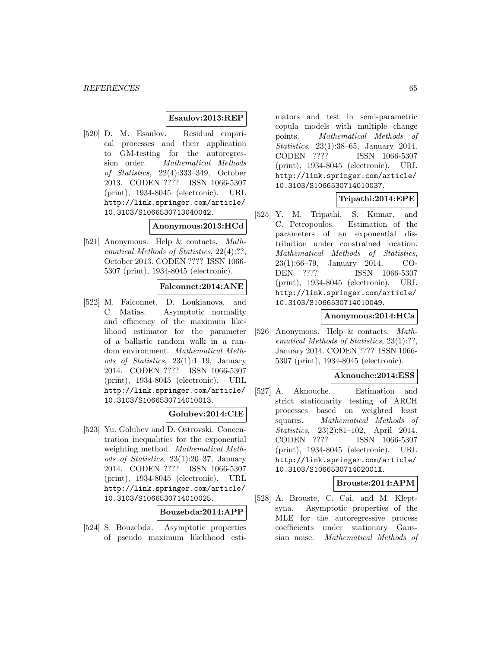### **Esaulov:2013:REP**

[520] D. M. Esaulov. Residual empirical processes and their application to GM-testing for the autoregression order. Mathematical Methods of Statistics, 22(4):333–349, October 2013. CODEN ???? ISSN 1066-5307 (print), 1934-8045 (electronic). URL http://link.springer.com/article/ 10.3103/S1066530713040042.

### **Anonymous:2013:HCd**

[521] Anonymous. Help & contacts. Mathematical Methods of Statistics, 22(4):??, October 2013. CODEN ???? ISSN 1066- 5307 (print), 1934-8045 (electronic).

## **Falconnet:2014:ANE**

[522] M. Falconnet, D. Loukianova, and C. Matias. Asymptotic normality and efficiency of the maximum likelihood estimator for the parameter of a ballistic random walk in a random environment. Mathematical Methods of Statistics, 23(1):1–19, January 2014. CODEN ???? ISSN 1066-5307 (print), 1934-8045 (electronic). URL http://link.springer.com/article/ 10.3103/S1066530714010013.

## **Golubev:2014:CIE**

[523] Yu. Golubev and D. Ostrovski. Concentration inequalities for the exponential weighting method. Mathematical Methods of Statistics, 23(1):20–37, January 2014. CODEN ???? ISSN 1066-5307 (print), 1934-8045 (electronic). URL http://link.springer.com/article/ 10.3103/S1066530714010025.

## **Bouzebda:2014:APP**

[524] S. Bouzebda. Asymptotic properties of pseudo maximum likelihood esti-

mators and test in semi-parametric copula models with multiple change points. Mathematical Methods of Statistics, 23(1):38–65, January 2014. CODEN ???? ISSN 1066-5307 (print), 1934-8045 (electronic). URL http://link.springer.com/article/ 10.3103/S1066530714010037.

## **Tripathi:2014:EPE**

[525] Y. M. Tripathi, S. Kumar, and C. Petropoulos. Estimation of the parameters of an exponential distribution under constrained location. Mathematical Methods of Statistics, 23(1):66–79, January 2014. CO-DEN ???? ISSN 1066-5307 (print), 1934-8045 (electronic). URL http://link.springer.com/article/ 10.3103/S1066530714010049.

### **Anonymous:2014:HCa**

[526] Anonymous. Help & contacts. Mathematical Methods of Statistics, 23(1):??. January 2014. CODEN ???? ISSN 1066- 5307 (print), 1934-8045 (electronic).

#### **Aknouche:2014:ESS**

[527] A. Aknouche. Estimation and strict stationarity testing of ARCH processes based on weighted least squares. Mathematical Methods of Statistics, 23(2):81–102, April 2014. CODEN ???? ISSN 1066-5307 (print), 1934-8045 (electronic). URL http://link.springer.com/article/ 10.3103/S106653071402001X.

#### **Brouste:2014:APM**

[528] A. Brouste, C. Cai, and M. Kleptsyna. Asymptotic properties of the MLE for the autoregressive process coefficients under stationary Gaussian noise. Mathematical Methods of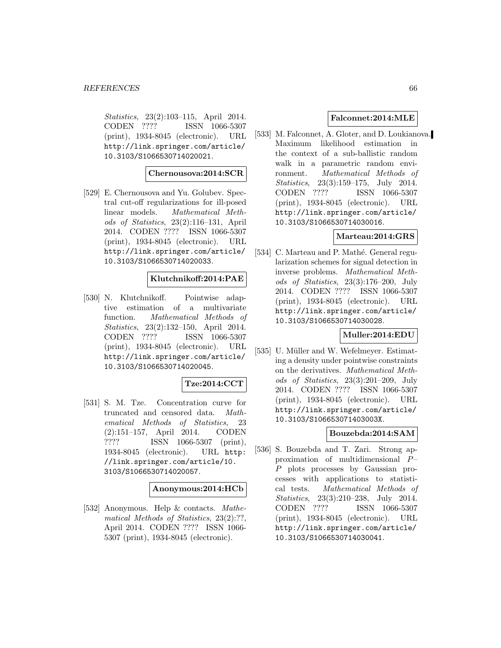Statistics, 23(2):103–115, April 2014. CODEN ???? ISSN 1066-5307 (print), 1934-8045 (electronic). URL http://link.springer.com/article/ 10.3103/S1066530714020021.

#### **Chernousova:2014:SCR**

[529] E. Chernousova and Yu. Golubev. Spectral cut-off regularizations for ill-posed linear models. Mathematical Methods of Statistics, 23(2):116–131, April 2014. CODEN ???? ISSN 1066-5307 (print), 1934-8045 (electronic). URL http://link.springer.com/article/ 10.3103/S1066530714020033.

## **Klutchnikoff:2014:PAE**

[530] N. Klutchnikoff. Pointwise adaptive estimation of a multivariate function. Mathematical Methods of Statistics, 23(2):132–150, April 2014. CODEN ???? ISSN 1066-5307 (print), 1934-8045 (electronic). URL http://link.springer.com/article/ 10.3103/S1066530714020045.

## **Tze:2014:CCT**

[531] S. M. Tze. Concentration curve for truncated and censored data. Mathematical Methods of Statistics, 23 (2):151–157, April 2014. CODEN ???? ISSN 1066-5307 (print), 1934-8045 (electronic). URL http: //link.springer.com/article/10. 3103/S1066530714020057.

## **Anonymous:2014:HCb**

[532] Anonymous. Help & contacts. Mathematical Methods of Statistics, 23(2):??, April 2014. CODEN ???? ISSN 1066- 5307 (print), 1934-8045 (electronic).

### **Falconnet:2014:MLE**

[533] M. Falconnet, A. Gloter, and D. Loukianova. Maximum likelihood estimation in the context of a sub-ballistic random walk in a parametric random environment. Mathematical Methods of Statistics, 23(3):159–175, July 2014. CODEN ???? ISSN 1066-5307 (print), 1934-8045 (electronic). URL http://link.springer.com/article/ 10.3103/S1066530714030016.

#### **Marteau:2014:GRS**

[534] C. Marteau and P. Mathé. General regularization schemes for signal detection in inverse problems. Mathematical Methods of Statistics, 23(3):176–200, July 2014. CODEN ???? ISSN 1066-5307 (print), 1934-8045 (electronic). URL http://link.springer.com/article/ 10.3103/S1066530714030028.

## **Muller:2014:EDU**

[535] U. Müller and W. Wefelmeyer. Estimating a density under pointwise constraints on the derivatives. Mathematical Methods of Statistics, 23(3):201–209, July 2014. CODEN ???? ISSN 1066-5307 (print), 1934-8045 (electronic). URL http://link.springer.com/article/ 10.3103/S106653071403003X.

## **Bouzebda:2014:SAM**

[536] S. Bouzebda and T. Zari. Strong approximation of multidimensional P– P plots processes by Gaussian processes with applications to statistical tests. Mathematical Methods of Statistics, 23(3):210–238, July 2014. CODEN ???? ISSN 1066-5307 (print), 1934-8045 (electronic). URL http://link.springer.com/article/ 10.3103/S1066530714030041.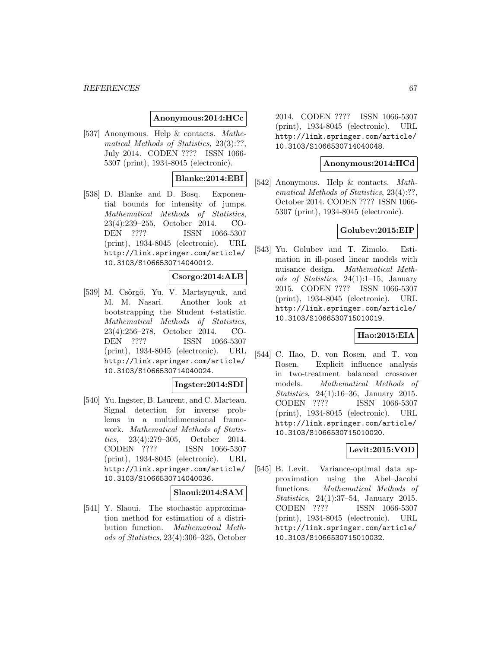### **Anonymous:2014:HCc**

[537] Anonymous. Help & contacts. Mathematical Methods of Statistics, 23(3):??, July 2014. CODEN ???? ISSN 1066- 5307 (print), 1934-8045 (electronic).

# **Blanke:2014:EBI**

[538] D. Blanke and D. Bosq. Exponential bounds for intensity of jumps. Mathematical Methods of Statistics, 23(4):239–255, October 2014. CO-DEN ???? ISSN 1066-5307 (print), 1934-8045 (electronic). URL http://link.springer.com/article/ 10.3103/S1066530714040012.

### **Csorgo:2014:ALB**

[539] M. Csörgő, Yu. V. Martsynyuk, and M. M. Nasari. Another look at bootstrapping the Student t-statistic. Mathematical Methods of Statistics, 23(4):256–278, October 2014. CO-DEN ???? ISSN 1066-5307 (print), 1934-8045 (electronic). URL http://link.springer.com/article/ 10.3103/S1066530714040024.

#### **Ingster:2014:SDI**

[540] Yu. Ingster, B. Laurent, and C. Marteau. Signal detection for inverse problems in a multidimensional framework. Mathematical Methods of Statistics, 23(4):279–305, October 2014. CODEN ???? ISSN 1066-5307 (print), 1934-8045 (electronic). URL http://link.springer.com/article/ 10.3103/S1066530714040036.

#### **Slaoui:2014:SAM**

[541] Y. Slaoui. The stochastic approximation method for estimation of a distribution function. Mathematical Methods of Statistics, 23(4):306–325, October

2014. CODEN ???? ISSN 1066-5307 (print), 1934-8045 (electronic). URL http://link.springer.com/article/ 10.3103/S1066530714040048.

### **Anonymous:2014:HCd**

[542] Anonymous. Help & contacts. Mathematical Methods of Statistics, 23(4):??, October 2014. CODEN ???? ISSN 1066- 5307 (print), 1934-8045 (electronic).

## **Golubev:2015:EIP**

[543] Yu. Golubev and T. Zimolo. Estimation in ill-posed linear models with nuisance design. Mathematical Methods of Statistics, 24(1):1–15, January 2015. CODEN ???? ISSN 1066-5307 (print), 1934-8045 (electronic). URL http://link.springer.com/article/ 10.3103/S1066530715010019.

## **Hao:2015:EIA**

[544] C. Hao, D. von Rosen, and T. von Rosen. Explicit influence analysis in two-treatment balanced crossover models. Mathematical Methods of Statistics, 24(1):16–36, January 2015. CODEN ???? ISSN 1066-5307 (print), 1934-8045 (electronic). URL http://link.springer.com/article/ 10.3103/S1066530715010020.

## **Levit:2015:VOD**

[545] B. Levit. Variance-optimal data approximation using the Abel–Jacobi functions. Mathematical Methods of Statistics, 24(1):37–54, January 2015. CODEN ???? ISSN 1066-5307 (print), 1934-8045 (electronic). URL http://link.springer.com/article/ 10.3103/S1066530715010032.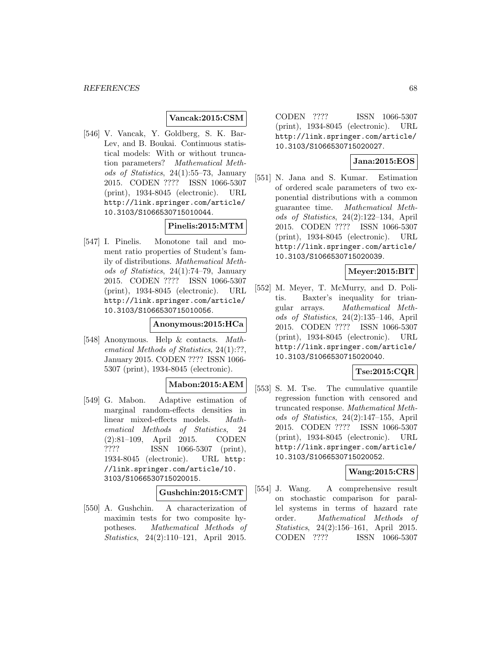### **Vancak:2015:CSM**

[546] V. Vancak, Y. Goldberg, S. K. Bar-Lev, and B. Boukai. Continuous statistical models: With or without truncation parameters? Mathematical Methods of Statistics, 24(1):55–73, January 2015. CODEN ???? ISSN 1066-5307 (print), 1934-8045 (electronic). URL http://link.springer.com/article/ 10.3103/S1066530715010044.

## **Pinelis:2015:MTM**

[547] I. Pinelis. Monotone tail and moment ratio properties of Student's family of distributions. Mathematical Methods of Statistics, 24(1):74–79, January 2015. CODEN ???? ISSN 1066-5307 (print), 1934-8045 (electronic). URL http://link.springer.com/article/ 10.3103/S1066530715010056.

### **Anonymous:2015:HCa**

[548] Anonymous. Help & contacts. Mathematical Methods of Statistics, 24(1):??, January 2015. CODEN ???? ISSN 1066- 5307 (print), 1934-8045 (electronic).

## **Mabon:2015:AEM**

[549] G. Mabon. Adaptive estimation of marginal random-effects densities in linear mixed-effects models. Mathematical Methods of Statistics, 24 (2):81–109, April 2015. CODEN ???? ISSN 1066-5307 (print), 1934-8045 (electronic). URL http: //link.springer.com/article/10. 3103/S1066530715020015.

## **Gushchin:2015:CMT**

[550] A. Gushchin. A characterization of maximin tests for two composite hypotheses. Mathematical Methods of Statistics, 24(2):110–121, April 2015.

CODEN ???? ISSN 1066-5307 (print), 1934-8045 (electronic). URL http://link.springer.com/article/ 10.3103/S1066530715020027.

# **Jana:2015:EOS**

[551] N. Jana and S. Kumar. Estimation of ordered scale parameters of two exponential distributions with a common guarantee time. Mathematical Methods of Statistics, 24(2):122–134, April 2015. CODEN ???? ISSN 1066-5307 (print), 1934-8045 (electronic). URL http://link.springer.com/article/ 10.3103/S1066530715020039.

## **Meyer:2015:BIT**

[552] M. Meyer, T. McMurry, and D. Politis. Baxter's inequality for triangular arrays. Mathematical Methods of Statistics, 24(2):135–146, April 2015. CODEN ???? ISSN 1066-5307 (print), 1934-8045 (electronic). URL http://link.springer.com/article/ 10.3103/S1066530715020040.

## **Tse:2015:CQR**

[553] S. M. Tse. The cumulative quantile regression function with censored and truncated response. Mathematical Methods of Statistics, 24(2):147–155, April 2015. CODEN ???? ISSN 1066-5307 (print), 1934-8045 (electronic). URL http://link.springer.com/article/ 10.3103/S1066530715020052.

## **Wang:2015:CRS**

[554] J. Wang. A comprehensive result on stochastic comparison for parallel systems in terms of hazard rate order. Mathematical Methods of Statistics, 24(2):156–161, April 2015. CODEN ???? ISSN 1066-5307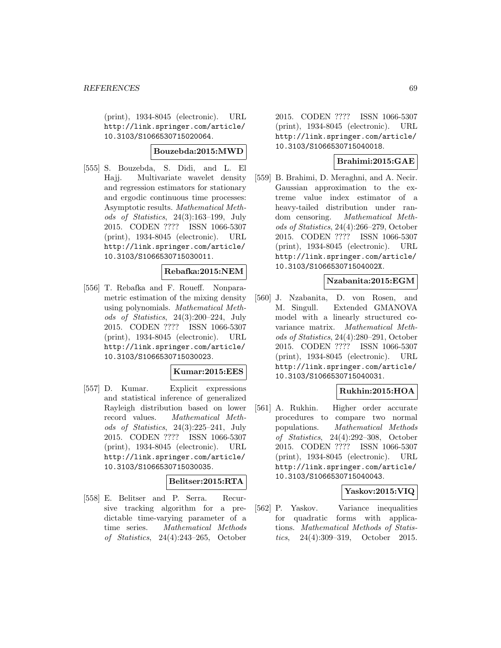(print), 1934-8045 (electronic). URL http://link.springer.com/article/ 10.3103/S1066530715020064.

## **Bouzebda:2015:MWD**

[555] S. Bouzebda, S. Didi, and L. El Hajj. Multivariate wavelet density and regression estimators for stationary and ergodic continuous time processes: Asymptotic results. Mathematical Methods of Statistics, 24(3):163–199, July 2015. CODEN ???? ISSN 1066-5307 (print), 1934-8045 (electronic). URL http://link.springer.com/article/ 10.3103/S1066530715030011.

## **Rebafka:2015:NEM**

[556] T. Rebafka and F. Roueff. Nonparametric estimation of the mixing density using polynomials. Mathematical Methods of Statistics, 24(3):200–224, July 2015. CODEN ???? ISSN 1066-5307 (print), 1934-8045 (electronic). URL http://link.springer.com/article/ 10.3103/S1066530715030023.

## **Kumar:2015:EES**

[557] D. Kumar. Explicit expressions and statistical inference of generalized Rayleigh distribution based on lower record values. Mathematical Methods of Statistics, 24(3):225–241, July 2015. CODEN ???? ISSN 1066-5307 (print), 1934-8045 (electronic). URL http://link.springer.com/article/ 10.3103/S1066530715030035.

#### **Belitser:2015:RTA**

[558] E. Belitser and P. Serra. Recursive tracking algorithm for a predictable time-varying parameter of a time series. Mathematical Methods of Statistics, 24(4):243–265, October

2015. CODEN ???? ISSN 1066-5307 (print), 1934-8045 (electronic). URL http://link.springer.com/article/ 10.3103/S1066530715040018.

## **Brahimi:2015:GAE**

[559] B. Brahimi, D. Meraghni, and A. Necir. Gaussian approximation to the extreme value index estimator of a heavy-tailed distribution under random censoring. Mathematical Methods of Statistics, 24(4):266–279, October 2015. CODEN ???? ISSN 1066-5307 (print), 1934-8045 (electronic). URL http://link.springer.com/article/ 10.3103/S106653071504002X.

### **Nzabanita:2015:EGM**

[560] J. Nzabanita, D. von Rosen, and M. Singull. Extended GMANOVA model with a linearly structured covariance matrix. Mathematical Methods of Statistics, 24(4):280–291, October 2015. CODEN ???? ISSN 1066-5307 (print), 1934-8045 (electronic). URL http://link.springer.com/article/ 10.3103/S1066530715040031.

## **Rukhin:2015:HOA**

[561] A. Rukhin. Higher order accurate procedures to compare two normal populations. Mathematical Methods of Statistics, 24(4):292–308, October 2015. CODEN ???? ISSN 1066-5307 (print), 1934-8045 (electronic). URL http://link.springer.com/article/ 10.3103/S1066530715040043.

### **Yaskov:2015:VIQ**

[562] P. Yaskov. Variance inequalities for quadratic forms with applications. Mathematical Methods of Statistics, 24(4):309–319, October 2015.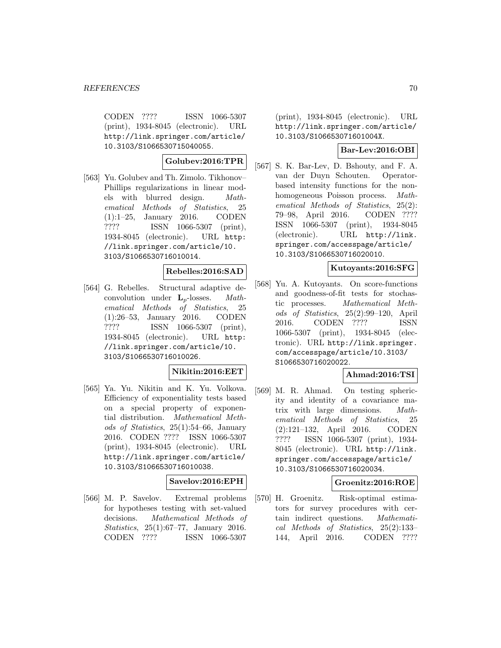CODEN ???? ISSN 1066-5307 (print), 1934-8045 (electronic). URL http://link.springer.com/article/ 10.3103/S1066530715040055.

## **Golubev:2016:TPR**

[563] Yu. Golubev and Th. Zimolo. Tikhonov– Phillips regularizations in linear models with blurred design. Mathematical Methods of Statistics, 25 (1):1–25, January 2016. CODEN ???? ISSN 1066-5307 (print), 1934-8045 (electronic). URL http: //link.springer.com/article/10. 3103/S1066530716010014.

## **Rebelles:2016:SAD**

[564] G. Rebelles. Structural adaptive deconvolution under  $L_p$ -losses. Mathematical Methods of Statistics, 25 (1):26–53, January 2016. CODEN ???? ISSN 1066-5307 (print), 1934-8045 (electronic). URL http: //link.springer.com/article/10. 3103/S1066530716010026.

#### **Nikitin:2016:EET**

[565] Ya. Yu. Nikitin and K. Yu. Volkova. Efficiency of exponentiality tests based on a special property of exponential distribution. Mathematical Methods of Statistics, 25(1):54–66, January 2016. CODEN ???? ISSN 1066-5307 (print), 1934-8045 (electronic). URL http://link.springer.com/article/ 10.3103/S1066530716010038.

## **Savelov:2016:EPH**

[566] M. P. Savelov. Extremal problems for hypotheses testing with set-valued decisions. Mathematical Methods of Statistics, 25(1):67–77, January 2016. CODEN ???? ISSN 1066-5307

(print), 1934-8045 (electronic). URL http://link.springer.com/article/ 10.3103/S106653071601004X.

### **Bar-Lev:2016:OBI**

[567] S. K. Bar-Lev, D. Bshouty, and F. A. van der Duyn Schouten. Operatorbased intensity functions for the nonhomogeneous Poisson process. Mathematical Methods of Statistics, 25(2): 79–98, April 2016. CODEN ???? ISSN 1066-5307 (print), 1934-8045 (electronic). URL http://link. springer.com/accesspage/article/ 10.3103/S1066530716020010.

## **Kutoyants:2016:SFG**

[568] Yu. A. Kutoyants. On score-functions and goodness-of-fit tests for stochastic processes. Mathematical Methods of Statistics, 25(2):99–120, April 2016. CODEN ???? ISSN 1066-5307 (print), 1934-8045 (electronic). URL http://link.springer. com/accesspage/article/10.3103/ S1066530716020022.

## **Ahmad:2016:TSI**

[569] M. R. Ahmad. On testing sphericity and identity of a covariance matrix with large dimensions. Mathematical Methods of Statistics, 25 (2):121–132, April 2016. CODEN ???? ISSN 1066-5307 (print), 1934- 8045 (electronic). URL http://link. springer.com/accesspage/article/ 10.3103/S1066530716020034.

## **Groenitz:2016:ROE**

[570] H. Groenitz. Risk-optimal estimators for survey procedures with certain indirect questions. Mathematical Methods of Statistics, 25(2):133– 144, April 2016. CODEN ????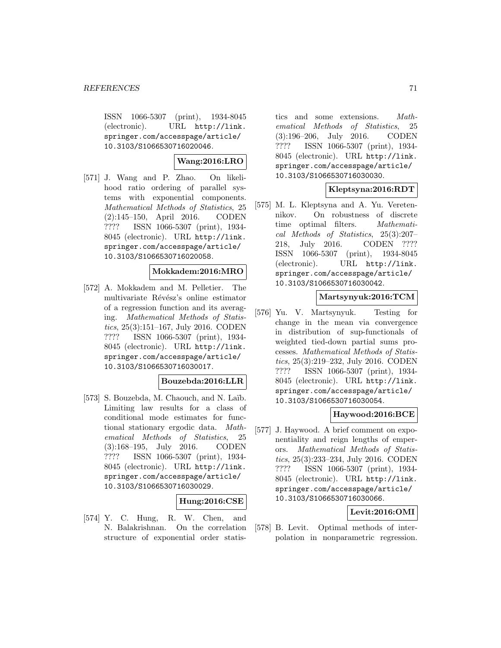ISSN 1066-5307 (print), 1934-8045 (electronic). URL http://link. springer.com/accesspage/article/ 10.3103/S1066530716020046.

# **Wang:2016:LRO**

[571] J. Wang and P. Zhao. On likelihood ratio ordering of parallel systems with exponential components. Mathematical Methods of Statistics, 25 (2):145–150, April 2016. CODEN ???? ISSN 1066-5307 (print), 1934- 8045 (electronic). URL http://link. springer.com/accesspage/article/ 10.3103/S1066530716020058.

## **Mokkadem:2016:MRO**

[572] A. Mokkadem and M. Pelletier. The multivariate Révész's online estimator of a regression function and its averaging. Mathematical Methods of Statistics, 25(3):151–167, July 2016. CODEN ???? ISSN 1066-5307 (print), 1934- 8045 (electronic). URL http://link. springer.com/accesspage/article/ 10.3103/S1066530716030017.

## **Bouzebda:2016:LLR**

[573] S. Bouzebda, M. Chaouch, and N. Laïb. Limiting law results for a class of conditional mode estimates for functional stationary ergodic data. Mathematical Methods of Statistics, 25 (3):168–195, July 2016. CODEN ???? ISSN 1066-5307 (print), 1934- 8045 (electronic). URL http://link. springer.com/accesspage/article/ 10.3103/S1066530716030029.

## **Hung:2016:CSE**

[574] Y. C. Hung, R. W. Chen, and N. Balakrishnan. On the correlation structure of exponential order statistics and some extensions. Mathematical Methods of Statistics, 25 (3):196–206, July 2016. CODEN ???? ISSN 1066-5307 (print), 1934- 8045 (electronic). URL http://link. springer.com/accesspage/article/ 10.3103/S1066530716030030.

## **Kleptsyna:2016:RDT**

[575] M. L. Kleptsyna and A. Yu. Veretennikov. On robustness of discrete time optimal filters. Mathematical Methods of Statistics, 25(3):207– 218, July 2016. CODEN ???? ISSN 1066-5307 (print), 1934-8045 (electronic). URL http://link. springer.com/accesspage/article/ 10.3103/S1066530716030042.

# **Martsynyuk:2016:TCM**

[576] Yu. V. Martsynyuk. Testing for change in the mean via convergence in distribution of sup-functionals of weighted tied-down partial sums processes. Mathematical Methods of Statistics, 25(3):219–232, July 2016. CODEN ???? ISSN 1066-5307 (print), 1934- 8045 (electronic). URL http://link. springer.com/accesspage/article/ 10.3103/S1066530716030054.

## **Haywood:2016:BCE**

[577] J. Haywood. A brief comment on exponentiality and reign lengths of emperors. Mathematical Methods of Statistics, 25(3):233–234, July 2016. CODEN ???? ISSN 1066-5307 (print), 1934- 8045 (electronic). URL http://link. springer.com/accesspage/article/ 10.3103/S1066530716030066.

## **Levit:2016:OMI**

[578] B. Levit. Optimal methods of interpolation in nonparametric regression.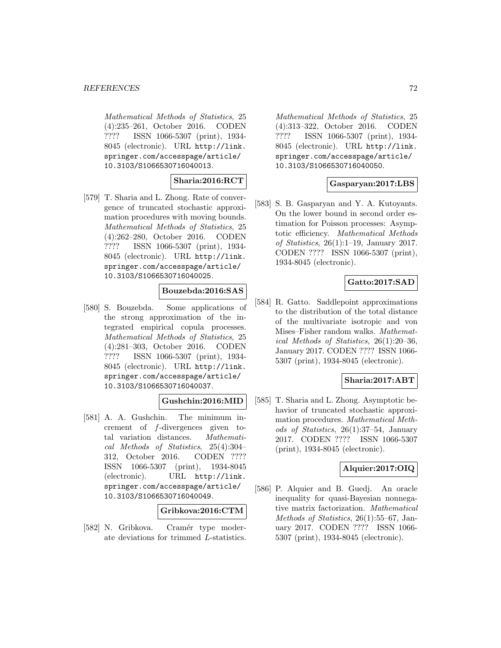Mathematical Methods of Statistics, 25 (4):235–261, October 2016. CODEN ???? ISSN 1066-5307 (print), 1934- 8045 (electronic). URL http://link. springer.com/accesspage/article/ 10.3103/S1066530716040013.

## **Sharia:2016:RCT**

[579] T. Sharia and L. Zhong. Rate of convergence of truncated stochastic approximation procedures with moving bounds. Mathematical Methods of Statistics, 25 (4):262–280, October 2016. CODEN ???? ISSN 1066-5307 (print), 1934- 8045 (electronic). URL http://link. springer.com/accesspage/article/ 10.3103/S1066530716040025.

## **Bouzebda:2016:SAS**

[580] S. Bouzebda. Some applications of the strong approximation of the integrated empirical copula processes. Mathematical Methods of Statistics, 25 (4):281–303, October 2016. CODEN ???? ISSN 1066-5307 (print), 1934- 8045 (electronic). URL http://link. springer.com/accesspage/article/ 10.3103/S1066530716040037.

## **Gushchin:2016:MID**

[581] A. A. Gushchin. The minimum increment of f-divergences given total variation distances. Mathematical Methods of Statistics, 25(4):304– 312, October 2016. CODEN ???? ISSN 1066-5307 (print), 1934-8045 (electronic). URL http://link. springer.com/accesspage/article/ 10.3103/S1066530716040049.

#### **Gribkova:2016:CTM**

[582] N. Gribkova. Cramér type moderate deviations for trimmed L-statistics. Mathematical Methods of Statistics, 25 (4):313–322, October 2016. CODEN ???? ISSN 1066-5307 (print), 1934- 8045 (electronic). URL http://link. springer.com/accesspage/article/ 10.3103/S1066530716040050.

## **Gasparyan:2017:LBS**

[583] S. B. Gasparyan and Y. A. Kutoyants. On the lower bound in second order estimation for Poisson processes: Asymptotic efficiency. Mathematical Methods of Statistics, 26(1):1–19, January 2017. CODEN ???? ISSN 1066-5307 (print), 1934-8045 (electronic).

## **Gatto:2017:SAD**

[584] R. Gatto. Saddlepoint approximations to the distribution of the total distance of the multivariate isotropic and von Mises–Fisher random walks. Mathematical Methods of Statistics, 26(1):20–36, January 2017. CODEN ???? ISSN 1066- 5307 (print), 1934-8045 (electronic).

## **Sharia:2017:ABT**

[585] T. Sharia and L. Zhong. Asymptotic behavior of truncated stochastic approximation procedures. Mathematical Methods of Statistics, 26(1):37–54, January 2017. CODEN ???? ISSN 1066-5307 (print), 1934-8045 (electronic).

## **Alquier:2017:OIQ**

[586] P. Alquier and B. Guedj. An oracle inequality for quasi-Bayesian nonnegative matrix factorization. Mathematical Methods of Statistics, 26(1):55–67, January 2017. CODEN ???? ISSN 1066- 5307 (print), 1934-8045 (electronic).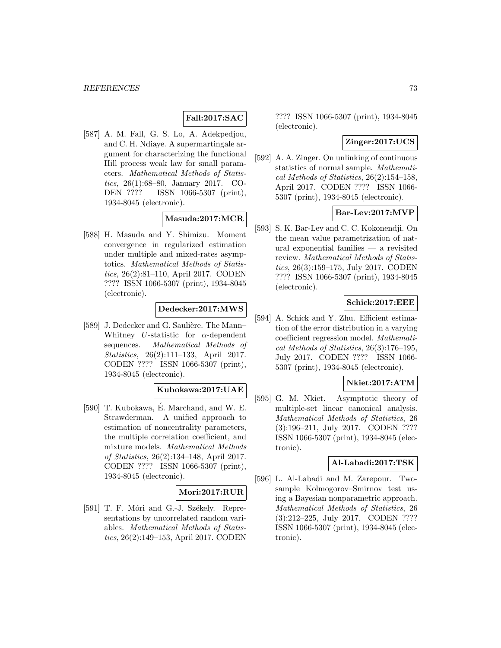# **Fall:2017:SAC**

[587] A. M. Fall, G. S. Lo, A. Adekpedjou, and C. H. Ndiaye. A supermartingale argument for characterizing the functional Hill process weak law for small parameters. Mathematical Methods of Statistics, 26(1):68–80, January 2017. CO-DEN ???? ISSN 1066-5307 (print), 1934-8045 (electronic).

# **Masuda:2017:MCR**

[588] H. Masuda and Y. Shimizu. Moment convergence in regularized estimation under multiple and mixed-rates asymptotics. Mathematical Methods of Statistics, 26(2):81–110, April 2017. CODEN ???? ISSN 1066-5307 (print), 1934-8045 (electronic).

### **Dedecker:2017:MWS**

[589] J. Dedecker and G. Saulière. The Mann– Whitney U-statistic for  $\alpha$ -dependent sequences. Mathematical Methods of Statistics, 26(2):111–133, April 2017. CODEN ???? ISSN 1066-5307 (print), 1934-8045 (electronic).

#### **Kubokawa:2017:UAE**

[590] T. Kubokawa, E. Marchand, and W. E. Strawderman. A unified approach to estimation of noncentrality parameters, the multiple correlation coefficient, and mixture models. Mathematical Methods of Statistics, 26(2):134–148, April 2017. CODEN ???? ISSN 1066-5307 (print), 1934-8045 (electronic).

### **Mori:2017:RUR**

[591] T. F. Móri and G.-J. Székely. Representations by uncorrelated random variables. Mathematical Methods of Statistics, 26(2):149–153, April 2017. CODEN

???? ISSN 1066-5307 (print), 1934-8045 (electronic).

### **Zinger:2017:UCS**

[592] A. A. Zinger. On unlinking of continuous statistics of normal sample. Mathematical Methods of Statistics, 26(2):154–158, April 2017. CODEN ???? ISSN 1066- 5307 (print), 1934-8045 (electronic).

#### **Bar-Lev:2017:MVP**

[593] S. K. Bar-Lev and C. C. Kokonendji. On the mean value parametrization of natural exponential families — a revisited review. Mathematical Methods of Statistics, 26(3):159–175, July 2017. CODEN ???? ISSN 1066-5307 (print), 1934-8045 (electronic).

### **Schick:2017:EEE**

[594] A. Schick and Y. Zhu. Efficient estimation of the error distribution in a varying coefficient regression model. Mathematical Methods of Statistics, 26(3):176–195, July 2017. CODEN ???? ISSN 1066- 5307 (print), 1934-8045 (electronic).

### **Nkiet:2017:ATM**

[595] G. M. Nkiet. Asymptotic theory of multiple-set linear canonical analysis. Mathematical Methods of Statistics, 26 (3):196–211, July 2017. CODEN ???? ISSN 1066-5307 (print), 1934-8045 (electronic).

### **Al-Labadi:2017:TSK**

[596] L. Al-Labadi and M. Zarepour. Twosample Kolmogorov–Smirnov test using a Bayesian nonparametric approach. Mathematical Methods of Statistics, 26 (3):212–225, July 2017. CODEN ???? ISSN 1066-5307 (print), 1934-8045 (electronic).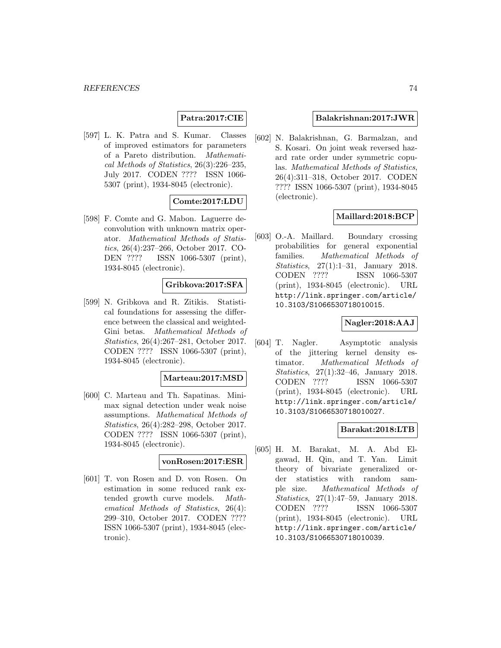# **Patra:2017:CIE**

[597] L. K. Patra and S. Kumar. Classes of improved estimators for parameters of a Pareto distribution. Mathematical Methods of Statistics, 26(3):226–235, July 2017. CODEN ???? ISSN 1066- 5307 (print), 1934-8045 (electronic).

# **Comte:2017:LDU**

[598] F. Comte and G. Mabon. Laguerre deconvolution with unknown matrix operator. Mathematical Methods of Statistics, 26(4):237–266, October 2017. CO-DEN ???? ISSN 1066-5307 (print), 1934-8045 (electronic).

### **Gribkova:2017:SFA**

[599] N. Gribkova and R. Zitikis. Statistical foundations for assessing the difference between the classical and weighted-Gini betas. Mathematical Methods of Statistics, 26(4):267–281, October 2017. CODEN ???? ISSN 1066-5307 (print), 1934-8045 (electronic).

#### **Marteau:2017:MSD**

[600] C. Marteau and Th. Sapatinas. Minimax signal detection under weak noise assumptions. Mathematical Methods of Statistics, 26(4):282–298, October 2017. CODEN ???? ISSN 1066-5307 (print), 1934-8045 (electronic).

#### **vonRosen:2017:ESR**

[601] T. von Rosen and D. von Rosen. On estimation in some reduced rank extended growth curve models. Mathematical Methods of Statistics, 26(4): 299–310, October 2017. CODEN ???? ISSN 1066-5307 (print), 1934-8045 (electronic).

#### **Balakrishnan:2017:JWR**

[602] N. Balakrishnan, G. Barmalzan, and S. Kosari. On joint weak reversed hazard rate order under symmetric copulas. Mathematical Methods of Statistics, 26(4):311–318, October 2017. CODEN ???? ISSN 1066-5307 (print), 1934-8045 (electronic).

### **Maillard:2018:BCP**

[603] O.-A. Maillard. Boundary crossing probabilities for general exponential families. Mathematical Methods of Statistics, 27(1):1–31, January 2018. CODEN ???? ISSN 1066-5307 (print), 1934-8045 (electronic). URL http://link.springer.com/article/ 10.3103/S1066530718010015.

### **Nagler:2018:AAJ**

[604] T. Nagler. Asymptotic analysis of the jittering kernel density estimator. Mathematical Methods of Statistics, 27(1):32–46, January 2018. CODEN ???? ISSN 1066-5307 (print), 1934-8045 (electronic). URL http://link.springer.com/article/ 10.3103/S1066530718010027.

### **Barakat:2018:LTB**

[605] H. M. Barakat, M. A. Abd Elgawad, H. Qin, and T. Yan. Limit theory of bivariate generalized order statistics with random sample size. Mathematical Methods of Statistics, 27(1):47–59, January 2018. CODEN ???? ISSN 1066-5307 (print), 1934-8045 (electronic). URL http://link.springer.com/article/ 10.3103/S1066530718010039.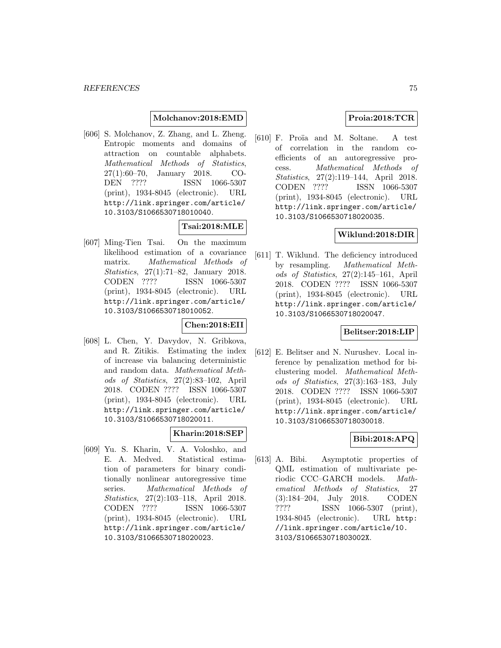### **Molchanov:2018:EMD**

[606] S. Molchanov, Z. Zhang, and L. Zheng. Entropic moments and domains of attraction on countable alphabets. Mathematical Methods of Statistics, 27(1):60–70, January 2018. CO-DEN ???? ISSN 1066-5307 (print), 1934-8045 (electronic). URL http://link.springer.com/article/ 10.3103/S1066530718010040.

# **Tsai:2018:MLE**

[607] Ming-Tien Tsai. On the maximum likelihood estimation of a covariance matrix. Mathematical Methods of Statistics, 27(1):71–82, January 2018. CODEN ???? ISSN 1066-5307 (print), 1934-8045 (electronic). URL http://link.springer.com/article/ 10.3103/S1066530718010052.

#### **Chen:2018:EII**

[608] L. Chen, Y. Davydov, N. Gribkova, and R. Zitikis. Estimating the index of increase via balancing deterministic and random data. Mathematical Methods of Statistics, 27(2):83–102, April 2018. CODEN ???? ISSN 1066-5307 (print), 1934-8045 (electronic). URL http://link.springer.com/article/ 10.3103/S1066530718020011.

### **Kharin:2018:SEP**

[609] Yu. S. Kharin, V. A. Voloshko, and E. A. Medved. Statistical estimation of parameters for binary conditionally nonlinear autoregressive time series. Mathematical Methods of Statistics, 27(2):103–118, April 2018. CODEN ???? ISSN 1066-5307 (print), 1934-8045 (electronic). URL http://link.springer.com/article/ 10.3103/S1066530718020023.

### **Proia:2018:TCR**

[610] F. Proïa and M. Soltane. A test of correlation in the random coefficients of an autoregressive process. Mathematical Methods of Statistics, 27(2):119–144, April 2018. CODEN ???? ISSN 1066-5307 (print), 1934-8045 (electronic). URL http://link.springer.com/article/ 10.3103/S1066530718020035.

### **Wiklund:2018:DIR**

[611] T. Wiklund. The deficiency introduced by resampling. Mathematical Methods of Statistics, 27(2):145–161, April 2018. CODEN ???? ISSN 1066-5307 (print), 1934-8045 (electronic). URL http://link.springer.com/article/ 10.3103/S1066530718020047.

### **Belitser:2018:LIP**

[612] E. Belitser and N. Nurushev. Local inference by penalization method for biclustering model. Mathematical Methods of Statistics, 27(3):163–183, July 2018. CODEN ???? ISSN 1066-5307 (print), 1934-8045 (electronic). URL http://link.springer.com/article/ 10.3103/S1066530718030018.

### **Bibi:2018:APQ**

[613] A. Bibi. Asymptotic properties of QML estimation of multivariate periodic CCC–GARCH models. Mathematical Methods of Statistics, 27 (3):184–204, July 2018. CODEN ???? ISSN 1066-5307 (print), 1934-8045 (electronic). URL http: //link.springer.com/article/10. 3103/S106653071803002X.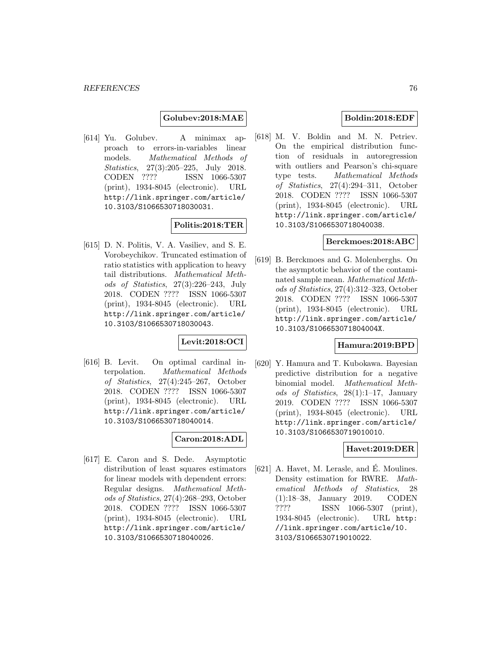**Golubev:2018:MAE**

[614] Yu. Golubev. A minimax approach to errors-in-variables linear models. Mathematical Methods of Statistics, 27(3):205–225, July 2018. CODEN ???? ISSN 1066-5307 (print), 1934-8045 (electronic). URL http://link.springer.com/article/ 10.3103/S1066530718030031.

# **Politis:2018:TER**

[615] D. N. Politis, V. A. Vasiliev, and S. E. Vorobeychikov. Truncated estimation of ratio statistics with application to heavy tail distributions. Mathematical Methods of Statistics, 27(3):226–243, July 2018. CODEN ???? ISSN 1066-5307 (print), 1934-8045 (electronic). URL http://link.springer.com/article/ 10.3103/S1066530718030043.

# **Levit:2018:OCI**

[616] B. Levit. On optimal cardinal interpolation. Mathematical Methods of Statistics, 27(4):245–267, October 2018. CODEN ???? ISSN 1066-5307 (print), 1934-8045 (electronic). URL http://link.springer.com/article/ 10.3103/S1066530718040014.

### **Caron:2018:ADL**

[617] E. Caron and S. Dede. Asymptotic distribution of least squares estimators for linear models with dependent errors: Regular designs. Mathematical Methods of Statistics, 27(4):268–293, October 2018. CODEN ???? ISSN 1066-5307 (print), 1934-8045 (electronic). URL http://link.springer.com/article/ 10.3103/S1066530718040026.

### **Boldin:2018:EDF**

[618] M. V. Boldin and M. N. Petriev. On the empirical distribution function of residuals in autoregression with outliers and Pearson's chi-square type tests. Mathematical Methods of Statistics, 27(4):294–311, October 2018. CODEN ???? ISSN 1066-5307 (print), 1934-8045 (electronic). URL http://link.springer.com/article/ 10.3103/S1066530718040038.

#### **Berckmoes:2018:ABC**

[619] B. Berckmoes and G. Molenberghs. On the asymptotic behavior of the contaminated sample mean. Mathematical Methods of Statistics, 27(4):312–323, October 2018. CODEN ???? ISSN 1066-5307 (print), 1934-8045 (electronic). URL http://link.springer.com/article/ 10.3103/S106653071804004X.

### **Hamura:2019:BPD**

[620] Y. Hamura and T. Kubokawa. Bayesian predictive distribution for a negative binomial model. Mathematical Methods of Statistics, 28(1):1–17, January 2019. CODEN ???? ISSN 1066-5307 (print), 1934-8045 (electronic). URL http://link.springer.com/article/ 10.3103/S1066530719010010.

#### **Havet:2019:DER**

 $[621]$  A. Havet, M. Lerasle, and E. Moulines. Density estimation for RWRE. Mathematical Methods of Statistics, 28 (1):18–38, January 2019. CODEN ???? ISSN 1066-5307 (print), 1934-8045 (electronic). URL http: //link.springer.com/article/10. 3103/S1066530719010022.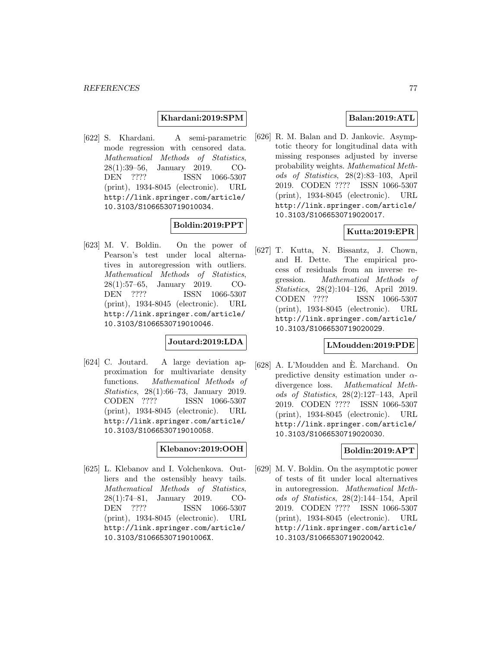### **Khardani:2019:SPM**

[622] S. Khardani. A semi-parametric mode regression with censored data. Mathematical Methods of Statistics, 28(1):39–56, January 2019. CO-DEN ???? ISSN 1066-5307 (print), 1934-8045 (electronic). URL http://link.springer.com/article/ 10.3103/S1066530719010034.

# **Boldin:2019:PPT**

[623] M. V. Boldin. On the power of Pearson's test under local alternatives in autoregression with outliers. Mathematical Methods of Statistics, 28(1):57–65, January 2019. CO-DEN ???? ISSN 1066-5307 (print), 1934-8045 (electronic). URL http://link.springer.com/article/ 10.3103/S1066530719010046.

# **Joutard:2019:LDA**

[624] C. Joutard. A large deviation approximation for multivariate density functions. Mathematical Methods of Statistics, 28(1):66–73, January 2019. CODEN ???? ISSN 1066-5307 (print), 1934-8045 (electronic). URL http://link.springer.com/article/ 10.3103/S1066530719010058.

### **Klebanov:2019:OOH**

[625] L. Klebanov and I. Volchenkova. Outliers and the ostensibly heavy tails. Mathematical Methods of Statistics, 28(1):74–81, January 2019. CO-DEN ???? ISSN 1066-5307 (print), 1934-8045 (electronic). URL http://link.springer.com/article/ 10.3103/S106653071901006X.

### **Balan:2019:ATL**

[626] R. M. Balan and D. Jankovic. Asymptotic theory for longitudinal data with missing responses adjusted by inverse probability weights. Mathematical Methods of Statistics, 28(2):83–103, April 2019. CODEN ???? ISSN 1066-5307 (print), 1934-8045 (electronic). URL http://link.springer.com/article/ 10.3103/S1066530719020017.

### **Kutta:2019:EPR**

[627] T. Kutta, N. Bissantz, J. Chown, and H. Dette. The empirical process of residuals from an inverse regression. Mathematical Methods of Statistics, 28(2):104–126, April 2019. CODEN ???? ISSN 1066-5307 (print), 1934-8045 (electronic). URL http://link.springer.com/article/ 10.3103/S1066530719020029.

#### **LMoudden:2019:PDE**

[628] A. L'Moudden and E. Marchand. On ` predictive density estimation under  $\alpha$ divergence loss. Mathematical Methods of Statistics, 28(2):127–143, April 2019. CODEN ???? ISSN 1066-5307 (print), 1934-8045 (electronic). URL http://link.springer.com/article/ 10.3103/S1066530719020030.

### **Boldin:2019:APT**

[629] M. V. Boldin. On the asymptotic power of tests of fit under local alternatives in autoregression. Mathematical Methods of Statistics, 28(2):144–154, April 2019. CODEN ???? ISSN 1066-5307 (print), 1934-8045 (electronic). URL http://link.springer.com/article/ 10.3103/S1066530719020042.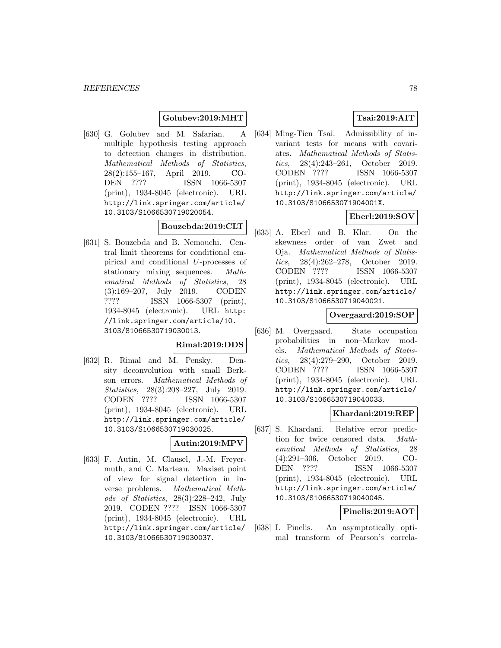### **Golubev:2019:MHT**

[630] G. Golubev and M. Safarian. A multiple hypothesis testing approach to detection changes in distribution. Mathematical Methods of Statistics, 28(2):155–167, April 2019. CO-DEN ???? ISSN 1066-5307 (print), 1934-8045 (electronic). URL http://link.springer.com/article/ 10.3103/S1066530719020054.

### **Bouzebda:2019:CLT**

[631] S. Bouzebda and B. Nemouchi. Central limit theorems for conditional empirical and conditional U-processes of stationary mixing sequences. Mathematical Methods of Statistics, 28 (3):169–207, July 2019. CODEN ???? ISSN 1066-5307 (print), 1934-8045 (electronic). URL http: //link.springer.com/article/10. 3103/S1066530719030013.

### **Rimal:2019:DDS**

[632] R. Rimal and M. Pensky. Density deconvolution with small Berkson errors. Mathematical Methods of Statistics, 28(3):208–227, July 2019. CODEN ???? ISSN 1066-5307 (print), 1934-8045 (electronic). URL http://link.springer.com/article/ 10.3103/S1066530719030025.

### **Autin:2019:MPV**

[633] F. Autin, M. Clausel, J.-M. Freyermuth, and C. Marteau. Maxiset point of view for signal detection in inverse problems. Mathematical Methods of Statistics, 28(3):228–242, July 2019. CODEN ???? ISSN 1066-5307 (print), 1934-8045 (electronic). URL http://link.springer.com/article/ 10.3103/S1066530719030037.

# **Tsai:2019:AIT**

[634] Ming-Tien Tsai. Admissibility of invariant tests for means with covariates. Mathematical Methods of Statistics, 28(4):243–261, October 2019. CODEN ???? ISSN 1066-5307 (print), 1934-8045 (electronic). URL http://link.springer.com/article/ 10.3103/S106653071904001X.

# **Eberl:2019:SOV**

[635] A. Eberl and B. Klar. On the skewness order of van Zwet and Oja. Mathematical Methods of Statistics, 28(4):262–278, October 2019. CODEN ???? ISSN 1066-5307 (print), 1934-8045 (electronic). URL http://link.springer.com/article/ 10.3103/S1066530719040021.

### **Overgaard:2019:SOP**

[636] M. Overgaard. State occupation probabilities in non–Markov models. Mathematical Methods of Statistics, 28(4):279–290, October 2019. CODEN ???? ISSN 1066-5307 (print), 1934-8045 (electronic). URL http://link.springer.com/article/ 10.3103/S1066530719040033.

### **Khardani:2019:REP**

[637] S. Khardani. Relative error prediction for twice censored data. Mathematical Methods of Statistics, 28 (4):291–306, October 2019. CO-DEN ???? ISSN 1066-5307 (print), 1934-8045 (electronic). URL http://link.springer.com/article/ 10.3103/S1066530719040045.

### **Pinelis:2019:AOT**

[638] I. Pinelis. An asymptotically optimal transform of Pearson's correla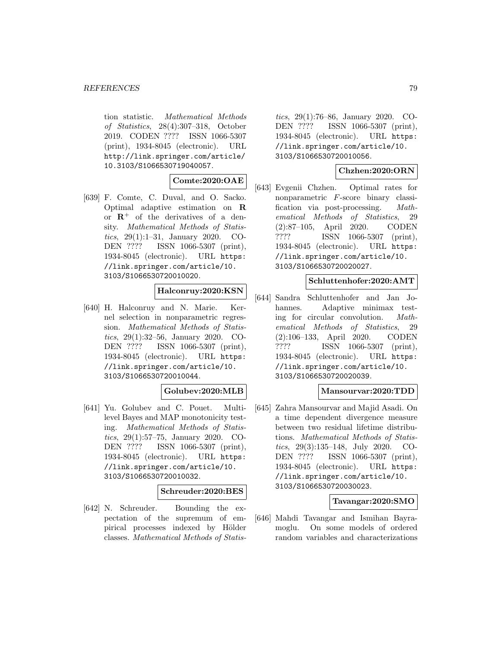tion statistic. Mathematical Methods of Statistics, 28(4):307–318, October 2019. CODEN ???? ISSN 1066-5307 (print), 1934-8045 (electronic). URL http://link.springer.com/article/ 10.3103/S1066530719040057.

# **Comte:2020:OAE**

[639] F. Comte, C. Duval, and O. Sacko. Optimal adaptive estimation on **R** or  $\mathbb{R}^+$  of the derivatives of a density. Mathematical Methods of Statistics, 29(1):1–31, January 2020. CO-DEN ???? ISSN 1066-5307 (print), 1934-8045 (electronic). URL https: //link.springer.com/article/10. 3103/S1066530720010020.

### **Halconruy:2020:KSN**

[640] H. Halconruy and N. Marie. Kernel selection in nonparametric regression. Mathematical Methods of Statistics, 29(1):32–56, January 2020. CO-DEN ???? ISSN 1066-5307 (print), 1934-8045 (electronic). URL https: //link.springer.com/article/10. 3103/S1066530720010044.

# **Golubev:2020:MLB**

[641] Yu. Golubev and C. Pouet. Multilevel Bayes and MAP monotonicity testing. Mathematical Methods of Statistics, 29(1):57–75, January 2020. CO-DEN ???? ISSN 1066-5307 (print), 1934-8045 (electronic). URL https: //link.springer.com/article/10. 3103/S1066530720010032.

#### **Schreuder:2020:BES**

[642] N. Schreuder. Bounding the expectation of the supremum of empirical processes indexed by Hölder classes. Mathematical Methods of Statistics, 29(1):76–86, January 2020. CO-DEN ???? ISSN 1066-5307 (print), 1934-8045 (electronic). URL https: //link.springer.com/article/10. 3103/S1066530720010056.

### **Chzhen:2020:ORN**

[643] Evgenii Chzhen. Optimal rates for nonparametric F-score binary classification via post-processing. Mathematical Methods of Statistics, 29 (2):87–105, April 2020. CODEN ???? ISSN 1066-5307 (print), 1934-8045 (electronic). URL https: //link.springer.com/article/10. 3103/S1066530720020027.

#### **Schluttenhofer:2020:AMT**

[644] Sandra Schluttenhofer and Jan Johannes. Adaptive minimax testing for circular convolution. Mathematical Methods of Statistics, 29 (2):106–133, April 2020. CODEN ???? ISSN 1066-5307 (print), 1934-8045 (electronic). URL https: //link.springer.com/article/10. 3103/S1066530720020039.

### **Mansourvar:2020:TDD**

[645] Zahra Mansourvar and Majid Asadi. On a time dependent divergence measure between two residual lifetime distributions. Mathematical Methods of Statistics, 29(3):135–148, July 2020. CO-DEN ???? ISSN 1066-5307 (print), 1934-8045 (electronic). URL https: //link.springer.com/article/10. 3103/S1066530720030023.

### **Tavangar:2020:SMO**

[646] Mahdi Tavangar and Ismihan Bayramoglu. On some models of ordered random variables and characterizations